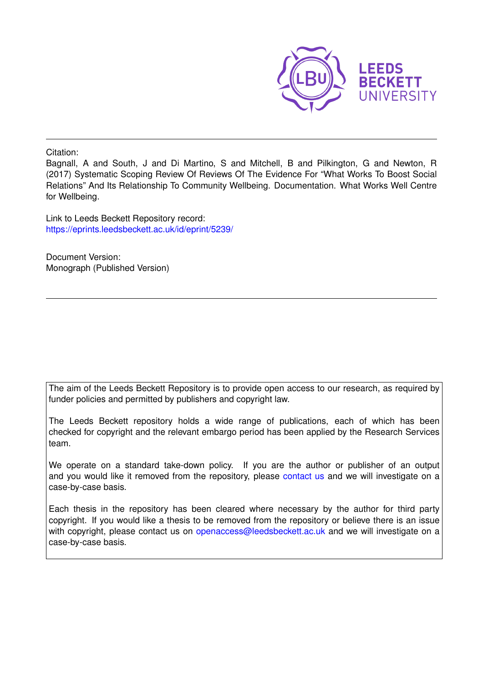

Citation:

Bagnall, A and South, J and Di Martino, S and Mitchell, B and Pilkington, G and Newton, R (2017) Systematic Scoping Review Of Reviews Of The Evidence For "What Works To Boost Social Relations" And Its Relationship To Community Wellbeing. Documentation. What Works Well Centre for Wellbeing.

Link to Leeds Beckett Repository record: <https://eprints.leedsbeckett.ac.uk/id/eprint/5239/>

Document Version: Monograph (Published Version)

The aim of the Leeds Beckett Repository is to provide open access to our research, as required by funder policies and permitted by publishers and copyright law.

The Leeds Beckett repository holds a wide range of publications, each of which has been checked for copyright and the relevant embargo period has been applied by the Research Services team.

We operate on a standard take-down policy. If you are the author or publisher of an output and you would like it removed from the repository, please [contact us](mailto:openaccess@leedsbeckett.ac.uk) and we will investigate on a case-by-case basis.

Each thesis in the repository has been cleared where necessary by the author for third party copyright. If you would like a thesis to be removed from the repository or believe there is an issue with copyright, please contact us on [openaccess@leedsbeckett.ac.uk](mailto:openaccess@leedsbeckett.ac.uk) and we will investigate on a case-by-case basis.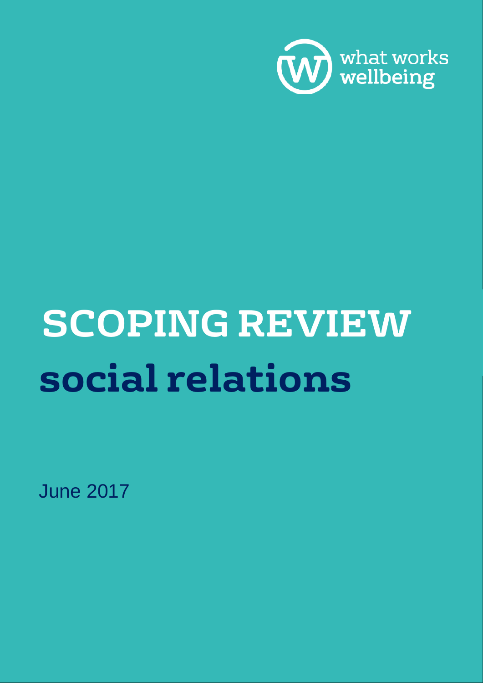

# **SCOPING REVIEW social relations**

June 2017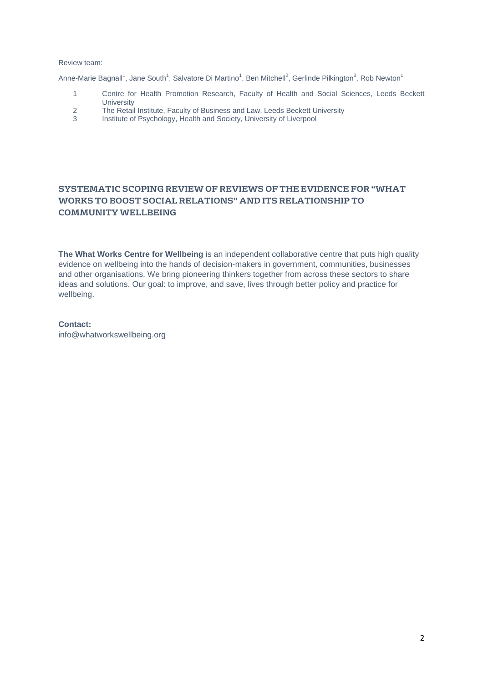#### Review team:

Anne-Marie Bagnall<sup>1</sup>, Jane South<sup>1</sup>, Salvatore Di Martino<sup>1</sup>, Ben Mitchell<sup>2</sup>, Gerlinde Pilkington<sup>3</sup>, Rob Newton<sup>1</sup>

- 1 Centre for Health Promotion Research, Faculty of Health and Social Sciences, Leeds Beckett **University**
- 2 The Retail Institute, Faculty of Business and Law, Leeds Beckett University<br>3 Institute of Psychology, Health and Society, University of Liverpool
- Institute of Psychology, Health and Society, University of Liverpool

## **SYSTEMATIC SCOPING REVIEW OF REVIEWS OF THE EVIDENCE FOR "WHAT WORKS TO BOOST SOCIAL RELATIONS" AND ITS RELATIONSHIP TO COMMUNITY WELLBEING**

**The What Works Centre for Wellbeing** is an independent collaborative centre that puts high quality evidence on wellbeing into the hands of decision-makers in government, communities, businesses and other organisations. We bring pioneering thinkers together from across these sectors to share ideas and solutions. Our goal: to improve, and save, lives through better policy and practice for wellbeing.

#### **Contact:**

info@whatworkswellbeing.org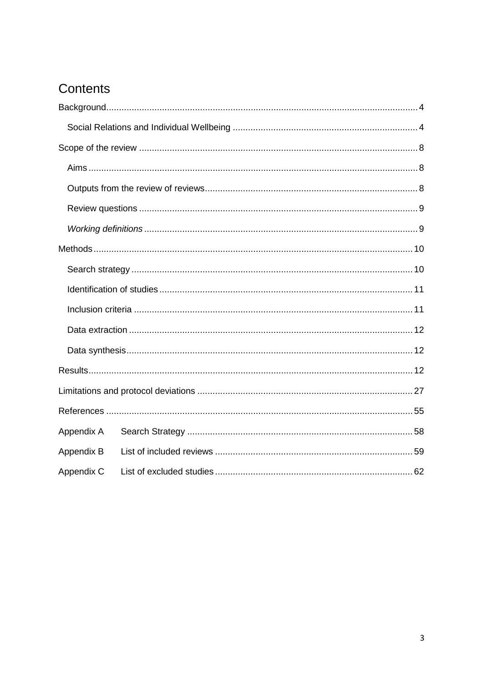# Contents

| Appendix A |  |  |  |  |  |  |  |  |  |  |
|------------|--|--|--|--|--|--|--|--|--|--|
| Appendix B |  |  |  |  |  |  |  |  |  |  |
| Appendix C |  |  |  |  |  |  |  |  |  |  |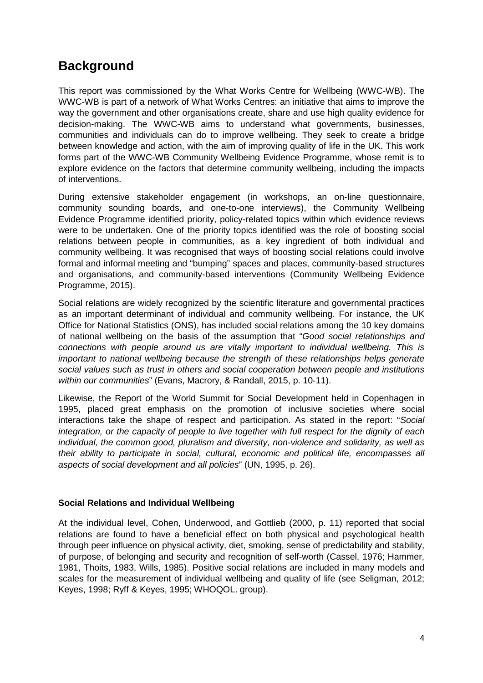# <span id="page-4-0"></span>**Background**

This report was commissioned by the What Works Centre for Wellbeing (WWC-WB). The WWC-WB is part of a network of What Works Centres: an initiative that aims to improve the way the government and other organisations create, share and use high quality evidence for decision-making. The WWC-WB aims to understand what governments, businesses, communities and individuals can do to improve wellbeing. They seek to create a bridge between knowledge and action, with the aim of improving quality of life in the UK. This work forms part of the WWC-WB Community Wellbeing Evidence Programme, whose remit is to explore evidence on the factors that determine community wellbeing, including the impacts of interventions.

During extensive stakeholder engagement (in workshops, an on-line questionnaire, community sounding boards, and one-to-one interviews), the Community Wellbeing Evidence Programme identified priority, policy-related topics within which evidence reviews were to be undertaken. One of the priority topics identified was the role of boosting social relations between people in communities, as a key ingredient of both individual and community wellbeing. It was recognised that ways of boosting social relations could involve formal and informal meeting and "bumping" spaces and places, community-based structures and organisations, and community-based interventions (Community Wellbeing Evidence Programme, 2015).

Social relations are widely recognized by the scientific literature and governmental practices as an important determinant of individual and community wellbeing. For instance, the UK Office for National Statistics (ONS), has included social relations among the 10 key domains of national wellbeing on the basis of the assumption that "*Good social relationships and connections with people around us are vitally important to individual wellbeing. This is important to national wellbeing because the strength of these relationships helps generate social values such as trust in others and social cooperation between people and institutions within our communities*" (Evans, Macrory, & Randall, 2015, p. 10-11).

Likewise, the Report of the World Summit for Social Development held in Copenhagen in 1995, placed great emphasis on the promotion of inclusive societies where social interactions take the shape of respect and participation. As stated in the report: "*Social integration, or the capacity of people to live together with full respect for the dignity of each individual, the common good, pluralism and diversity, non-violence and solidarity, as well as their ability to participate in social, cultural, economic and political life, encompasses all aspects of social development and all policies*" (UN, 1995, p. 26).

## <span id="page-4-1"></span>**Social Relations and Individual Wellbeing**

At the individual level, Cohen, Underwood, and Gottlieb (2000, p. 11) reported that social relations are found to have a beneficial effect on both physical and psychological health through peer influence on physical activity, diet, smoking, sense of predictability and stability, of purpose, of belonging and security and recognition of self-worth (Cassel, 1976; Hammer, 1981, Thoits, 1983, Wills, 1985). Positive social relations are included in many models and scales for the measurement of individual wellbeing and quality of life (see Seligman, 2012; Keyes, 1998; Ryff & Keyes, 1995; WHOQOL. group).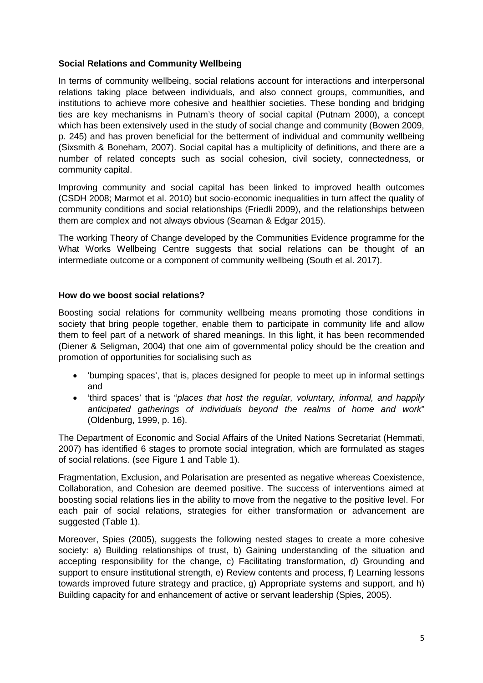## **Social Relations and Community Wellbeing**

In terms of community wellbeing, social relations account for interactions and interpersonal relations taking place between individuals, and also connect groups, communities, and institutions to achieve more cohesive and healthier societies. These bonding and bridging ties are key mechanisms in Putnam's theory of social capital (Putnam 2000), a concept which has been extensively used in the study of social change and community (Bowen 2009, p. 245) and has proven beneficial for the betterment of individual and community wellbeing (Sixsmith & Boneham, 2007). Social capital has a multiplicity of definitions, and there are a number of related concepts such as social cohesion, civil society, connectedness, or community capital.

Improving community and social capital has been linked to improved health outcomes (CSDH 2008; Marmot et al. 2010) but socio-economic inequalities in turn affect the quality of community conditions and social relationships (Friedli 2009), and the relationships between them are complex and not always obvious (Seaman & Edgar 2015).

The working Theory of Change developed by the Communities Evidence programme for the What Works Wellbeing Centre suggests that social relations can be thought of an intermediate outcome or a component of community wellbeing (South et al. 2017).

## **How do we boost social relations?**

Boosting social relations for community wellbeing means promoting those conditions in society that bring people together, enable them to participate in community life and allow them to feel part of a network of shared meanings. In this light, it has been recommended (Diener & Seligman, 2004) that one aim of governmental policy should be the creation and promotion of opportunities for socialising such as

- 'bumping spaces', that is, places designed for people to meet up in informal settings and
- 'third spaces' that is "*places that host the regular, voluntary, informal, and happily anticipated gatherings of individuals beyond the realms of home and work*" (Oldenburg, 1999, p. 16).

The Department of Economic and Social Affairs of the United Nations Secretariat (Hemmati, 2007) has identified 6 stages to promote social integration, which are formulated as stages of social relations. (see Figure 1 and Table 1).

Fragmentation, Exclusion, and Polarisation are presented as negative whereas Coexistence, Collaboration, and Cohesion are deemed positive. The success of interventions aimed at boosting social relations lies in the ability to move from the negative to the positive level. For each pair of social relations, strategies for either transformation or advancement are suggested (Table 1).

Moreover, Spies (2005), suggests the following nested stages to create a more cohesive society: a) Building relationships of trust, b) Gaining understanding of the situation and accepting responsibility for the change, c) Facilitating transformation, d) Grounding and support to ensure institutional strength, e) Review contents and process, f) Learning lessons towards improved future strategy and practice, g) Appropriate systems and support, and h) Building capacity for and enhancement of active or servant leadership (Spies, 2005).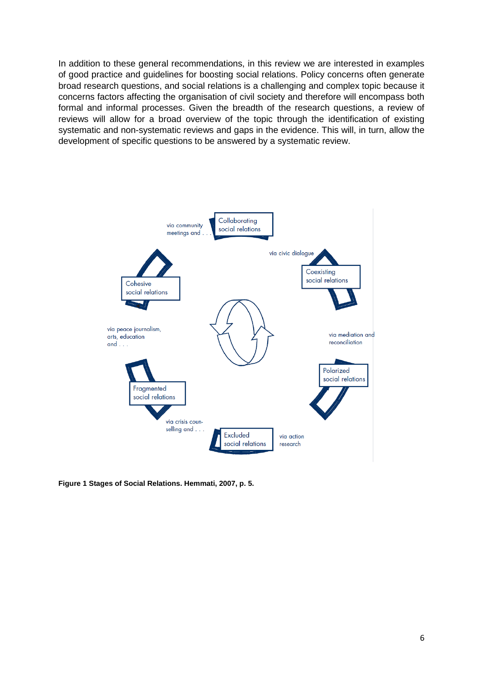In addition to these general recommendations, in this review we are interested in examples of good practice and guidelines for boosting social relations. Policy concerns often generate broad research questions, and social relations is a challenging and complex topic because it concerns factors affecting the organisation of civil society and therefore will encompass both formal and informal processes. Given the breadth of the research questions, a review of reviews will allow for a broad overview of the topic through the identification of existing systematic and non-systematic reviews and gaps in the evidence. This will, in turn, allow the development of specific questions to be answered by a systematic review.



**Figure 1 Stages of Social Relations. Hemmati, 2007, p. 5.**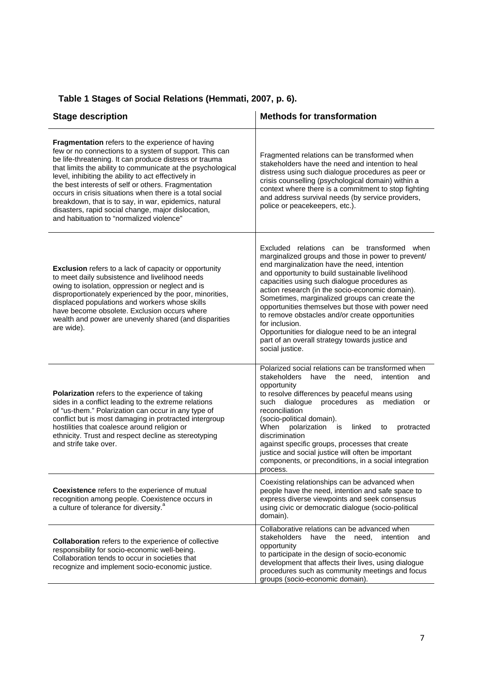| <b>Stage description</b>                                                                                                                                                                                                                                                                                                                                                                                                                                                                                                                                                        | <b>Methods for transformation</b>                                                                                                                                                                                                                                                                                                                                                                                                                                                                                                                                                                             |  |  |  |  |
|---------------------------------------------------------------------------------------------------------------------------------------------------------------------------------------------------------------------------------------------------------------------------------------------------------------------------------------------------------------------------------------------------------------------------------------------------------------------------------------------------------------------------------------------------------------------------------|---------------------------------------------------------------------------------------------------------------------------------------------------------------------------------------------------------------------------------------------------------------------------------------------------------------------------------------------------------------------------------------------------------------------------------------------------------------------------------------------------------------------------------------------------------------------------------------------------------------|--|--|--|--|
| <b>Fragmentation</b> refers to the experience of having<br>few or no connections to a system of support. This can<br>be life-threatening. It can produce distress or trauma<br>that limits the ability to communicate at the psychological<br>level, inhibiting the ability to act effectively in<br>the best interests of self or others. Fragmentation<br>occurs in crisis situations when there is a total social<br>breakdown, that is to say, in war, epidemics, natural<br>disasters, rapid social change, major dislocation,<br>and habituation to "normalized violence" | Fragmented relations can be transformed when<br>stakeholders have the need and intention to heal<br>distress using such dialogue procedures as peer or<br>crisis counselling (psychological domain) within a<br>context where there is a commitment to stop fighting<br>and address survival needs (by service providers,<br>police or peacekeepers, etc.).                                                                                                                                                                                                                                                   |  |  |  |  |
| <b>Exclusion</b> refers to a lack of capacity or opportunity<br>to meet daily subsistence and livelihood needs<br>owing to isolation, oppression or neglect and is<br>disproportionately experienced by the poor, minorities,<br>displaced populations and workers whose skills<br>have become obsolete. Exclusion occurs where<br>wealth and power are unevenly shared (and disparities<br>are wide).                                                                                                                                                                          | Excluded relations can be transformed when<br>marginalized groups and those in power to prevent/<br>end marginalization have the need, intention<br>and opportunity to build sustainable livelihood<br>capacities using such dialogue procedures as<br>action research (in the socio-economic domain).<br>Sometimes, marginalized groups can create the<br>opportunities themselves but those with power need<br>to remove obstacles and/or create opportunities<br>for inclusion.<br>Opportunities for dialogue need to be an integral<br>part of an overall strategy towards justice and<br>social justice. |  |  |  |  |
| Polarization refers to the experience of taking<br>sides in a conflict leading to the extreme relations<br>of "us-them." Polarization can occur in any type of<br>conflict but is most damaging in protracted intergroup<br>hostilities that coalesce around religion or<br>ethnicity. Trust and respect decline as stereotyping<br>and strife take over.                                                                                                                                                                                                                       | Polarized social relations can be transformed when<br>stakeholders<br>have the need,<br>intention<br>and<br>opportunity<br>to resolve differences by peaceful means using<br>procedures as mediation<br>such dialogue<br>or<br>reconciliation<br>(socio-political domain).<br>When<br>polarization<br>linked<br>is<br>protracted<br>to<br>discrimination<br>against specific groups, processes that create<br>justice and social justice will often be important<br>components, or preconditions, in a social integration<br>process.                                                                         |  |  |  |  |
| Coexistence refers to the experience of mutual<br>recognition among people. Coexistence occurs in<br>a culture of tolerance for diversity. <sup>a</sup>                                                                                                                                                                                                                                                                                                                                                                                                                         | Coexisting relationships can be advanced when<br>people have the need, intention and safe space to<br>express diverse viewpoints and seek consensus<br>using civic or democratic dialogue (socio-political<br>domain).                                                                                                                                                                                                                                                                                                                                                                                        |  |  |  |  |
| Collaboration refers to the experience of collective<br>responsibility for socio-economic well-being.<br>Collaboration tends to occur in societies that<br>recognize and implement socio-economic justice.                                                                                                                                                                                                                                                                                                                                                                      | Collaborative relations can be advanced when<br>stakeholders<br>the<br>need,<br>have<br>intention<br>and<br>opportunity<br>to participate in the design of socio-economic<br>development that affects their lives, using dialogue<br>procedures such as community meetings and focus<br>groups (socio-economic domain).                                                                                                                                                                                                                                                                                       |  |  |  |  |

## **Table 1 Stages of Social Relations (Hemmati, 2007, p. 6).**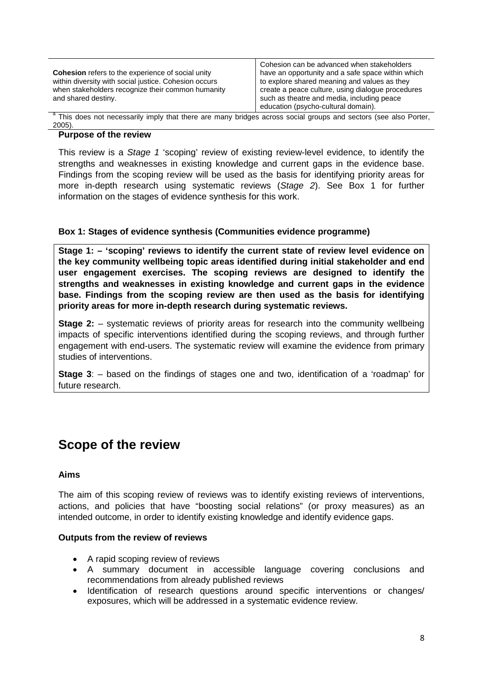| <b>Cohesion</b> refers to the experience of social unity<br>within diversity with social justice. Cohesion occurs<br>when stakeholders recognize their common humanity<br>and shared destiny. | Cohesion can be advanced when stakeholders<br>have an opportunity and a safe space within which<br>to explore shared meaning and values as they<br>create a peace culture, using dialogue procedures<br>such as theatre and media, including peace<br>education (psycho-cultural domain). |  |  |  |  |  |
|-----------------------------------------------------------------------------------------------------------------------------------------------------------------------------------------------|-------------------------------------------------------------------------------------------------------------------------------------------------------------------------------------------------------------------------------------------------------------------------------------------|--|--|--|--|--|
| <sup>a</sup> This does not necessarily imply that there are many bridges across social groups and sectors (see also Porter                                                                    |                                                                                                                                                                                                                                                                                           |  |  |  |  |  |

This does not necessarily imply that there are many bridges across social groups and sectors (see also Port $\epsilon$ 2005).

#### **Purpose of the review**

This review is a *Stage 1* 'scoping' review of existing review-level evidence, to identify the strengths and weaknesses in existing knowledge and current gaps in the evidence base. Findings from the scoping review will be used as the basis for identifying priority areas for more in-depth research using systematic reviews (*Stage 2*). See Box 1 for further information on the stages of evidence synthesis for this work.

## **Box 1: Stages of evidence synthesis (Communities evidence programme)**

**Stage 1: – 'scoping' reviews to identify the current state of review level evidence on the key community wellbeing topic areas identified during initial stakeholder and end user engagement exercises. The scoping reviews are designed to identify the strengths and weaknesses in existing knowledge and current gaps in the evidence base. Findings from the scoping review are then used as the basis for identifying priority areas for more in-depth research during systematic reviews.**

**Stage 2:** – systematic reviews of priority areas for research into the community wellbeing impacts of specific interventions identified during the scoping reviews, and through further engagement with end-users. The systematic review will examine the evidence from primary studies of interventions.

**Stage 3**: – based on the findings of stages one and two, identification of a 'roadmap' for future research.

# <span id="page-8-0"></span>**Scope of the review**

## <span id="page-8-1"></span>**Aims**

The aim of this scoping review of reviews was to identify existing reviews of interventions, actions, and policies that have "boosting social relations" (or proxy measures) as an intended outcome, in order to identify existing knowledge and identify evidence gaps.

## <span id="page-8-2"></span>**Outputs from the review of reviews**

- A rapid scoping review of reviews
- A summary document in accessible language covering conclusions and recommendations from already published reviews
- Identification of research questions around specific interventions or changes/ exposures, which will be addressed in a systematic evidence review.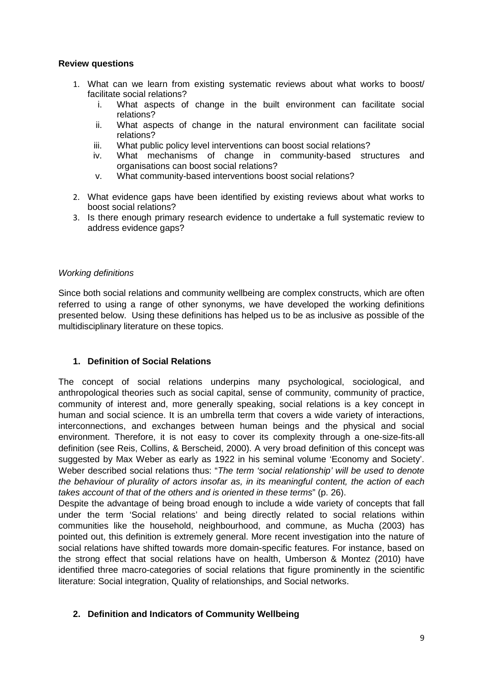## <span id="page-9-0"></span>**Review questions**

- 1. What can we learn from existing systematic reviews about what works to boost/ facilitate social relations?
	- i. What aspects of change in the built environment can facilitate social relations?
	- ii. What aspects of change in the natural environment can facilitate social relations?
	- iii. What public policy level interventions can boost social relations?
	- iv. What mechanisms of change in community-based structures and organisations can boost social relations?
	- v. What community-based interventions boost social relations?
- 2. What evidence gaps have been identified by existing reviews about what works to boost social relations?
- <span id="page-9-1"></span>3. Is there enough primary research evidence to undertake a full systematic review to address evidence gaps?

## *Working definitions*

Since both social relations and community wellbeing are complex constructs, which are often referred to using a range of other synonyms, we have developed the working definitions presented below. Using these definitions has helped us to be as inclusive as possible of the multidisciplinary literature on these topics.

## **1. Definition of Social Relations**

The concept of social relations underpins many psychological, sociological, and anthropological theories such as social capital, sense of community, community of practice, community of interest and, more generally speaking, social relations is a key concept in human and social science. It is an umbrella term that covers a wide variety of interactions, interconnections, and exchanges between human beings and the physical and social environment. Therefore, it is not easy to cover its complexity through a one-size-fits-all definition (see Reis, Collins, & Berscheid, 2000). A very broad definition of this concept was suggested by Max Weber as early as 1922 in his seminal volume 'Economy and Society'. Weber described social relations thus: "*The term 'social relationship' will be used to denote the behaviour of plurality of actors insofar as, in its meaningful content, the action of each takes account of that of the others and is oriented in these terms*" (p. 26).

Despite the advantage of being broad enough to include a wide variety of concepts that fall under the term 'Social relations' and being directly related to social relations within communities like the household, neighbourhood, and commune, as Mucha (2003) has pointed out, this definition is extremely general. More recent investigation into the nature of social relations have shifted towards more domain-specific features. For instance, based on the strong effect that social relations have on health, Umberson & Montez (2010) have identified three macro-categories of social relations that figure prominently in the scientific literature: Social integration, Quality of relationships, and Social networks.

## **2. Definition and Indicators of Community Wellbeing**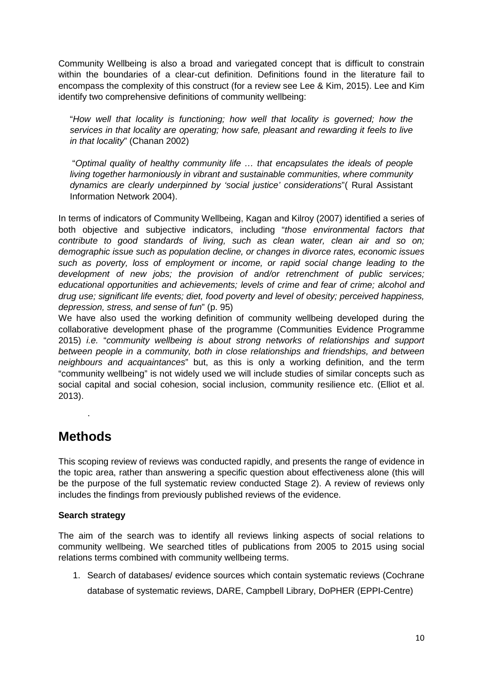Community Wellbeing is also a broad and variegated concept that is difficult to constrain within the boundaries of a clear-cut definition. Definitions found in the literature fail to encompass the complexity of this construct (for a review see Lee & Kim, 2015). Lee and Kim identify two comprehensive definitions of community wellbeing:

"*How well that locality is functioning; how well that locality is governed; how the services in that locality are operating; how safe, pleasant and rewarding it feels to live in that locality*" (Chanan 2002)

"*Optimal quality of healthy community life … that encapsulates the ideals of people living together harmoniously in vibrant and sustainable communities, where community dynamics are clearly underpinned by 'social justice' considerations*"( Rural Assistant Information Network 2004).

In terms of indicators of Community Wellbeing, Kagan and Kilroy (2007) identified a series of both objective and subjective indicators, including "*those environmental factors that contribute to good standards of living, such as clean water, clean air and so on; demographic issue such as population decline, or changes in divorce rates, economic issues such as poverty, loss of employment or income, or rapid social change leading to the development of new jobs; the provision of and/or retrenchment of public services; educational opportunities and achievements; levels of crime and fear of crime; alcohol and drug use; significant life events; diet, food poverty and level of obesity; perceived happiness, depression, stress, and sense of fun*" (p. 95)

We have also used the working definition of community wellbeing developed during the collaborative development phase of the programme (Communities Evidence Programme 2015) *i.e.* "*community wellbeing is about strong networks of relationships and support between people in a community, both in close relationships and friendships, and between neighbours and acquaintances*" but, as this is only a working definition, and the term "community wellbeing" is not widely used we will include studies of similar concepts such as social capital and social cohesion, social inclusion, community resilience etc. (Elliot et al. 2013).

# <span id="page-10-0"></span>**Methods**

.

This scoping review of reviews was conducted rapidly, and presents the range of evidence in the topic area, rather than answering a specific question about effectiveness alone (this will be the purpose of the full systematic review conducted Stage 2). A review of reviews only includes the findings from previously published reviews of the evidence.

## <span id="page-10-1"></span>**Search strategy**

The aim of the search was to identify all reviews linking aspects of social relations to community wellbeing. We searched titles of publications from 2005 to 2015 using social relations terms combined with community wellbeing terms.

1. Search of databases/ evidence sources which contain systematic reviews (Cochrane database of systematic reviews, DARE, Campbell Library, DoPHER (EPPI-Centre)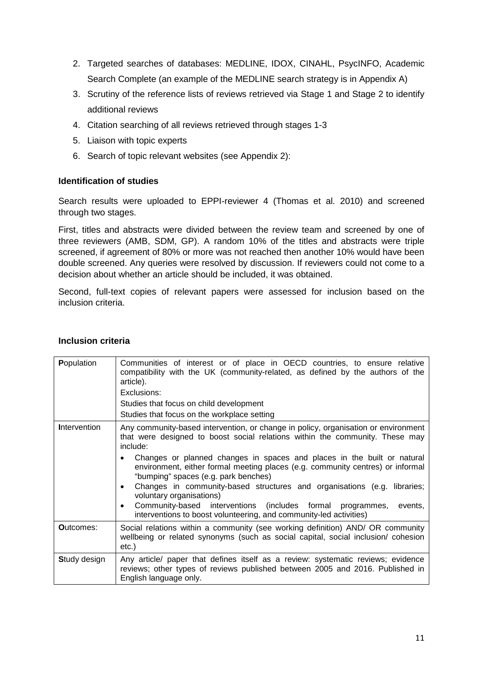- 2. Targeted searches of databases: MEDLINE, IDOX, CINAHL, PsycINFO, Academic Search Complete (an example of the MEDLINE search strategy is in Appendix A)
- 3. Scrutiny of the reference lists of reviews retrieved via Stage 1 and Stage 2 to identify additional reviews
- 4. Citation searching of all reviews retrieved through stages 1-3
- 5. Liaison with topic experts
- 6. Search of topic relevant websites (see Appendix 2):

## <span id="page-11-0"></span>**Identification of studies**

Search results were uploaded to EPPI-reviewer 4 (Thomas et al. 2010) and screened through two stages.

First, titles and abstracts were divided between the review team and screened by one of three reviewers (AMB, SDM, GP). A random 10% of the titles and abstracts were triple screened, if agreement of 80% or more was not reached then another 10% would have been double screened. Any queries were resolved by discussion. If reviewers could not come to a decision about whether an article should be included, it was obtained.

Second, full-text copies of relevant papers were assessed for inclusion based on the inclusion criteria.

| Population          | Communities of interest or of place in OECD countries, to ensure relative<br>compatibility with the UK (community-related, as defined by the authors of the<br>article).<br>Exclusions:<br>Studies that focus on child development                                                                                                                                                                                                                                                                                                                                                                                                                                |
|---------------------|-------------------------------------------------------------------------------------------------------------------------------------------------------------------------------------------------------------------------------------------------------------------------------------------------------------------------------------------------------------------------------------------------------------------------------------------------------------------------------------------------------------------------------------------------------------------------------------------------------------------------------------------------------------------|
|                     | Studies that focus on the workplace setting                                                                                                                                                                                                                                                                                                                                                                                                                                                                                                                                                                                                                       |
| <b>Intervention</b> | Any community-based intervention, or change in policy, organisation or environment<br>that were designed to boost social relations within the community. These may<br>include:<br>Changes or planned changes in spaces and places in the built or natural<br>$\bullet$<br>environment, either formal meeting places (e.g. community centres) or informal<br>"bumping" spaces (e.g. park benches)<br>Changes in community-based structures and organisations (e.g. libraries;<br>٠<br>voluntary organisations)<br>Community-based interventions (includes formal programmes,<br>events,<br>٠<br>interventions to boost volunteering, and community-led activities) |
| Outcomes:           | Social relations within a community (see working definition) AND/ OR community<br>wellbeing or related synonyms (such as social capital, social inclusion/ cohesion<br>etc.)                                                                                                                                                                                                                                                                                                                                                                                                                                                                                      |
| <b>Study design</b> | Any article/ paper that defines itself as a review: systematic reviews; evidence<br>reviews; other types of reviews published between 2005 and 2016. Published in<br>English language only.                                                                                                                                                                                                                                                                                                                                                                                                                                                                       |

## <span id="page-11-1"></span>**Inclusion criteria**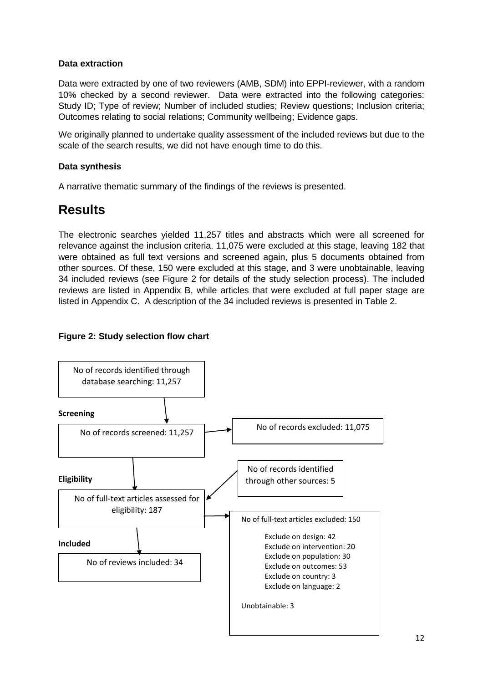## <span id="page-12-0"></span>**Data extraction**

Data were extracted by one of two reviewers (AMB, SDM) into EPPI-reviewer, with a random 10% checked by a second reviewer. Data were extracted into the following categories: Study ID; Type of review; Number of included studies; Review questions; Inclusion criteria; Outcomes relating to social relations; Community wellbeing; Evidence gaps.

We originally planned to undertake quality assessment of the included reviews but due to the scale of the search results, we did not have enough time to do this.

## <span id="page-12-1"></span>**Data synthesis**

A narrative thematic summary of the findings of the reviews is presented.

# <span id="page-12-2"></span>**Results**

The electronic searches yielded 11,257 titles and abstracts which were all screened for relevance against the inclusion criteria. 11,075 were excluded at this stage, leaving 182 that were obtained as full text versions and screened again, plus 5 documents obtained from other sources. Of these, 150 were excluded at this stage, and 3 were unobtainable, leaving 34 included reviews (see Figure 2 for details of the study selection process). The included reviews are listed in Appendix B, while articles that were excluded at full paper stage are listed in Appendix C. A description of the 34 included reviews is presented in Table 2.

## **Figure 2: Study selection flow chart**

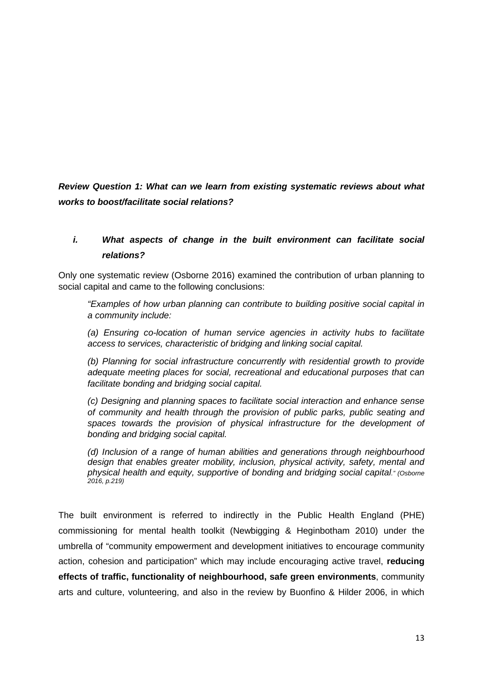*Review Question 1: What can we learn from existing systematic reviews about what works to boost/facilitate social relations?*

## *i. What aspects of change in the built environment can facilitate social relations?*

Only one systematic review (Osborne 2016) examined the contribution of urban planning to social capital and came to the following conclusions:

*"Examples of how urban planning can contribute to building positive social capital in a community include:*

*(a) Ensuring co-location of human service agencies in activity hubs to facilitate access to services, characteristic of bridging and linking social capital.*

*(b) Planning for social infrastructure concurrently with residential growth to provide adequate meeting places for social, recreational and educational purposes that can facilitate bonding and bridging social capital.*

*(c) Designing and planning spaces to facilitate social interaction and enhance sense of community and health through the provision of public parks, public seating and*  spaces towards the provision of physical infrastructure for the development of *bonding and bridging social capital.*

*(d) Inclusion of a range of human abilities and generations through neighbourhood design that enables greater mobility, inclusion, physical activity, safety, mental and physical health and equity, supportive of bonding and bridging social capital." (Osborne 2016, p.219)*

The built environment is referred to indirectly in the Public Health England (PHE) commissioning for mental health toolkit (Newbigging & Heginbotham 2010) under the umbrella of "community empowerment and development initiatives to encourage community action, cohesion and participation" which may include encouraging active travel, **reducing effects of traffic, functionality of neighbourhood, safe green environments**, community arts and culture, volunteering, and also in the review by Buonfino & Hilder 2006, in which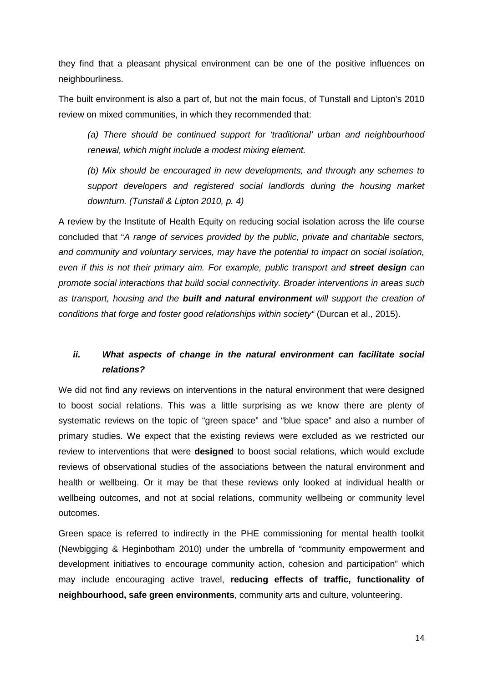they find that a pleasant physical environment can be one of the positive influences on neighbourliness.

The built environment is also a part of, but not the main focus, of Tunstall and Lipton's 2010 review on mixed communities, in which they recommended that:

*(a) There should be continued support for 'traditional' urban and neighbourhood renewal, which might include a modest mixing element.* 

*(b) Mix should be encouraged in new developments, and through any schemes to support developers and registered social landlords during the housing market downturn. (Tunstall & Lipton 2010, p. 4)*

A review by the Institute of Health Equity on reducing social isolation across the life course concluded that "*A range of services provided by the public, private and charitable sectors, and community and voluntary services, may have the potential to impact on social isolation, even if this is not their primary aim. For example, public transport and street design can promote social interactions that build social connectivity. Broader interventions in areas such as transport, housing and the built and natural environment will support the creation of conditions that forge and foster good relationships within society"* (Durcan et al., 2015).

## *ii. What aspects of change in the natural environment can facilitate social relations?*

We did not find any reviews on interventions in the natural environment that were designed to boost social relations. This was a little surprising as we know there are plenty of systematic reviews on the topic of "green space" and "blue space" and also a number of primary studies. We expect that the existing reviews were excluded as we restricted our review to interventions that were **designed** to boost social relations, which would exclude reviews of observational studies of the associations between the natural environment and health or wellbeing. Or it may be that these reviews only looked at individual health or wellbeing outcomes, and not at social relations, community wellbeing or community level outcomes.

Green space is referred to indirectly in the PHE commissioning for mental health toolkit (Newbigging & Heginbotham 2010) under the umbrella of "community empowerment and development initiatives to encourage community action, cohesion and participation" which may include encouraging active travel, **reducing effects of traffic, functionality of neighbourhood, safe green environments**, community arts and culture, volunteering.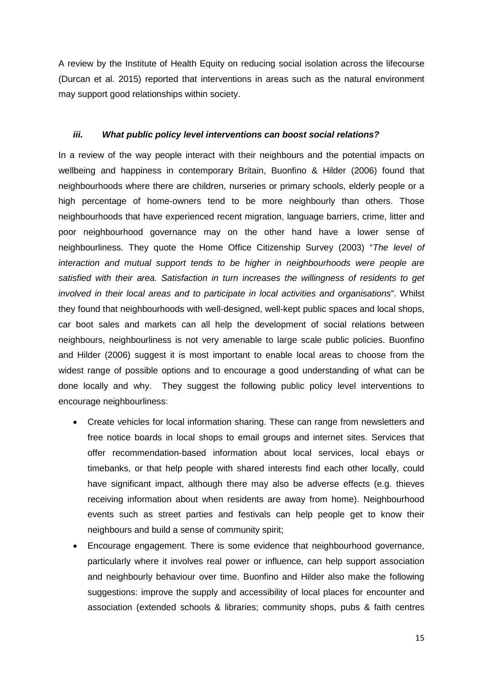A review by the Institute of Health Equity on reducing social isolation across the lifecourse (Durcan et al. 2015) reported that interventions in areas such as the natural environment may support good relationships within society.

## *iii. What public policy level interventions can boost social relations?*

In a review of the way people interact with their neighbours and the potential impacts on wellbeing and happiness in contemporary Britain, Buonfino & Hilder (2006) found that neighbourhoods where there are children, nurseries or primary schools, elderly people or a high percentage of home-owners tend to be more neighbourly than others. Those neighbourhoods that have experienced recent migration, language barriers, crime, litter and poor neighbourhood governance may on the other hand have a lower sense of neighbourliness. They quote the Home Office Citizenship Survey (2003) "*The level of interaction and mutual support tends to be higher in neighbourhoods were people are satisfied with their area. Satisfaction in turn increases the willingness of residents to get involved in their local areas and to participate in local activities and organisations*". Whilst they found that neighbourhoods with well-designed, well-kept public spaces and local shops, car boot sales and markets can all help the development of social relations between neighbours, neighbourliness is not very amenable to large scale public policies. Buonfino and Hilder (2006) suggest it is most important to enable local areas to choose from the widest range of possible options and to encourage a good understanding of what can be done locally and why. They suggest the following public policy level interventions to encourage neighbourliness:

- Create vehicles for local information sharing. These can range from newsletters and free notice boards in local shops to email groups and internet sites. Services that offer recommendation-based information about local services, local ebays or timebanks, or that help people with shared interests find each other locally, could have significant impact, although there may also be adverse effects (e.g. thieves receiving information about when residents are away from home). Neighbourhood events such as street parties and festivals can help people get to know their neighbours and build a sense of community spirit;
- Encourage engagement. There is some evidence that neighbourhood governance, particularly where it involves real power or influence, can help support association and neighbourly behaviour over time. Buonfino and Hilder also make the following suggestions: improve the supply and accessibility of local places for encounter and association (extended schools & libraries; community shops, pubs & faith centres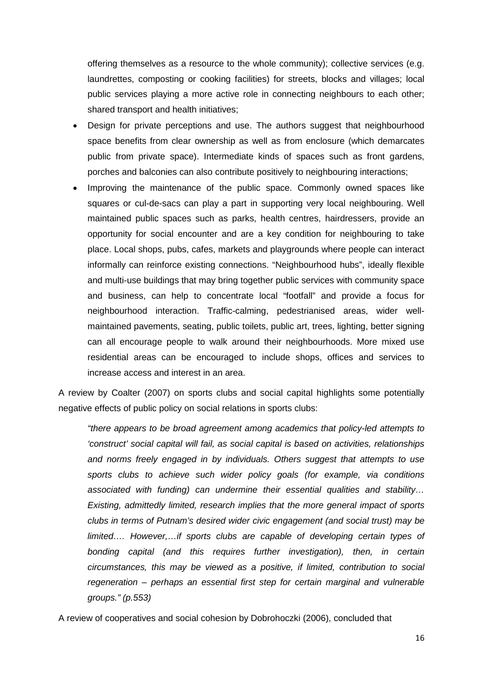offering themselves as a resource to the whole community); collective services (e.g. laundrettes, composting or cooking facilities) for streets, blocks and villages; local public services playing a more active role in connecting neighbours to each other; shared transport and health initiatives;

- Design for private perceptions and use. The authors suggest that neighbourhood space benefits from clear ownership as well as from enclosure (which demarcates public from private space). Intermediate kinds of spaces such as front gardens, porches and balconies can also contribute positively to neighbouring interactions;
- Improving the maintenance of the public space. Commonly owned spaces like squares or cul-de-sacs can play a part in supporting very local neighbouring. Well maintained public spaces such as parks, health centres, hairdressers, provide an opportunity for social encounter and are a key condition for neighbouring to take place. Local shops, pubs, cafes, markets and playgrounds where people can interact informally can reinforce existing connections. "Neighbourhood hubs", ideally flexible and multi-use buildings that may bring together public services with community space and business, can help to concentrate local "footfall" and provide a focus for neighbourhood interaction. Traffic-calming, pedestrianised areas, wider wellmaintained pavements, seating, public toilets, public art, trees, lighting, better signing can all encourage people to walk around their neighbourhoods. More mixed use residential areas can be encouraged to include shops, offices and services to increase access and interest in an area.

A review by Coalter (2007) on sports clubs and social capital highlights some potentially negative effects of public policy on social relations in sports clubs:

*"there appears to be broad agreement among academics that policy-led attempts to 'construct' social capital will fail, as social capital is based on activities, relationships and norms freely engaged in by individuals. Others suggest that attempts to use sports clubs to achieve such wider policy goals (for example, via conditions associated with funding) can undermine their essential qualities and stability… Existing, admittedly limited, research implies that the more general impact of sports clubs in terms of Putnam's desired wider civic engagement (and social trust) may be limited…. However,…if sports clubs are capable of developing certain types of bonding capital (and this requires further investigation), then, in certain circumstances, this may be viewed as a positive, if limited, contribution to social regeneration – perhaps an essential first step for certain marginal and vulnerable groups." (p.553)*

A review of cooperatives and social cohesion by Dobrohoczki (2006), concluded that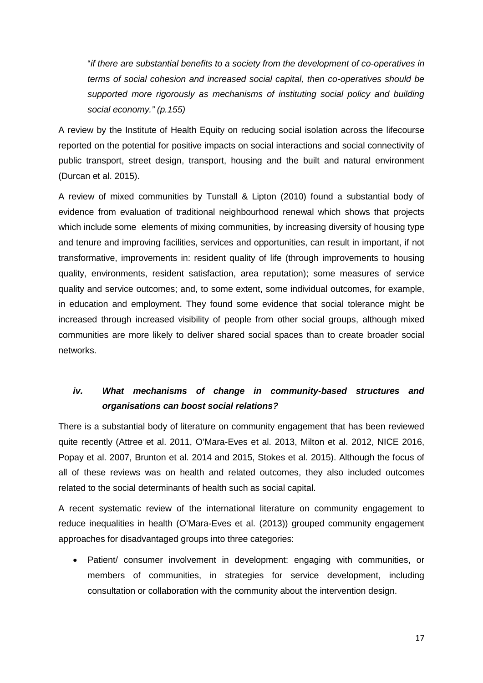"*if there are substantial benefits to a society from the development of co-operatives in terms of social cohesion and increased social capital, then co-operatives should be supported more rigorously as mechanisms of instituting social policy and building social economy." (p.155)*

A review by the Institute of Health Equity on reducing social isolation across the lifecourse reported on the potential for positive impacts on social interactions and social connectivity of public transport, street design, transport, housing and the built and natural environment (Durcan et al. 2015).

A review of mixed communities by Tunstall & Lipton (2010) found a substantial body of evidence from evaluation of traditional neighbourhood renewal which shows that projects which include some elements of mixing communities, by increasing diversity of housing type and tenure and improving facilities, services and opportunities, can result in important, if not transformative, improvements in: resident quality of life (through improvements to housing quality, environments, resident satisfaction, area reputation); some measures of service quality and service outcomes; and, to some extent, some individual outcomes, for example, in education and employment. They found some evidence that social tolerance might be increased through increased visibility of people from other social groups, although mixed communities are more likely to deliver shared social spaces than to create broader social networks.

## *iv. What mechanisms of change in community-based structures and organisations can boost social relations?*

There is a substantial body of literature on community engagement that has been reviewed quite recently (Attree et al. 2011, O'Mara-Eves et al. 2013, Milton et al. 2012, NICE 2016, Popay et al. 2007, Brunton et al. 2014 and 2015, Stokes et al. 2015). Although the focus of all of these reviews was on health and related outcomes, they also included outcomes related to the social determinants of health such as social capital.

A recent systematic review of the international literature on community engagement to reduce inequalities in health (O'Mara-Eves et al. (2013)) grouped community engagement approaches for disadvantaged groups into three categories:

• Patient/ consumer involvement in development: engaging with communities, or members of communities, in strategies for service development, including consultation or collaboration with the community about the intervention design.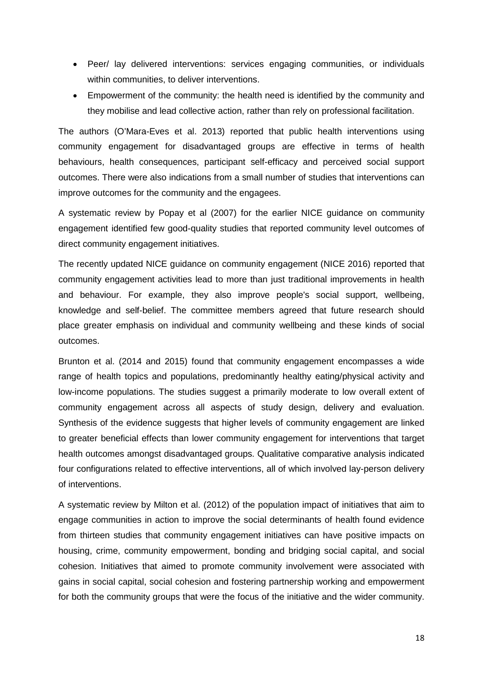- Peer/ lay delivered interventions: services engaging communities, or individuals within communities, to deliver interventions.
- Empowerment of the community: the health need is identified by the community and they mobilise and lead collective action, rather than rely on professional facilitation.

The authors (O'Mara-Eves et al. 2013) reported that public health interventions using community engagement for disadvantaged groups are effective in terms of health behaviours, health consequences, participant self-efficacy and perceived social support outcomes. There were also indications from a small number of studies that interventions can improve outcomes for the community and the engagees.

A systematic review by Popay et al (2007) for the earlier NICE guidance on community engagement identified few good-quality studies that reported community level outcomes of direct community engagement initiatives.

The recently updated NICE guidance on community engagement (NICE 2016) reported that community engagement activities lead to more than just traditional improvements in health and behaviour. For example, they also improve people's social support, wellbeing, knowledge and self-belief. The committee members agreed that future research should place greater emphasis on individual and community wellbeing and these kinds of social outcomes.

Brunton et al. (2014 and 2015) found that community engagement encompasses a wide range of health topics and populations, predominantly healthy eating/physical activity and low-income populations. The studies suggest a primarily moderate to low overall extent of community engagement across all aspects of study design, delivery and evaluation. Synthesis of the evidence suggests that higher levels of community engagement are linked to greater beneficial effects than lower community engagement for interventions that target health outcomes amongst disadvantaged groups. Qualitative comparative analysis indicated four configurations related to effective interventions, all of which involved lay-person delivery of interventions.

A systematic review by Milton et al. (2012) of the population impact of initiatives that aim to engage communities in action to improve the social determinants of health found evidence from thirteen studies that community engagement initiatives can have positive impacts on housing, crime, community empowerment, bonding and bridging social capital, and social cohesion. Initiatives that aimed to promote community involvement were associated with gains in social capital, social cohesion and fostering partnership working and empowerment for both the community groups that were the focus of the initiative and the wider community.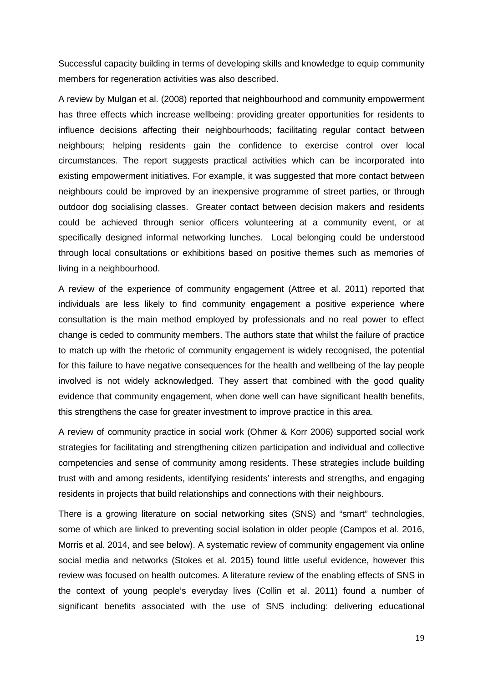Successful capacity building in terms of developing skills and knowledge to equip community members for regeneration activities was also described.

A review by Mulgan et al. (2008) reported that neighbourhood and community empowerment has three effects which increase wellbeing: providing greater opportunities for residents to influence decisions affecting their neighbourhoods; facilitating regular contact between neighbours; helping residents gain the confidence to exercise control over local circumstances. The report suggests practical activities which can be incorporated into existing empowerment initiatives. For example, it was suggested that more contact between neighbours could be improved by an inexpensive programme of street parties, or through outdoor dog socialising classes. Greater contact between decision makers and residents could be achieved through senior officers volunteering at a community event, or at specifically designed informal networking lunches. Local belonging could be understood through local consultations or exhibitions based on positive themes such as memories of living in a neighbourhood.

A review of the experience of community engagement (Attree et al. 2011) reported that individuals are less likely to find community engagement a positive experience where consultation is the main method employed by professionals and no real power to effect change is ceded to community members. The authors state that whilst the failure of practice to match up with the rhetoric of community engagement is widely recognised, the potential for this failure to have negative consequences for the health and wellbeing of the lay people involved is not widely acknowledged. They assert that combined with the good quality evidence that community engagement, when done well can have significant health benefits, this strengthens the case for greater investment to improve practice in this area.

A review of community practice in social work (Ohmer & Korr 2006) supported social work strategies for facilitating and strengthening citizen participation and individual and collective competencies and sense of community among residents. These strategies include building trust with and among residents, identifying residents' interests and strengths, and engaging residents in projects that build relationships and connections with their neighbours.

There is a growing literature on social networking sites (SNS) and "smart" technologies, some of which are linked to preventing social isolation in older people (Campos et al. 2016, Morris et al. 2014, and see below). A systematic review of community engagement via online social media and networks (Stokes et al. 2015) found little useful evidence, however this review was focused on health outcomes. A literature review of the enabling effects of SNS in the context of young people's everyday lives (Collin et al. 2011) found a number of significant benefits associated with the use of SNS including: delivering educational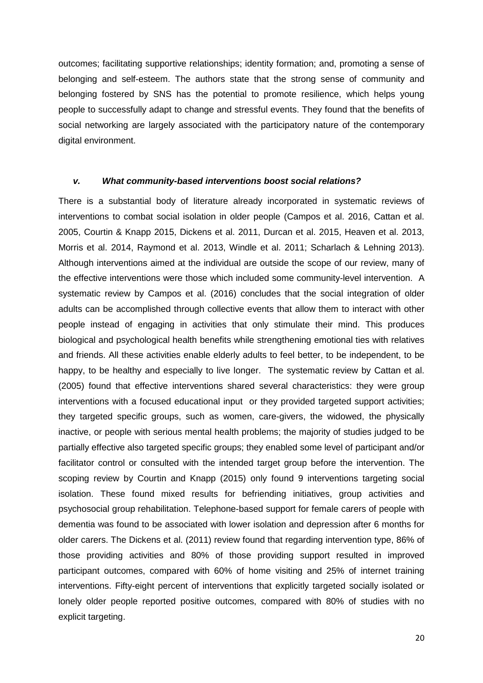outcomes; facilitating supportive relationships; identity formation; and, promoting a sense of belonging and self-esteem. The authors state that the strong sense of community and belonging fostered by SNS has the potential to promote resilience, which helps young people to successfully adapt to change and stressful events. They found that the benefits of social networking are largely associated with the participatory nature of the contemporary digital environment.

#### *v. What community-based interventions boost social relations?*

There is a substantial body of literature already incorporated in systematic reviews of interventions to combat social isolation in older people (Campos et al. 2016, Cattan et al. 2005, Courtin & Knapp 2015, Dickens et al. 2011, Durcan et al. 2015, Heaven et al. 2013, Morris et al. 2014, Raymond et al. 2013, Windle et al. 2011; Scharlach & Lehning 2013). Although interventions aimed at the individual are outside the scope of our review, many of the effective interventions were those which included some community-level intervention. A systematic review by Campos et al. (2016) concludes that the social integration of older adults can be accomplished through collective events that allow them to interact with other people instead of engaging in activities that only stimulate their mind. This produces biological and psychological health benefits while strengthening emotional ties with relatives and friends. All these activities enable elderly adults to feel better, to be independent, to be happy, to be healthy and especially to live longer. The systematic review by Cattan et al. (2005) found that effective interventions shared several characteristics: they were group interventions with a focused educational input or they provided targeted support activities; they targeted specific groups, such as women, care-givers, the widowed, the physically inactive, or people with serious mental health problems; the majority of studies judged to be partially effective also targeted specific groups; they enabled some level of participant and/or facilitator control or consulted with the intended target group before the intervention. The scoping review by Courtin and Knapp (2015) only found 9 interventions targeting social isolation. These found mixed results for befriending initiatives, group activities and psychosocial group rehabilitation. Telephone-based support for female carers of people with dementia was found to be associated with lower isolation and depression after 6 months for older carers. The Dickens et al. (2011) review found that regarding intervention type, 86% of those providing activities and 80% of those providing support resulted in improved participant outcomes, compared with 60% of home visiting and 25% of internet training interventions. Fifty-eight percent of interventions that explicitly targeted socially isolated or lonely older people reported positive outcomes, compared with 80% of studies with no explicit targeting.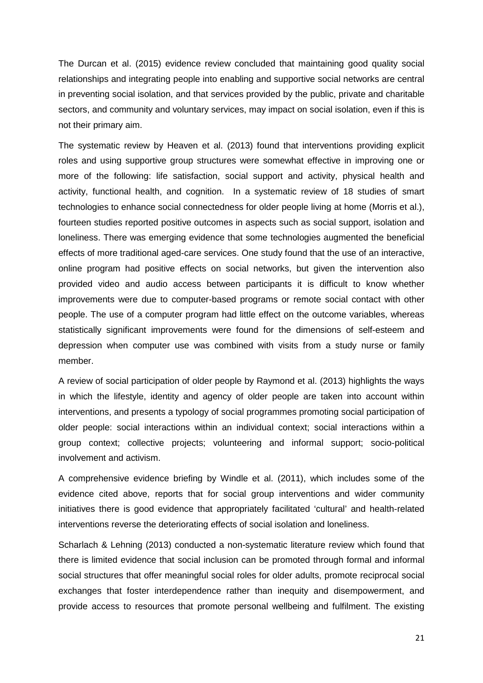The Durcan et al. (2015) evidence review concluded that maintaining good quality social relationships and integrating people into enabling and supportive social networks are central in preventing social isolation, and that services provided by the public, private and charitable sectors, and community and voluntary services, may impact on social isolation, even if this is not their primary aim.

The systematic review by Heaven et al. (2013) found that interventions providing explicit roles and using supportive group structures were somewhat effective in improving one or more of the following: life satisfaction, social support and activity, physical health and activity, functional health, and cognition. In a systematic review of 18 studies of smart technologies to enhance social connectedness for older people living at home (Morris et al.), fourteen studies reported positive outcomes in aspects such as social support, isolation and loneliness. There was emerging evidence that some technologies augmented the beneficial effects of more traditional aged-care services. One study found that the use of an interactive, online program had positive effects on social networks, but given the intervention also provided video and audio access between participants it is difficult to know whether improvements were due to computer-based programs or remote social contact with other people. The use of a computer program had little effect on the outcome variables, whereas statistically significant improvements were found for the dimensions of self-esteem and depression when computer use was combined with visits from a study nurse or family member.

A review of social participation of older people by Raymond et al. (2013) highlights the ways in which the lifestyle, identity and agency of older people are taken into account within interventions, and presents a typology of social programmes promoting social participation of older people: social interactions within an individual context; social interactions within a group context; collective projects; volunteering and informal support; socio-political involvement and activism.

A comprehensive evidence briefing by Windle et al. (2011), which includes some of the evidence cited above, reports that for social group interventions and wider community initiatives there is good evidence that appropriately facilitated 'cultural' and health-related interventions reverse the deteriorating effects of social isolation and loneliness.

Scharlach & Lehning (2013) conducted a non-systematic literature review which found that there is limited evidence that social inclusion can be promoted through formal and informal social structures that offer meaningful social roles for older adults, promote reciprocal social exchanges that foster interdependence rather than inequity and disempowerment, and provide access to resources that promote personal wellbeing and fulfilment. The existing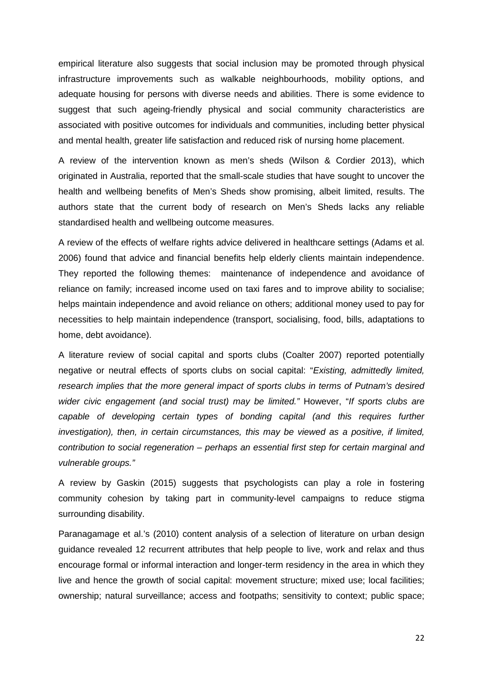empirical literature also suggests that social inclusion may be promoted through physical infrastructure improvements such as walkable neighbourhoods, mobility options, and adequate housing for persons with diverse needs and abilities. There is some evidence to suggest that such ageing-friendly physical and social community characteristics are associated with positive outcomes for individuals and communities, including better physical and mental health, greater life satisfaction and reduced risk of nursing home placement.

A review of the intervention known as men's sheds (Wilson & Cordier 2013), which originated in Australia, reported that the small-scale studies that have sought to uncover the health and wellbeing benefits of Men's Sheds show promising, albeit limited, results. The authors state that the current body of research on Men's Sheds lacks any reliable standardised health and wellbeing outcome measures.

A review of the effects of welfare rights advice delivered in healthcare settings (Adams et al. 2006) found that advice and financial benefits help elderly clients maintain independence. They reported the following themes: maintenance of independence and avoidance of reliance on family; increased income used on taxi fares and to improve ability to socialise; helps maintain independence and avoid reliance on others; additional money used to pay for necessities to help maintain independence (transport, socialising, food, bills, adaptations to home, debt avoidance).

A literature review of social capital and sports clubs (Coalter 2007) reported potentially negative or neutral effects of sports clubs on social capital: "*Existing, admittedly limited, research implies that the more general impact of sports clubs in terms of Putnam's desired wider civic engagement (and social trust) may be limited."* However, "*If sports clubs are*  capable of developing certain types of bonding capital (and this requires further *investigation), then, in certain circumstances, this may be viewed as a positive, if limited, contribution to social regeneration – perhaps an essential first step for certain marginal and vulnerable groups."*

A review by Gaskin (2015) suggests that psychologists can play a role in fostering community cohesion by taking part in community-level campaigns to reduce stigma surrounding disability.

Paranagamage et al.'s (2010) content analysis of a selection of literature on urban design guidance revealed 12 recurrent attributes that help people to live, work and relax and thus encourage formal or informal interaction and longer-term residency in the area in which they live and hence the growth of social capital: movement structure; mixed use; local facilities; ownership; natural surveillance; access and footpaths; sensitivity to context; public space;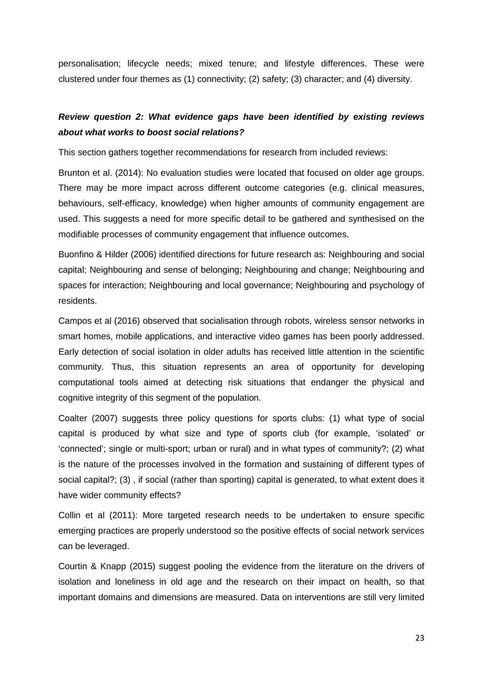personalisation; lifecycle needs; mixed tenure; and lifestyle differences. These were clustered under four themes as (1) connectivity; (2) safety; (3) character; and (4) diversity.

## *Review question 2: What evidence gaps have been identified by existing reviews about what works to boost social relations?*

This section gathers together recommendations for research from included reviews:

Brunton et al. (2014): No evaluation studies were located that focused on older age groups. There may be more impact across different outcome categories (e.g. clinical measures, behaviours, self-efficacy, knowledge) when higher amounts of community engagement are used. This suggests a need for more specific detail to be gathered and synthesised on the modifiable processes of community engagement that influence outcomes.

Buonfino & Hilder (2006) identified directions for future research as: Neighbouring and social capital; Neighbouring and sense of belonging; Neighbouring and change; Neighbouring and spaces for interaction; Neighbouring and local governance; Neighbouring and psychology of residents.

Campos et al (2016) observed that socialisation through robots, wireless sensor networks in smart homes, mobile applications, and interactive video games has been poorly addressed. Early detection of social isolation in older adults has received little attention in the scientific community. Thus, this situation represents an area of opportunity for developing computational tools aimed at detecting risk situations that endanger the physical and cognitive integrity of this segment of the population.

Coalter (2007) suggests three policy questions for sports clubs: (1) what type of social capital is produced by what size and type of sports club (for example, 'isolated' or 'connected'; single or multi-sport; urban or rural) and in what types of community?; (2) what is the nature of the processes involved in the formation and sustaining of different types of social capital?; (3) , if social (rather than sporting) capital is generated, to what extent does it have wider community effects?

Collin et al (2011): More targeted research needs to be undertaken to ensure specific emerging practices are properly understood so the positive effects of social network services can be leveraged.

Courtin & Knapp (2015) suggest pooling the evidence from the literature on the drivers of isolation and loneliness in old age and the research on their impact on health, so that important domains and dimensions are measured. Data on interventions are still very limited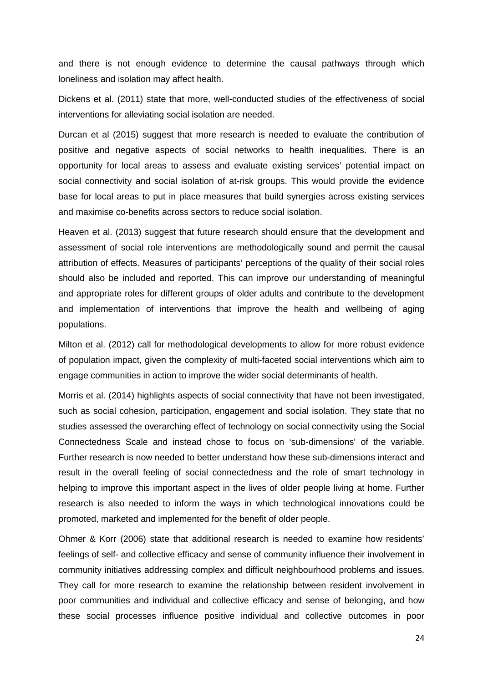and there is not enough evidence to determine the causal pathways through which loneliness and isolation may affect health.

Dickens et al. (2011) state that more, well-conducted studies of the effectiveness of social interventions for alleviating social isolation are needed.

Durcan et al (2015) suggest that more research is needed to evaluate the contribution of positive and negative aspects of social networks to health inequalities. There is an opportunity for local areas to assess and evaluate existing services' potential impact on social connectivity and social isolation of at-risk groups. This would provide the evidence base for local areas to put in place measures that build synergies across existing services and maximise co-benefits across sectors to reduce social isolation.

Heaven et al. (2013) suggest that future research should ensure that the development and assessment of social role interventions are methodologically sound and permit the causal attribution of effects. Measures of participants' perceptions of the quality of their social roles should also be included and reported. This can improve our understanding of meaningful and appropriate roles for different groups of older adults and contribute to the development and implementation of interventions that improve the health and wellbeing of aging populations.

Milton et al. (2012) call for methodological developments to allow for more robust evidence of population impact, given the complexity of multi-faceted social interventions which aim to engage communities in action to improve the wider social determinants of health.

Morris et al. (2014) highlights aspects of social connectivity that have not been investigated, such as social cohesion, participation, engagement and social isolation. They state that no studies assessed the overarching effect of technology on social connectivity using the Social Connectedness Scale and instead chose to focus on 'sub-dimensions' of the variable. Further research is now needed to better understand how these sub-dimensions interact and result in the overall feeling of social connectedness and the role of smart technology in helping to improve this important aspect in the lives of older people living at home. Further research is also needed to inform the ways in which technological innovations could be promoted, marketed and implemented for the benefit of older people.

Ohmer & Korr (2006) state that additional research is needed to examine how residents' feelings of self- and collective efficacy and sense of community influence their involvement in community initiatives addressing complex and difficult neighbourhood problems and issues. They call for more research to examine the relationship between resident involvement in poor communities and individual and collective efficacy and sense of belonging, and how these social processes influence positive individual and collective outcomes in poor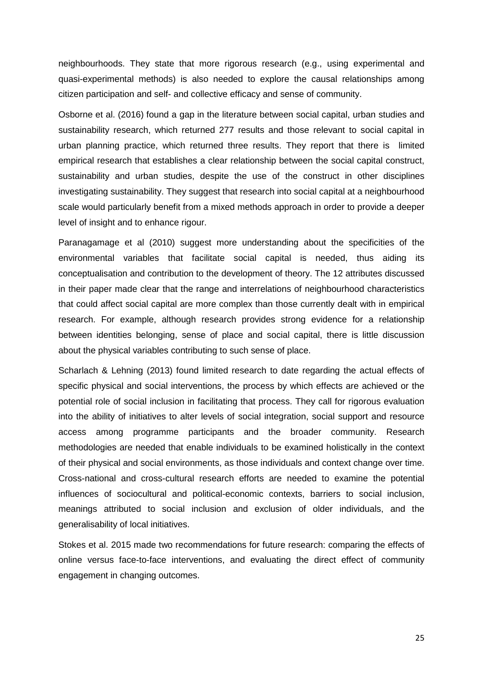neighbourhoods. They state that more rigorous research (e.g., using experimental and quasi-experimental methods) is also needed to explore the causal relationships among citizen participation and self- and collective efficacy and sense of community.

Osborne et al. (2016) found a gap in the literature between social capital, urban studies and sustainability research, which returned 277 results and those relevant to social capital in urban planning practice, which returned three results. They report that there is limited empirical research that establishes a clear relationship between the social capital construct, sustainability and urban studies, despite the use of the construct in other disciplines investigating sustainability. They suggest that research into social capital at a neighbourhood scale would particularly benefit from a mixed methods approach in order to provide a deeper level of insight and to enhance rigour.

Paranagamage et al (2010) suggest more understanding about the specificities of the environmental variables that facilitate social capital is needed, thus aiding its conceptualisation and contribution to the development of theory. The 12 attributes discussed in their paper made clear that the range and interrelations of neighbourhood characteristics that could affect social capital are more complex than those currently dealt with in empirical research. For example, although research provides strong evidence for a relationship between identities belonging, sense of place and social capital, there is little discussion about the physical variables contributing to such sense of place.

Scharlach & Lehning (2013) found limited research to date regarding the actual effects of specific physical and social interventions, the process by which effects are achieved or the potential role of social inclusion in facilitating that process. They call for rigorous evaluation into the ability of initiatives to alter levels of social integration, social support and resource access among programme participants and the broader community. Research methodologies are needed that enable individuals to be examined holistically in the context of their physical and social environments, as those individuals and context change over time. Cross-national and cross-cultural research efforts are needed to examine the potential influences of sociocultural and political-economic contexts, barriers to social inclusion, meanings attributed to social inclusion and exclusion of older individuals, and the generalisability of local initiatives.

Stokes et al. 2015 made two recommendations for future research: comparing the effects of online versus face-to-face interventions, and evaluating the direct effect of community engagement in changing outcomes.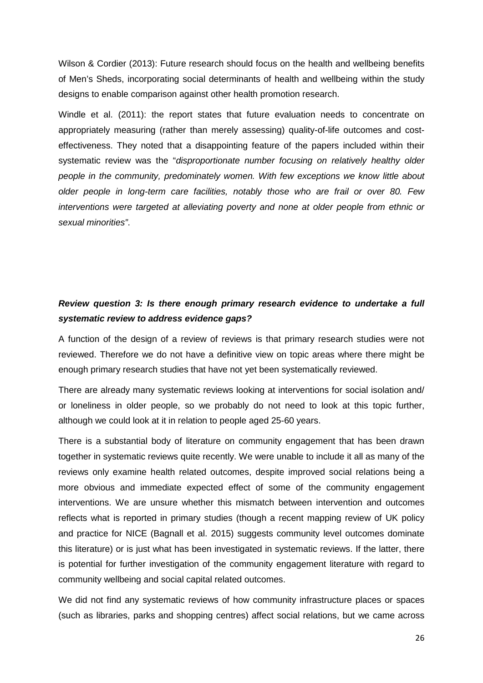Wilson & Cordier (2013): Future research should focus on the health and wellbeing benefits of Men's Sheds, incorporating social determinants of health and wellbeing within the study designs to enable comparison against other health promotion research.

Windle et al. (2011): the report states that future evaluation needs to concentrate on appropriately measuring (rather than merely assessing) quality-of-life outcomes and costeffectiveness. They noted that a disappointing feature of the papers included within their systematic review was the "*disproportionate number focusing on relatively healthy older people in the community, predominately women. With few exceptions we know little about older people in long-term care facilities, notably those who are frail or over 80. Few interventions were targeted at alleviating poverty and none at older people from ethnic or sexual minorities"*.

## *Review question 3: Is there enough primary research evidence to undertake a full systematic review to address evidence gaps?*

A function of the design of a review of reviews is that primary research studies were not reviewed. Therefore we do not have a definitive view on topic areas where there might be enough primary research studies that have not yet been systematically reviewed.

There are already many systematic reviews looking at interventions for social isolation and/ or loneliness in older people, so we probably do not need to look at this topic further, although we could look at it in relation to people aged 25-60 years.

There is a substantial body of literature on community engagement that has been drawn together in systematic reviews quite recently. We were unable to include it all as many of the reviews only examine health related outcomes, despite improved social relations being a more obvious and immediate expected effect of some of the community engagement interventions. We are unsure whether this mismatch between intervention and outcomes reflects what is reported in primary studies (though a recent mapping review of UK policy and practice for NICE (Bagnall et al. 2015) suggests community level outcomes dominate this literature) or is just what has been investigated in systematic reviews. If the latter, there is potential for further investigation of the community engagement literature with regard to community wellbeing and social capital related outcomes.

We did not find any systematic reviews of how community infrastructure places or spaces (such as libraries, parks and shopping centres) affect social relations, but we came across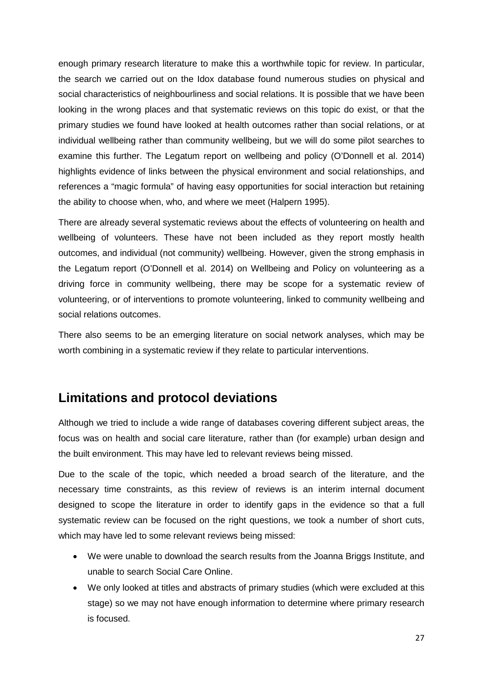enough primary research literature to make this a worthwhile topic for review. In particular, the search we carried out on the Idox database found numerous studies on physical and social characteristics of neighbourliness and social relations. It is possible that we have been looking in the wrong places and that systematic reviews on this topic do exist, or that the primary studies we found have looked at health outcomes rather than social relations, or at individual wellbeing rather than community wellbeing, but we will do some pilot searches to examine this further. The Legatum report on wellbeing and policy (O'Donnell et al. 2014) highlights evidence of links between the physical environment and social relationships, and references a "magic formula" of having easy opportunities for social interaction but retaining the ability to choose when, who, and where we meet (Halpern 1995).

There are already several systematic reviews about the effects of volunteering on health and wellbeing of volunteers. These have not been included as they report mostly health outcomes, and individual (not community) wellbeing. However, given the strong emphasis in the Legatum report (O'Donnell et al. 2014) on Wellbeing and Policy on volunteering as a driving force in community wellbeing, there may be scope for a systematic review of volunteering, or of interventions to promote volunteering, linked to community wellbeing and social relations outcomes.

There also seems to be an emerging literature on social network analyses, which may be worth combining in a systematic review if they relate to particular interventions.

# <span id="page-27-0"></span>**Limitations and protocol deviations**

Although we tried to include a wide range of databases covering different subject areas, the focus was on health and social care literature, rather than (for example) urban design and the built environment. This may have led to relevant reviews being missed.

Due to the scale of the topic, which needed a broad search of the literature, and the necessary time constraints, as this review of reviews is an interim internal document designed to scope the literature in order to identify gaps in the evidence so that a full systematic review can be focused on the right questions, we took a number of short cuts, which may have led to some relevant reviews being missed:

- We were unable to download the search results from the Joanna Briggs Institute, and unable to search Social Care Online.
- We only looked at titles and abstracts of primary studies (which were excluded at this stage) so we may not have enough information to determine where primary research is focused.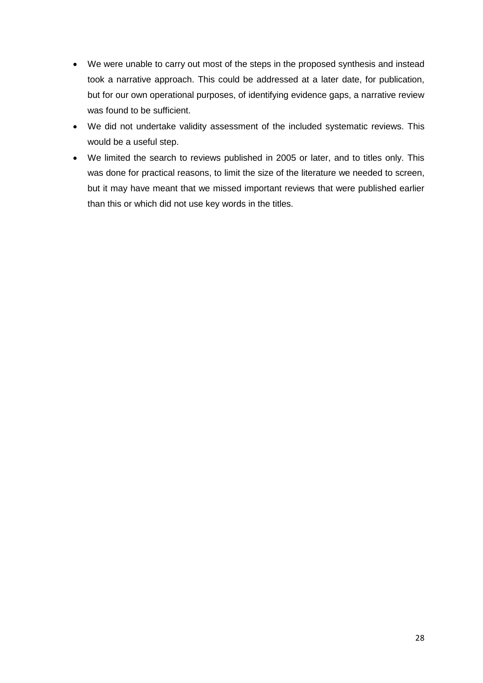- We were unable to carry out most of the steps in the proposed synthesis and instead took a narrative approach. This could be addressed at a later date, for publication, but for our own operational purposes, of identifying evidence gaps, a narrative review was found to be sufficient.
- We did not undertake validity assessment of the included systematic reviews. This would be a useful step.
- We limited the search to reviews published in 2005 or later, and to titles only. This was done for practical reasons, to limit the size of the literature we needed to screen, but it may have meant that we missed important reviews that were published earlier than this or which did not use key words in the titles.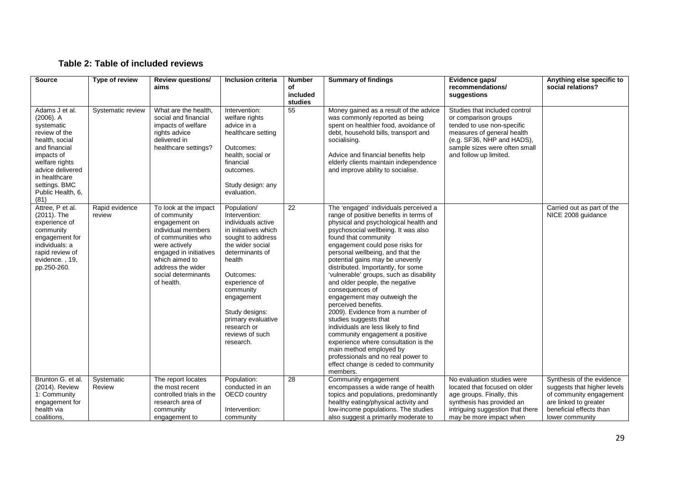## **Table 2: Table of included reviews**

| <b>Source</b>                                                                                                                                                                                                       | Type of review           | <b>Review questions/</b><br>aims                                                                                                                                                                                          | Inclusion criteria                                                                                                                                                                                                                                                                               | <b>Number</b><br>of<br>included<br>studies | <b>Summary of findings</b>                                                                                                                                                                                                                                                                                                                                                                                                                                                                                                                                                                                                                                                                                                                                                                       | Evidence gaps/<br>recommendations/<br>suggestions                                                                                                                                                          | Anything else specific to<br>social relations?                                                                                                             |
|---------------------------------------------------------------------------------------------------------------------------------------------------------------------------------------------------------------------|--------------------------|---------------------------------------------------------------------------------------------------------------------------------------------------------------------------------------------------------------------------|--------------------------------------------------------------------------------------------------------------------------------------------------------------------------------------------------------------------------------------------------------------------------------------------------|--------------------------------------------|--------------------------------------------------------------------------------------------------------------------------------------------------------------------------------------------------------------------------------------------------------------------------------------------------------------------------------------------------------------------------------------------------------------------------------------------------------------------------------------------------------------------------------------------------------------------------------------------------------------------------------------------------------------------------------------------------------------------------------------------------------------------------------------------------|------------------------------------------------------------------------------------------------------------------------------------------------------------------------------------------------------------|------------------------------------------------------------------------------------------------------------------------------------------------------------|
| Adams J et al.<br>$(2006)$ . A<br>systematic<br>review of the<br>health, social<br>and financial<br>impacts of<br>welfare rights<br>advice delivered<br>in healthcare<br>settings. BMC<br>Public Health, 6,<br>(81) | Systematic review        | What are the health.<br>social and financial<br>impacts of welfare<br>rights advice<br>delivered in<br>healthcare settings?                                                                                               | Intervention:<br>welfare rights<br>advice in a<br>healthcare setting<br>Outcomes:<br>health, social or<br>financial<br>outcomes.<br>Study design: any<br>evaluation.                                                                                                                             | 55                                         | Money gained as a result of the advice<br>was commonly reported as being<br>spent on healthier food, avoidance of<br>debt, household bills, transport and<br>socialising.<br>Advice and financial benefits help<br>elderly clients maintain independence<br>and improve ability to socialise.                                                                                                                                                                                                                                                                                                                                                                                                                                                                                                    | Studies that included control<br>or comparison groups<br>tended to use non-specific<br>measures of general health<br>(e.g. SF36, NHP and HADS),<br>sample sizes were often small<br>and follow up limited. |                                                                                                                                                            |
| Attree, P et al.<br>(2011). The<br>experience of<br>community<br>engagement for<br>individuals: a<br>rapid review of<br>evidence., 19,<br>pp.250-260.                                                               | Rapid evidence<br>review | To look at the impact<br>of community<br>engagement on<br>individual members<br>of communities who<br>were actively<br>engaged in initiatives<br>which aimed to<br>address the wider<br>social determinants<br>of health. | Population/<br>Intervention:<br>individuals active<br>in initiatives which<br>sought to address<br>the wider social<br>determinants of<br>health<br>Outcomes:<br>experience of<br>community<br>engagement<br>Study designs:<br>primary evaluative<br>research or<br>reviews of such<br>research. | $\overline{22}$                            | The 'engaged' individuals perceived a<br>range of positive benefits in terms of<br>physical and psychological health and<br>psychosocial wellbeing. It was also<br>found that community<br>engagement could pose risks for<br>personal wellbeing, and that the<br>potential gains may be unevenly<br>distributed. Importantly, for some<br>'vulnerable' groups, such as disability<br>and older people, the negative<br>consequences of<br>engagement may outweigh the<br>perceived benefits.<br>2009). Evidence from a number of<br>studies suggests that<br>individuals are less likely to find<br>community engagement a positive<br>experience where consultation is the<br>main method employed by<br>professionals and no real power to<br>effect change is ceded to community<br>members. |                                                                                                                                                                                                            | Carried out as part of the<br>NICE 2008 guidance                                                                                                           |
| Brunton G. et al.<br>(2014). Review<br>1: Community<br>engagement for<br>health via<br>coalitions.                                                                                                                  | Systematic<br>Review     | The report locates<br>the most recent<br>controlled trials in the<br>research area of<br>community<br>engagement to                                                                                                       | Population:<br>conducted in an<br>OECD country<br>Intervention:<br>community                                                                                                                                                                                                                     | 28                                         | Community engagement<br>encompasses a wide range of health<br>topics and populations, predominantly<br>healthy eating/physical activity and<br>low-income populations. The studies<br>also suggest a primarily moderate to                                                                                                                                                                                                                                                                                                                                                                                                                                                                                                                                                                       | No evaluation studies were<br>located that focused on older<br>age groups. Finally, this<br>synthesis has provided an<br>intriguing suggestion that there<br>may be more impact when                       | Synthesis of the evidence<br>suggests that higher levels<br>of community engagement<br>are linked to greater<br>beneficial effects than<br>lower community |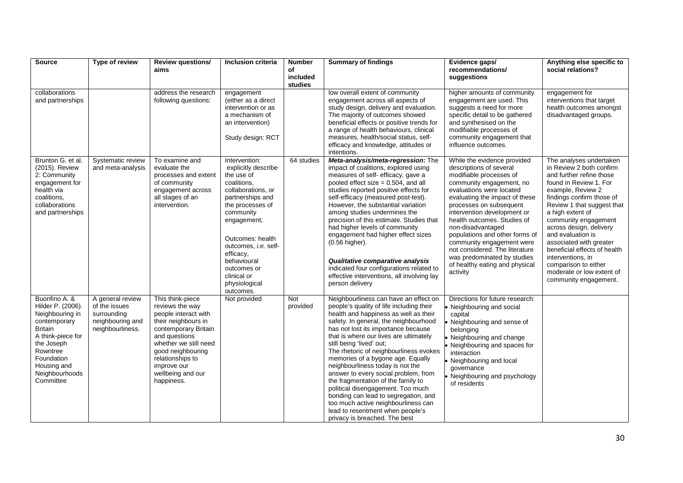| <b>Source</b>                                                                                                                                                                                      | Type of review                                                                           | <b>Review questions/</b><br>aims                                                                                                                                                                                                                | <b>Inclusion criteria</b>                                                                                                                                                                                                                                                                       | <b>Number</b><br>of<br>included<br>studies | <b>Summary of findings</b>                                                                                                                                                                                                                                                                                                                                                                                                                                                                                                                                                                                                                                                 | Evidence gaps/<br>recommendations/<br>suggestions                                                                                                                                                                                                                                                                                                                                                                                                                       | Anything else specific to<br>social relations?                                                                                                                                                                                                                                                                                                                                                                                                      |
|----------------------------------------------------------------------------------------------------------------------------------------------------------------------------------------------------|------------------------------------------------------------------------------------------|-------------------------------------------------------------------------------------------------------------------------------------------------------------------------------------------------------------------------------------------------|-------------------------------------------------------------------------------------------------------------------------------------------------------------------------------------------------------------------------------------------------------------------------------------------------|--------------------------------------------|----------------------------------------------------------------------------------------------------------------------------------------------------------------------------------------------------------------------------------------------------------------------------------------------------------------------------------------------------------------------------------------------------------------------------------------------------------------------------------------------------------------------------------------------------------------------------------------------------------------------------------------------------------------------------|-------------------------------------------------------------------------------------------------------------------------------------------------------------------------------------------------------------------------------------------------------------------------------------------------------------------------------------------------------------------------------------------------------------------------------------------------------------------------|-----------------------------------------------------------------------------------------------------------------------------------------------------------------------------------------------------------------------------------------------------------------------------------------------------------------------------------------------------------------------------------------------------------------------------------------------------|
| collaborations<br>and partnerships                                                                                                                                                                 |                                                                                          | address the research<br>following questions:                                                                                                                                                                                                    | engagement<br>(either as a direct<br>intervention or as<br>a mechanism of<br>an intervention)<br>Study design: RCT                                                                                                                                                                              |                                            | low overall extent of community<br>engagement across all aspects of<br>study design, delivery and evaluation.<br>The majority of outcomes showed<br>beneficial effects or positive trends for<br>a range of health behaviours, clinical<br>measures, health/social status, self-<br>efficacy and knowledge, attitudes or<br>intentions.                                                                                                                                                                                                                                                                                                                                    | higher amounts of community<br>engagement are used. This<br>suggests a need for more<br>specific detail to be gathered<br>and synthesised on the<br>modifiable processes of<br>community engagement that<br>influence outcomes.                                                                                                                                                                                                                                         | engagement for<br>interventions that target<br>health outcomes amongst<br>disadvantaged groups.                                                                                                                                                                                                                                                                                                                                                     |
| Brunton G. et al.<br>(2015). Review<br>2: Community<br>engagement for<br>health via<br>coalitions.<br>collaborations<br>and partnerships                                                           | Systematic review<br>and meta-analysis                                                   | To examine and<br>evaluate the<br>processes and extent<br>of community<br>engagement across<br>all stages of an<br>intervention.                                                                                                                | Intervention:<br>explicitly describe<br>the use of<br>coalitions.<br>collaborations, or<br>partnerships and<br>the processes of<br>community<br>engagement;<br>Outcomes: health<br>outcomes, i.e. self-<br>efficacy,<br>behavioural<br>outcomes or<br>clinical or<br>physiological<br>outcomes. | 64 studies                                 | Meta-analysis/meta-regression: The<br>impact of coalitions, explored using<br>measures of self- efficacy, gave a<br>pooled effect size $= 0.504$ , and all<br>studies reported positive effects for<br>self-efficacy (measured post-test).<br>However, the substantial variation<br>among studies undermines the<br>precision of this estimate. Studies that<br>had higher levels of community<br>engagement had higher effect sizes<br>(0.56 higher).<br>Qualitative comparative analysis<br>indicated four configurations related to<br>effective interventions, all involving lay<br>person delivery                                                                    | While the evidence provided<br>descriptions of several<br>modifiable processes of<br>community engagement, no<br>evaluations were located<br>evaluating the impact of these<br>processes on subsequent<br>intervention development or<br>health outcomes. Studies of<br>non-disadvantaged<br>populations and other forms of<br>community engagement were<br>not considered. The literature<br>was predominated by studies<br>of healthy eating and physical<br>activity | The analyses undertaken<br>in Review 2 both confirm<br>and further refine those<br>found in Review 1. For<br>example, Review 2<br>findings confirm those of<br>Review 1 that suggest that<br>a high extent of<br>community engagement<br>across design, delivery<br>and evaluation is<br>associated with greater<br>beneficial effects of health<br>interventions, in<br>comparison to either<br>moderate or low extent of<br>community engagement. |
| Buonfino A. &<br>Hilder P. (2006).<br>Neighbouring in<br>contemporary<br><b>Britain</b><br>A think-piece for<br>the Joseph<br>Rowntree<br>Foundation<br>Housing and<br>Neighbourhoods<br>Committee | A general review<br>of the issues<br>surrounding<br>neighbouring and<br>neighbourliness. | This think-piece<br>reviews the way<br>people interact with<br>their neighbours in<br>contemporary Britain<br>and questions<br>whether we still need<br>good neighbouring<br>relationships to<br>improve our<br>wellbeing and our<br>happiness. | Not provided                                                                                                                                                                                                                                                                                    | Not<br>provided                            | Neighbourliness can have an effect on<br>people's quality of life including their<br>health and happiness as well as their<br>safety. In general, the neighbourhood<br>has not lost its importance because<br>that is where our lives are ultimately<br>still being 'lived' out;<br>The rhetoric of neighbourliness evokes<br>memories of a bygone age. Equally<br>neighbourliness today is not the<br>answer to every social problem, from<br>the fragmentation of the family to<br>political disengagement. Too much<br>bonding can lead to segregation, and<br>too much active neighbourliness can<br>lead to resentment when people's<br>privacy is breached. The best | Directions for future research:<br>Neighbouring and social<br>capital<br>Neighbouring and sense of<br>belonging<br>Neighbouring and change<br>Neighbouring and spaces for<br>interaction<br>Neighbouring and local<br>qovernance<br>Neighbouring and psychology<br>of residents                                                                                                                                                                                         |                                                                                                                                                                                                                                                                                                                                                                                                                                                     |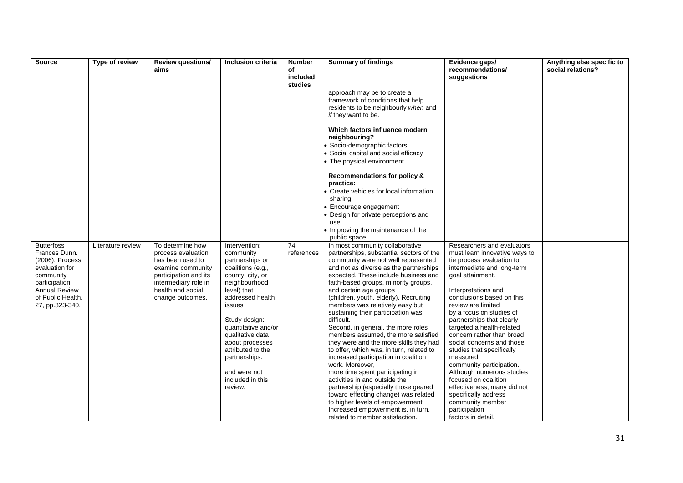| <b>Source</b>               | Type of review    | <b>Review questions/</b>                   | <b>Inclusion criteria</b>             | <b>Number</b>  | <b>Summary of findings</b>                                                                                                      | Evidence gaps/                                 | Anything else specific to |
|-----------------------------|-------------------|--------------------------------------------|---------------------------------------|----------------|---------------------------------------------------------------------------------------------------------------------------------|------------------------------------------------|---------------------------|
|                             |                   | aims                                       |                                       | of<br>included |                                                                                                                                 | recommendations/<br>suggestions                | social relations?         |
|                             |                   |                                            |                                       | studies        |                                                                                                                                 |                                                |                           |
|                             |                   |                                            |                                       |                | approach may be to create a<br>framework of conditions that help<br>residents to be neighbourly when and<br>if they want to be. |                                                |                           |
|                             |                   |                                            |                                       |                |                                                                                                                                 |                                                |                           |
|                             |                   |                                            |                                       |                | Which factors influence modern<br>neighbouring?                                                                                 |                                                |                           |
|                             |                   |                                            |                                       |                | Socio-demographic factors                                                                                                       |                                                |                           |
|                             |                   |                                            |                                       |                | Social capital and social efficacy<br>The physical environment                                                                  |                                                |                           |
|                             |                   |                                            |                                       |                |                                                                                                                                 |                                                |                           |
|                             |                   |                                            |                                       |                | Recommendations for policy &<br>practice:                                                                                       |                                                |                           |
|                             |                   |                                            |                                       |                | Create vehicles for local information<br>sharing                                                                                |                                                |                           |
|                             |                   |                                            |                                       |                | Encourage engagement                                                                                                            |                                                |                           |
|                             |                   |                                            |                                       |                | Design for private perceptions and<br>use                                                                                       |                                                |                           |
|                             |                   |                                            |                                       |                | Improving the maintenance of the                                                                                                |                                                |                           |
| <b>Butterfoss</b>           | Literature review | To determine how                           | Intervention:                         | 74             | public space<br>In most community collaborative                                                                                 | Researchers and evaluators                     |                           |
| Frances Dunn.               |                   | process evaluation                         | community                             | references     | partnerships, substantial sectors of the                                                                                        | must learn innovative ways to                  |                           |
| (2006). Process             |                   | has been used to                           | partnerships or                       |                | community were not well represented                                                                                             | tie process evaluation to                      |                           |
| evaluation for<br>community |                   | examine community<br>participation and its | coalitions (e.g.,<br>county, city, or |                | and not as diverse as the partnerships<br>expected. These include business and                                                  | intermediate and long-term<br>goal attainment. |                           |
| participation.              |                   | intermediary role in                       | neighbourhood                         |                | faith-based groups, minority groups,                                                                                            |                                                |                           |
| <b>Annual Review</b>        |                   | health and social                          | level) that                           |                | and certain age groups                                                                                                          | Interpretations and                            |                           |
| of Public Health,           |                   | change outcomes.                           | addressed health                      |                | (children, youth, elderly). Recruiting                                                                                          | conclusions based on this                      |                           |
| 27, pp.323-340.             |                   |                                            | issues                                |                | members was relatively easy but<br>sustaining their participation was                                                           | review are limited<br>by a focus on studies of |                           |
|                             |                   |                                            | Study design:                         |                | difficult.                                                                                                                      | partnerships that clearly                      |                           |
|                             |                   |                                            | quantitative and/or                   |                | Second, in general, the more roles                                                                                              | targeted a health-related                      |                           |
|                             |                   |                                            | qualitative data                      |                | members assumed, the more satisfied                                                                                             | concern rather than broad                      |                           |
|                             |                   |                                            | about processes                       |                | they were and the more skills they had                                                                                          | social concerns and those                      |                           |
|                             |                   |                                            | attributed to the                     |                | to offer, which was, in turn, related to<br>increased participation in coalition                                                | studies that specifically<br>measured          |                           |
|                             |                   |                                            | partnerships.                         |                | work. Moreover,                                                                                                                 | community participation.                       |                           |
|                             |                   |                                            | and were not                          |                | more time spent participating in                                                                                                | Although numerous studies                      |                           |
|                             |                   |                                            | included in this                      |                | activities in and outside the                                                                                                   | focused on coalition                           |                           |
|                             |                   |                                            | review.                               |                | partnership (especially those geared                                                                                            | effectiveness, many did not                    |                           |
|                             |                   |                                            |                                       |                | toward effecting change) was related                                                                                            | specifically address                           |                           |
|                             |                   |                                            |                                       |                | to higher levels of empowerment.<br>Increased empowerment is, in turn,                                                          | community member<br>participation              |                           |
|                             |                   |                                            |                                       |                | related to member satisfaction.                                                                                                 | factors in detail.                             |                           |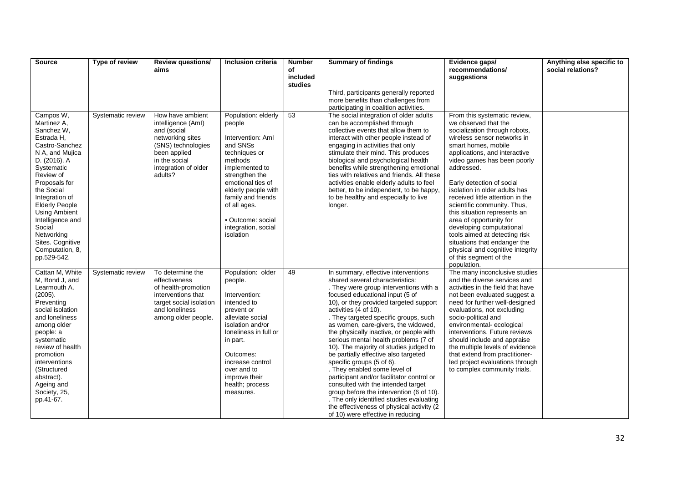| <b>Source</b>                                                                                                                                                                                                                                                                                                                            | Type of review    | <b>Review questions/</b><br>aims                                                                                                                                    | Inclusion criteria                                                                                                                                                                                                                                                        | <b>Number</b><br>of | <b>Summary of findings</b>                                                                                                                                                                                                                                                                                                                                                                                                                                                                                                                                                                                                                                                                                                                                                                            | Evidence gaps/<br>recommendations/                                                                                                                                                                                                                                                                                                                                                                                                                                                                                                                                                              | Anything else specific to<br>social relations? |
|------------------------------------------------------------------------------------------------------------------------------------------------------------------------------------------------------------------------------------------------------------------------------------------------------------------------------------------|-------------------|---------------------------------------------------------------------------------------------------------------------------------------------------------------------|---------------------------------------------------------------------------------------------------------------------------------------------------------------------------------------------------------------------------------------------------------------------------|---------------------|-------------------------------------------------------------------------------------------------------------------------------------------------------------------------------------------------------------------------------------------------------------------------------------------------------------------------------------------------------------------------------------------------------------------------------------------------------------------------------------------------------------------------------------------------------------------------------------------------------------------------------------------------------------------------------------------------------------------------------------------------------------------------------------------------------|-------------------------------------------------------------------------------------------------------------------------------------------------------------------------------------------------------------------------------------------------------------------------------------------------------------------------------------------------------------------------------------------------------------------------------------------------------------------------------------------------------------------------------------------------------------------------------------------------|------------------------------------------------|
|                                                                                                                                                                                                                                                                                                                                          |                   |                                                                                                                                                                     |                                                                                                                                                                                                                                                                           | included<br>studies |                                                                                                                                                                                                                                                                                                                                                                                                                                                                                                                                                                                                                                                                                                                                                                                                       | suggestions                                                                                                                                                                                                                                                                                                                                                                                                                                                                                                                                                                                     |                                                |
|                                                                                                                                                                                                                                                                                                                                          |                   |                                                                                                                                                                     |                                                                                                                                                                                                                                                                           |                     | Third, participants generally reported<br>more benefits than challenges from<br>participating in coalition activities.                                                                                                                                                                                                                                                                                                                                                                                                                                                                                                                                                                                                                                                                                |                                                                                                                                                                                                                                                                                                                                                                                                                                                                                                                                                                                                 |                                                |
| Campos W,<br>Martinez A,<br>Sanchez W.<br>Estrada H.<br>Castro-Sanchez<br>N A, and Mujica<br>D. (2016). A<br>Systematic<br>Review of<br>Proposals for<br>the Social<br>Integration of<br><b>Elderly People</b><br><b>Using Ambient</b><br>Intelligence and<br>Social<br>Networking<br>Sites. Cognitive<br>Computation, 8,<br>pp.529-542. | Systematic review | How have ambient<br>intelligence (Aml)<br>and (social<br>networking sites<br>(SNS) technologies<br>been applied<br>in the social<br>integration of older<br>adults? | Population: elderly<br>people<br>Intervention: AmI<br>and SNSs<br>techniques or<br>methods<br>implemented to<br>strengthen the<br>emotional ties of<br>elderly people with<br>family and friends<br>of all ages.<br>· Outcome: social<br>integration, social<br>isolation | 53                  | The social integration of older adults<br>can be accomplished through<br>collective events that allow them to<br>interact with other people instead of<br>engaging in activities that only<br>stimulate their mind. This produces<br>biological and psychological health<br>benefits while strengthening emotional<br>ties with relatives and friends. All these<br>activities enable elderly adults to feel<br>better, to be independent, to be happy,<br>to be healthy and especially to live<br>longer.                                                                                                                                                                                                                                                                                            | From this systematic review,<br>we observed that the<br>socialization through robots,<br>wireless sensor networks in<br>smart homes, mobile<br>applications, and interactive<br>video games has been poorly<br>addressed.<br>Early detection of social<br>isolation in older adults has<br>received little attention in the<br>scientific community. Thus,<br>this situation represents an<br>area of opportunity for<br>developing computational<br>tools aimed at detecting risk<br>situations that endanger the<br>physical and cognitive integrity<br>of this segment of the<br>population. |                                                |
| Cattan M. White<br>M, Bond J, and<br>Learmouth A.<br>(2005).<br>Preventing<br>social isolation<br>and loneliness<br>among older<br>people: a<br>systematic<br>review of health<br>promotion<br>interventions<br>(Structured<br>abstract).<br>Ageing and<br>Society, 25,<br>pp.41-67.                                                     | Systematic review | To determine the<br>effectiveness<br>of health-promotion<br>interventions that<br>target social isolation<br>and loneliness<br>among older people.                  | Population: older<br>people.<br>Intervention:<br>intended to<br>prevent or<br>alleviate social<br>isolation and/or<br>loneliness in full or<br>in part.<br>Outcomes:<br>increase control<br>over and to<br>improve their<br>health; process<br>measures.                  | 49                  | In summary, effective interventions<br>shared several characteristics:<br>. They were group interventions with a<br>focused educational input (5 of<br>10), or they provided targeted support<br>activities (4 of 10).<br>. They targeted specific groups, such<br>as women, care-givers, the widowed,<br>the physically inactive, or people with<br>serious mental health problems (7 of<br>10). The majority of studies judged to<br>be partially effective also targeted<br>specific groups (5 of 6).<br>. They enabled some level of<br>participant and/or facilitator control or<br>consulted with the intended target<br>group before the intervention (6 of 10).<br>. The only identified studies evaluating<br>the effectiveness of physical activity (2<br>of 10) were effective in reducing | The many inconclusive studies<br>and the diverse services and<br>activities in the field that have<br>not been evaluated suggest a<br>need for further well-designed<br>evaluations, not excluding<br>socio-political and<br>environmental-ecological<br>interventions. Future reviews<br>should include and appraise<br>the multiple levels of evidence<br>that extend from practitioner-<br>led project evaluations through<br>to complex community trials.                                                                                                                                   |                                                |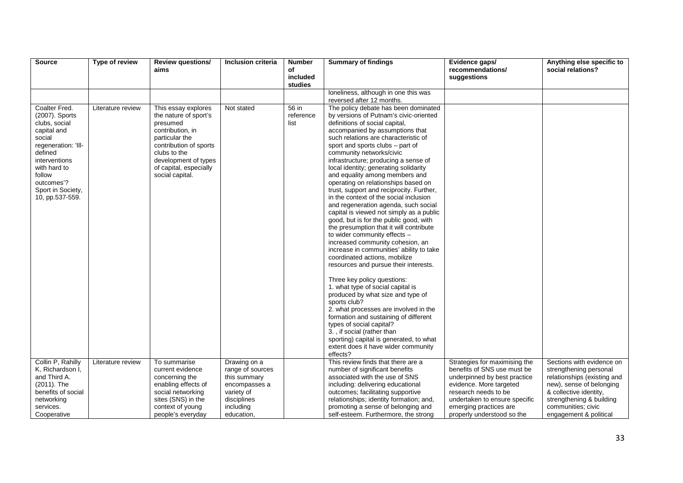| <b>Source</b>                                                                                                                                                                                                | Type of review    | <b>Review questions/</b>                                                                                                                                                                                      | Inclusion criteria                                                                                                        | <b>Number</b>              | <b>Summary of findings</b>                                                                                                                                                                                                                                                                                                                                                                                                                                                                                                                                                                                                                                                                                                                                                                                                                                                                                    | Evidence gaps/                                                                                                                                                                                                                           | Anything else specific to                                                                                                                                                                                            |
|--------------------------------------------------------------------------------------------------------------------------------------------------------------------------------------------------------------|-------------------|---------------------------------------------------------------------------------------------------------------------------------------------------------------------------------------------------------------|---------------------------------------------------------------------------------------------------------------------------|----------------------------|---------------------------------------------------------------------------------------------------------------------------------------------------------------------------------------------------------------------------------------------------------------------------------------------------------------------------------------------------------------------------------------------------------------------------------------------------------------------------------------------------------------------------------------------------------------------------------------------------------------------------------------------------------------------------------------------------------------------------------------------------------------------------------------------------------------------------------------------------------------------------------------------------------------|------------------------------------------------------------------------------------------------------------------------------------------------------------------------------------------------------------------------------------------|----------------------------------------------------------------------------------------------------------------------------------------------------------------------------------------------------------------------|
|                                                                                                                                                                                                              |                   | aims                                                                                                                                                                                                          |                                                                                                                           | of<br>included             |                                                                                                                                                                                                                                                                                                                                                                                                                                                                                                                                                                                                                                                                                                                                                                                                                                                                                                               | recommendations/<br>suggestions                                                                                                                                                                                                          | social relations?                                                                                                                                                                                                    |
|                                                                                                                                                                                                              |                   |                                                                                                                                                                                                               |                                                                                                                           | studies                    |                                                                                                                                                                                                                                                                                                                                                                                                                                                                                                                                                                                                                                                                                                                                                                                                                                                                                                               |                                                                                                                                                                                                                                          |                                                                                                                                                                                                                      |
|                                                                                                                                                                                                              |                   |                                                                                                                                                                                                               |                                                                                                                           |                            | loneliness, although in one this was                                                                                                                                                                                                                                                                                                                                                                                                                                                                                                                                                                                                                                                                                                                                                                                                                                                                          |                                                                                                                                                                                                                                          |                                                                                                                                                                                                                      |
|                                                                                                                                                                                                              |                   |                                                                                                                                                                                                               |                                                                                                                           |                            | reversed after 12 months.                                                                                                                                                                                                                                                                                                                                                                                                                                                                                                                                                                                                                                                                                                                                                                                                                                                                                     |                                                                                                                                                                                                                                          |                                                                                                                                                                                                                      |
| Coalter Fred.<br>(2007). Sports<br>clubs, social<br>capital and<br>social<br>regeneration: 'Ill-<br>defined<br>interventions<br>with hard to<br>follow<br>outcomes'?<br>Sport in Society,<br>10, pp.537-559. | Literature review | This essay explores<br>the nature of sport's<br>presumed<br>contribution, in<br>particular the<br>contribution of sports<br>clubs to the<br>development of types<br>of capital, especially<br>social capital. | Not stated                                                                                                                | 56 in<br>reference<br>list | The policy debate has been dominated<br>by versions of Putnam's civic-oriented<br>definitions of social capital,<br>accompanied by assumptions that<br>such relations are characteristic of<br>sport and sports clubs - part of<br>community networks/civic<br>infrastructure; producing a sense of<br>local identity; generating solidarity<br>and equality among members and<br>operating on relationships based on<br>trust, support and reciprocity. Further,<br>in the context of the social inclusion<br>and regeneration agenda, such social<br>capital is viewed not simply as a public<br>good, but is for the public good, with<br>the presumption that it will contribute<br>to wider community effects -<br>increased community cohesion, an<br>increase in communities' ability to take<br>coordinated actions, mobilize<br>resources and pursue their interests.<br>Three key policy questions: |                                                                                                                                                                                                                                          |                                                                                                                                                                                                                      |
|                                                                                                                                                                                                              |                   |                                                                                                                                                                                                               |                                                                                                                           |                            | 1. what type of social capital is<br>produced by what size and type of<br>sports club?<br>2. what processes are involved in the<br>formation and sustaining of different<br>types of social capital?<br>3., if social (rather than<br>sporting) capital is generated, to what<br>extent does it have wider community<br>effects?                                                                                                                                                                                                                                                                                                                                                                                                                                                                                                                                                                              |                                                                                                                                                                                                                                          |                                                                                                                                                                                                                      |
| Collin P. Rahilly<br>K, Richardson I,<br>and Third A.<br>(2011). The<br>benefits of social<br>networking<br>services.<br>Cooperative                                                                         | Literature review | To summarise<br>current evidence<br>concerning the<br>enabling effects of<br>social networking<br>sites (SNS) in the<br>context of young<br>people's everyday                                                 | Drawing on a<br>range of sources<br>this summary<br>encompasses a<br>variety of<br>disciplines<br>including<br>education, |                            | This review finds that there are a<br>number of significant benefits<br>associated with the use of SNS<br>including: delivering educational<br>outcomes; facilitating supportive<br>relationships; identity formation; and,<br>promoting a sense of belonging and<br>self-esteem. Furthermore, the strong                                                                                                                                                                                                                                                                                                                                                                                                                                                                                                                                                                                                     | Strategies for maximising the<br>benefits of SNS use must be<br>underpinned by best practice<br>evidence. More targeted<br>research needs to be<br>undertaken to ensure specific<br>emerging practices are<br>properly understood so the | Sections with evidence on<br>strengthening personal<br>relationships (existing and<br>new), sense of belonging<br>& collective identity,<br>strengthening & building<br>communities; civic<br>engagement & political |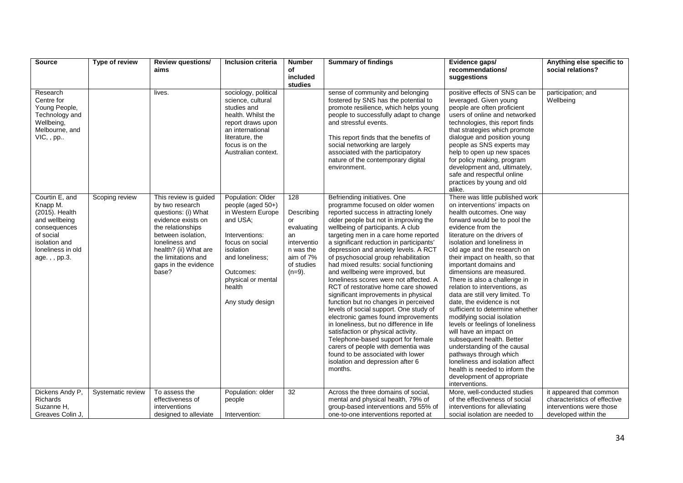| <b>Source</b>                                                                                                                                    | Type of review    | <b>Review questions/</b>                                                                                                                                                                                                            | Inclusion criteria                                                                                                                                                                                            | <b>Number</b>                                                                                                   | <b>Summary of findings</b>                                                                                                                                                                                                                                                                                                                                                                                                                                                                                                                                                                                                                                                                                                                                                                                                                                                                                                                    | Evidence gaps/                                                                                                                                                                                                                                                                                                                                                                                                                                                                                                                                                                                                                                                                                                                                                                                                    | Anything else specific to                                                                                   |
|--------------------------------------------------------------------------------------------------------------------------------------------------|-------------------|-------------------------------------------------------------------------------------------------------------------------------------------------------------------------------------------------------------------------------------|---------------------------------------------------------------------------------------------------------------------------------------------------------------------------------------------------------------|-----------------------------------------------------------------------------------------------------------------|-----------------------------------------------------------------------------------------------------------------------------------------------------------------------------------------------------------------------------------------------------------------------------------------------------------------------------------------------------------------------------------------------------------------------------------------------------------------------------------------------------------------------------------------------------------------------------------------------------------------------------------------------------------------------------------------------------------------------------------------------------------------------------------------------------------------------------------------------------------------------------------------------------------------------------------------------|-------------------------------------------------------------------------------------------------------------------------------------------------------------------------------------------------------------------------------------------------------------------------------------------------------------------------------------------------------------------------------------------------------------------------------------------------------------------------------------------------------------------------------------------------------------------------------------------------------------------------------------------------------------------------------------------------------------------------------------------------------------------------------------------------------------------|-------------------------------------------------------------------------------------------------------------|
|                                                                                                                                                  |                   | aims                                                                                                                                                                                                                                |                                                                                                                                                                                                               | of                                                                                                              |                                                                                                                                                                                                                                                                                                                                                                                                                                                                                                                                                                                                                                                                                                                                                                                                                                                                                                                                               | recommendations/                                                                                                                                                                                                                                                                                                                                                                                                                                                                                                                                                                                                                                                                                                                                                                                                  | social relations?                                                                                           |
|                                                                                                                                                  |                   |                                                                                                                                                                                                                                     |                                                                                                                                                                                                               | included<br>studies                                                                                             |                                                                                                                                                                                                                                                                                                                                                                                                                                                                                                                                                                                                                                                                                                                                                                                                                                                                                                                                               | suggestions                                                                                                                                                                                                                                                                                                                                                                                                                                                                                                                                                                                                                                                                                                                                                                                                       |                                                                                                             |
| Research<br>Centre for<br>Young People,<br>Technology and<br>Wellbeing,<br>Melbourne, and<br>VIC, , pp                                           |                   | lives.                                                                                                                                                                                                                              | sociology, political<br>science, cultural<br>studies and<br>health. Whilst the<br>report draws upon<br>an international<br>literature, the<br>focus is on the<br>Australian context.                          |                                                                                                                 | sense of community and belonging<br>fostered by SNS has the potential to<br>promote resilience, which helps young<br>people to successfully adapt to change<br>and stressful events.<br>This report finds that the benefits of<br>social networking are largely<br>associated with the participatory<br>nature of the contemporary digital<br>environment.                                                                                                                                                                                                                                                                                                                                                                                                                                                                                                                                                                                    | positive effects of SNS can be<br>leveraged. Given young<br>people are often proficient<br>users of online and networked<br>technologies, this report finds<br>that strategies which promote<br>dialogue and position young<br>people as SNS experts may<br>help to open up new spaces<br>for policy making, program<br>development and, ultimately,<br>safe and respectful online<br>practices by young and old<br>alike.                                                                                                                                                                                                                                                                                                                                                                                        | participation; and<br>Wellbeing                                                                             |
| Courtin E, and<br>Knapp M.<br>(2015). Health<br>and wellbeing<br>consequences<br>of social<br>isolation and<br>loneliness in old<br>age.,, pp.3. | Scoping review    | This review is guided<br>by two research<br>questions: (i) What<br>evidence exists on<br>the relationships<br>between isolation,<br>loneliness and<br>health? (ii) What are<br>the limitations and<br>gaps in the evidence<br>base? | Population: Older<br>people (aged 50+)<br>in Western Europe<br>and USA;<br>Interventions:<br>focus on social<br>isolation<br>and loneliness:<br>Outcomes:<br>physical or mental<br>health<br>Any study design | 128<br>Describing<br>or<br>evaluating<br>an<br>interventio<br>n was the<br>aim of 7%<br>of studies<br>$(n=9)$ . | Befriending initiatives. One<br>programme focused on older women<br>reported success in attracting lonely<br>older people but not in improving the<br>wellbeing of participants. A club<br>targeting men in a care home reported<br>a significant reduction in participants'<br>depression and anxiety levels. A RCT<br>of psychosocial group rehabilitation<br>had mixed results: social functioning<br>and wellbeing were improved, but<br>loneliness scores were not affected. A<br>RCT of restorative home care showed<br>significant improvements in physical<br>function but no changes in perceived<br>levels of social support. One study of<br>electronic games found improvements<br>in loneliness, but no difference in life<br>satisfaction or physical activity.<br>Telephone-based support for female<br>carers of people with dementia was<br>found to be associated with lower<br>isolation and depression after 6<br>months. | There was little published work<br>on interventions' impacts on<br>health outcomes. One way<br>forward would be to pool the<br>evidence from the<br>literature on the drivers of<br>isolation and loneliness in<br>old age and the research on<br>their impact on health, so that<br>important domains and<br>dimensions are measured.<br>There is also a challenge in<br>relation to interventions, as<br>data are still very limited. To<br>date, the evidence is not<br>sufficient to determine whether<br>modifying social isolation<br>levels or feelings of loneliness<br>will have an impact on<br>subsequent health. Better<br>understanding of the causal<br>pathways through which<br>loneliness and isolation affect<br>health is needed to inform the<br>development of appropriate<br>interventions. |                                                                                                             |
| Dickens Andy P,<br><b>Richards</b><br>Suzanne H,<br>Greaves Colin J,                                                                             | Systematic review | To assess the<br>effectiveness of<br>interventions<br>designed to alleviate                                                                                                                                                         | Population: older<br>people<br>Intervention:                                                                                                                                                                  | 32                                                                                                              | Across the three domains of social,<br>mental and physical health, 79% of<br>group-based interventions and 55% of<br>one-to-one interventions reported at                                                                                                                                                                                                                                                                                                                                                                                                                                                                                                                                                                                                                                                                                                                                                                                     | More, well-conducted studies<br>of the effectiveness of social<br>interventions for alleviating<br>social isolation are needed to                                                                                                                                                                                                                                                                                                                                                                                                                                                                                                                                                                                                                                                                                 | it appeared that common<br>characteristics of effective<br>interventions were those<br>developed within the |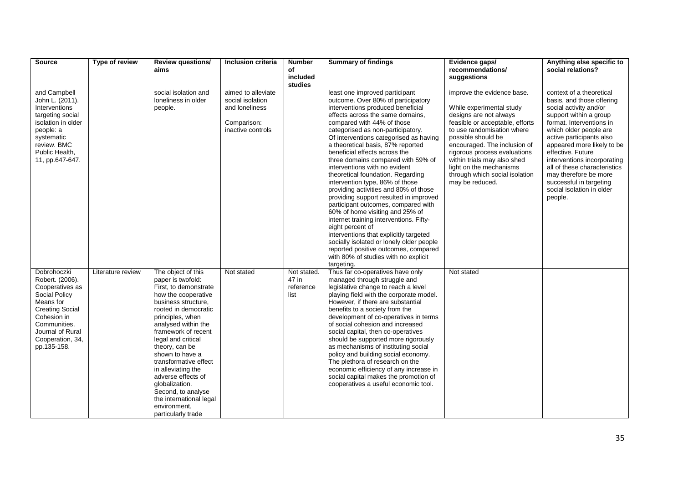| <b>Source</b>                                                                                                                                                                                   | Type of review    | <b>Review questions/</b><br>aims                                                                                                                                                                                                                                                                                                                                                                                                                  | <b>Inclusion criteria</b>                                                                    | <b>Number</b><br>of                       | <b>Summary of findings</b>                                                                                                                                                                                                                                                                                                                                                                                                                                                                                                                                                                                                                                                                                                                                                                                                                                                                      | Evidence gaps/<br>recommendations/                                                                                                                                                                                                                                                                                                                     | Anything else specific to<br>social relations?                                                                                                                                                                                                                                                                                                                                                            |
|-------------------------------------------------------------------------------------------------------------------------------------------------------------------------------------------------|-------------------|---------------------------------------------------------------------------------------------------------------------------------------------------------------------------------------------------------------------------------------------------------------------------------------------------------------------------------------------------------------------------------------------------------------------------------------------------|----------------------------------------------------------------------------------------------|-------------------------------------------|-------------------------------------------------------------------------------------------------------------------------------------------------------------------------------------------------------------------------------------------------------------------------------------------------------------------------------------------------------------------------------------------------------------------------------------------------------------------------------------------------------------------------------------------------------------------------------------------------------------------------------------------------------------------------------------------------------------------------------------------------------------------------------------------------------------------------------------------------------------------------------------------------|--------------------------------------------------------------------------------------------------------------------------------------------------------------------------------------------------------------------------------------------------------------------------------------------------------------------------------------------------------|-----------------------------------------------------------------------------------------------------------------------------------------------------------------------------------------------------------------------------------------------------------------------------------------------------------------------------------------------------------------------------------------------------------|
|                                                                                                                                                                                                 |                   |                                                                                                                                                                                                                                                                                                                                                                                                                                                   |                                                                                              | included<br>studies                       |                                                                                                                                                                                                                                                                                                                                                                                                                                                                                                                                                                                                                                                                                                                                                                                                                                                                                                 | suggestions                                                                                                                                                                                                                                                                                                                                            |                                                                                                                                                                                                                                                                                                                                                                                                           |
| and Campbell<br>John L. (2011).<br>Interventions<br>targeting social<br>isolation in older<br>people: a<br>systematic<br>review. BMC<br>Public Health,<br>11, pp.647-647.                       |                   | social isolation and<br>loneliness in older<br>people.                                                                                                                                                                                                                                                                                                                                                                                            | aimed to alleviate<br>social isolation<br>and loneliness<br>Comparison:<br>inactive controls |                                           | least one improved participant<br>outcome. Over 80% of participatory<br>interventions produced beneficial<br>effects across the same domains,<br>compared with 44% of those<br>categorised as non-participatory.<br>Of interventions categorised as having<br>a theoretical basis, 87% reported<br>beneficial effects across the<br>three domains compared with 59% of<br>interventions with no evident<br>theoretical foundation. Regarding<br>intervention type, 86% of those<br>providing activities and 80% of those<br>providing support resulted in improved<br>participant outcomes, compared with<br>60% of home visiting and 25% of<br>internet training interventions. Fifty-<br>eight percent of<br>interventions that explicitly targeted<br>socially isolated or lonely older people<br>reported positive outcomes, compared<br>with 80% of studies with no explicit<br>targeting. | improve the evidence base.<br>While experimental study<br>designs are not always<br>feasible or acceptable, efforts<br>to use randomisation where<br>possible should be<br>encouraged. The inclusion of<br>rigorous process evaluations<br>within trials may also shed<br>light on the mechanisms<br>through which social isolation<br>may be reduced. | context of a theoretical<br>basis, and those offering<br>social activity and/or<br>support within a group<br>format. Interventions in<br>which older people are<br>active participants also<br>appeared more likely to be<br>effective. Future<br>interventions incorporating<br>all of these characteristics<br>may therefore be more<br>successful in targeting<br>social isolation in older<br>people. |
| Dobrohoczki<br>Robert. (2006).<br>Cooperatives as<br>Social Policy<br>Means for<br><b>Creating Social</b><br>Cohesion in<br>Communities.<br>Journal of Rural<br>Cooperation, 34,<br>pp.135-158. | Literature review | The object of this<br>paper is twofold:<br>First, to demonstrate<br>how the cooperative<br>business structure,<br>rooted in democratic<br>principles, when<br>analysed within the<br>framework of recent<br>legal and critical<br>theory, can be<br>shown to have a<br>transformative effect<br>in alleviating the<br>adverse effects of<br>globalization.<br>Second, to analyse<br>the international legal<br>environment,<br>particularly trade | Not stated                                                                                   | Not stated.<br>47 in<br>reference<br>list | Thus far co-operatives have only<br>managed through struggle and<br>legislative change to reach a level<br>playing field with the corporate model.<br>However, if there are substantial<br>benefits to a society from the<br>development of co-operatives in terms<br>of social cohesion and increased<br>social capital, then co-operatives<br>should be supported more rigorously<br>as mechanisms of instituting social<br>policy and building social economy.<br>The plethora of research on the<br>economic efficiency of any increase in<br>social capital makes the promotion of<br>cooperatives a useful economic tool.                                                                                                                                                                                                                                                                 | Not stated                                                                                                                                                                                                                                                                                                                                             |                                                                                                                                                                                                                                                                                                                                                                                                           |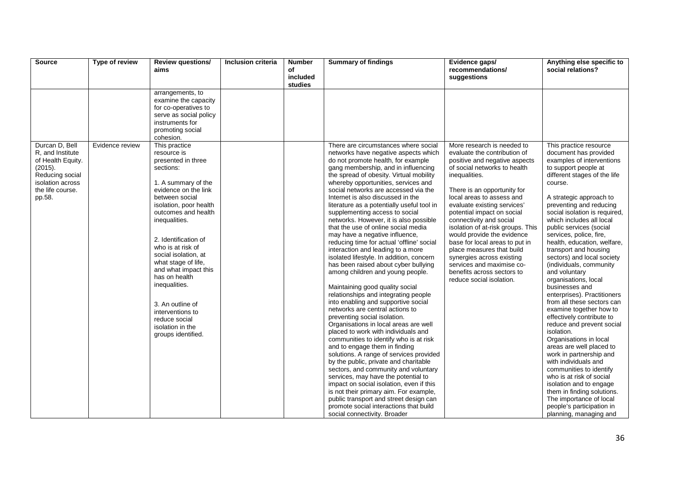| <b>Source</b>                                                                                                                           | Type of review  | <b>Review questions/</b><br>aims                                                                                                                                                                                                                                                                                                                                                                                                                            | Inclusion criteria | <b>Number</b><br>of<br>included<br>studies | <b>Summary of findings</b>                                                                                                                                                                                                                                                                                                                                                                                                                                                                                                                                                                                                                                                                                                                                                                                                                                                                                                                                                                                                                                                                                                                                                                                                                                                                                                                                                                                                                                         | Evidence gaps/<br>recommendations/<br>suggestions                                                                                                                                                                                                                                                                                                                                                                                                                                                                                                      | Anything else specific to<br>social relations?                                                                                                                                                                                                                                                                                                                                                                                                                                                                                                                                                                                                                                                                                                                                                                                                                                                                                                                                  |
|-----------------------------------------------------------------------------------------------------------------------------------------|-----------------|-------------------------------------------------------------------------------------------------------------------------------------------------------------------------------------------------------------------------------------------------------------------------------------------------------------------------------------------------------------------------------------------------------------------------------------------------------------|--------------------|--------------------------------------------|--------------------------------------------------------------------------------------------------------------------------------------------------------------------------------------------------------------------------------------------------------------------------------------------------------------------------------------------------------------------------------------------------------------------------------------------------------------------------------------------------------------------------------------------------------------------------------------------------------------------------------------------------------------------------------------------------------------------------------------------------------------------------------------------------------------------------------------------------------------------------------------------------------------------------------------------------------------------------------------------------------------------------------------------------------------------------------------------------------------------------------------------------------------------------------------------------------------------------------------------------------------------------------------------------------------------------------------------------------------------------------------------------------------------------------------------------------------------|--------------------------------------------------------------------------------------------------------------------------------------------------------------------------------------------------------------------------------------------------------------------------------------------------------------------------------------------------------------------------------------------------------------------------------------------------------------------------------------------------------------------------------------------------------|---------------------------------------------------------------------------------------------------------------------------------------------------------------------------------------------------------------------------------------------------------------------------------------------------------------------------------------------------------------------------------------------------------------------------------------------------------------------------------------------------------------------------------------------------------------------------------------------------------------------------------------------------------------------------------------------------------------------------------------------------------------------------------------------------------------------------------------------------------------------------------------------------------------------------------------------------------------------------------|
|                                                                                                                                         |                 | arrangements, to<br>examine the capacity<br>for co-operatives to<br>serve as social policy<br>instruments for<br>promoting social<br>cohesion.                                                                                                                                                                                                                                                                                                              |                    |                                            |                                                                                                                                                                                                                                                                                                                                                                                                                                                                                                                                                                                                                                                                                                                                                                                                                                                                                                                                                                                                                                                                                                                                                                                                                                                                                                                                                                                                                                                                    |                                                                                                                                                                                                                                                                                                                                                                                                                                                                                                                                                        |                                                                                                                                                                                                                                                                                                                                                                                                                                                                                                                                                                                                                                                                                                                                                                                                                                                                                                                                                                                 |
| Durcan D. Bell<br>R, and Institute<br>of Health Equity.<br>(2015).<br>Reducing social<br>isolation across<br>the life course.<br>pp.58. | Evidence review | This practice<br>resource is<br>presented in three<br>sections:<br>1. A summary of the<br>evidence on the link<br>between social<br>isolation, poor health<br>outcomes and health<br>inequalities.<br>2. Identification of<br>who is at risk of<br>social isolation, at<br>what stage of life.<br>and what impact this<br>has on health<br>inequalities.<br>3. An outline of<br>interventions to<br>reduce social<br>isolation in the<br>groups identified. |                    |                                            | There are circumstances where social<br>networks have negative aspects which<br>do not promote health, for example<br>gang membership, and in influencing<br>the spread of obesity. Virtual mobility<br>whereby opportunities, services and<br>social networks are accessed via the<br>Internet is also discussed in the<br>literature as a potentially useful tool in<br>supplementing access to social<br>networks. However, it is also possible<br>that the use of online social media<br>may have a negative influence,<br>reducing time for actual 'offline' social<br>interaction and leading to a more<br>isolated lifestyle. In addition, concern<br>has been raised about cyber bullying<br>among children and young people.<br>Maintaining good quality social<br>relationships and integrating people<br>into enabling and supportive social<br>networks are central actions to<br>preventing social isolation.<br>Organisations in local areas are well<br>placed to work with individuals and<br>communities to identify who is at risk<br>and to engage them in finding<br>solutions. A range of services provided<br>by the public, private and charitable<br>sectors, and community and voluntary<br>services, may have the potential to<br>impact on social isolation, even if this<br>is not their primary aim. For example,<br>public transport and street design can<br>promote social interactions that build<br>social connectivity. Broader | More research is needed to<br>evaluate the contribution of<br>positive and negative aspects<br>of social networks to health<br>inequalities.<br>There is an opportunity for<br>local areas to assess and<br>evaluate existing services'<br>potential impact on social<br>connectivity and social<br>isolation of at-risk groups. This<br>would provide the evidence<br>base for local areas to put in<br>place measures that build<br>synergies across existing<br>services and maximise co-<br>benefits across sectors to<br>reduce social isolation. | This practice resource<br>document has provided<br>examples of interventions<br>to support people at<br>different stages of the life<br>course.<br>A strategic approach to<br>preventing and reducing<br>social isolation is required,<br>which includes all local<br>public services (social<br>services, police, fire,<br>health, education, welfare,<br>transport and housing<br>sectors) and local society<br>(individuals, community<br>and voluntary<br>organisations, local<br>businesses and<br>enterprises). Practitioners<br>from all these sectors can<br>examine together how to<br>effectively contribute to<br>reduce and prevent social<br>isolation.<br>Organisations in local<br>areas are well placed to<br>work in partnership and<br>with individuals and<br>communities to identify<br>who is at risk of social<br>isolation and to engage<br>them in finding solutions.<br>The importance of local<br>people's participation in<br>planning, managing and |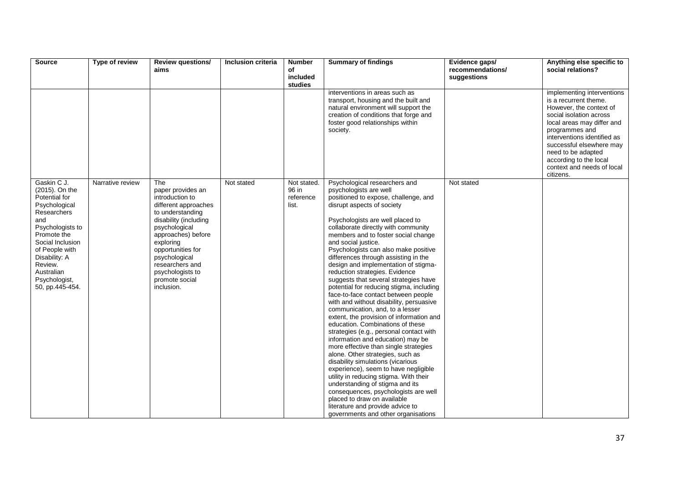| <b>Source</b>         | Type of review   | <b>Review questions/</b>                  | Inclusion criteria | <b>Number</b>  | <b>Summary of findings</b>                                                    | Evidence gaps/   | Anything else specific to                          |
|-----------------------|------------------|-------------------------------------------|--------------------|----------------|-------------------------------------------------------------------------------|------------------|----------------------------------------------------|
|                       |                  | aims                                      |                    | of<br>included |                                                                               | recommendations/ | social relations?                                  |
|                       |                  |                                           |                    | studies        |                                                                               | suggestions      |                                                    |
|                       |                  |                                           |                    |                | interventions in areas such as                                                |                  | implementing interventions                         |
|                       |                  |                                           |                    |                | transport, housing and the built and                                          |                  | is a recurrent theme.                              |
|                       |                  |                                           |                    |                | natural environment will support the<br>creation of conditions that forge and |                  | However, the context of<br>social isolation across |
|                       |                  |                                           |                    |                | foster good relationships within                                              |                  | local areas may differ and                         |
|                       |                  |                                           |                    |                | society.                                                                      |                  | programmes and                                     |
|                       |                  |                                           |                    |                |                                                                               |                  | interventions identified as                        |
|                       |                  |                                           |                    |                |                                                                               |                  | successful elsewhere may                           |
|                       |                  |                                           |                    |                |                                                                               |                  | need to be adapted                                 |
|                       |                  |                                           |                    |                |                                                                               |                  | according to the local                             |
|                       |                  |                                           |                    |                |                                                                               |                  | context and needs of local<br>citizens.            |
| Gaskin C J.           | Narrative review | The                                       | Not stated         | Not stated.    | Psychological researchers and                                                 | Not stated       |                                                    |
| (2015). On the        |                  | paper provides an                         |                    | 96 in          | psychologists are well                                                        |                  |                                                    |
| Potential for         |                  | introduction to                           |                    | reference      | positioned to expose, challenge, and                                          |                  |                                                    |
| Psychological         |                  | different approaches                      |                    | list.          | disrupt aspects of society                                                    |                  |                                                    |
| Researchers<br>and    |                  | to understanding<br>disability (including |                    |                | Psychologists are well placed to                                              |                  |                                                    |
| Psychologists to      |                  | psychological                             |                    |                | collaborate directly with community                                           |                  |                                                    |
| Promote the           |                  | approaches) before                        |                    |                | members and to foster social change                                           |                  |                                                    |
| Social Inclusion      |                  | exploring                                 |                    |                | and social justice.                                                           |                  |                                                    |
| of People with        |                  | opportunities for                         |                    |                | Psychologists can also make positive                                          |                  |                                                    |
| Disability: A         |                  | psychological                             |                    |                | differences through assisting in the                                          |                  |                                                    |
| Review.<br>Australian |                  | researchers and<br>psychologists to       |                    |                | design and implementation of stigma-<br>reduction strategies. Evidence        |                  |                                                    |
| Psychologist,         |                  | promote social                            |                    |                | suggests that several strategies have                                         |                  |                                                    |
| 50, pp.445-454.       |                  | inclusion.                                |                    |                | potential for reducing stigma, including                                      |                  |                                                    |
|                       |                  |                                           |                    |                | face-to-face contact between people                                           |                  |                                                    |
|                       |                  |                                           |                    |                | with and without disability, persuasive                                       |                  |                                                    |
|                       |                  |                                           |                    |                | communication, and, to a lesser<br>extent, the provision of information and   |                  |                                                    |
|                       |                  |                                           |                    |                | education. Combinations of these                                              |                  |                                                    |
|                       |                  |                                           |                    |                | strategies (e.g., personal contact with                                       |                  |                                                    |
|                       |                  |                                           |                    |                | information and education) may be                                             |                  |                                                    |
|                       |                  |                                           |                    |                | more effective than single strategies                                         |                  |                                                    |
|                       |                  |                                           |                    |                | alone. Other strategies, such as                                              |                  |                                                    |
|                       |                  |                                           |                    |                | disability simulations (vicarious<br>experience), seem to have negligible     |                  |                                                    |
|                       |                  |                                           |                    |                | utility in reducing stigma. With their                                        |                  |                                                    |
|                       |                  |                                           |                    |                | understanding of stigma and its                                               |                  |                                                    |
|                       |                  |                                           |                    |                | consequences, psychologists are well                                          |                  |                                                    |
|                       |                  |                                           |                    |                | placed to draw on available                                                   |                  |                                                    |
|                       |                  |                                           |                    |                | literature and provide advice to                                              |                  |                                                    |
|                       |                  |                                           |                    |                | governments and other organisations                                           |                  |                                                    |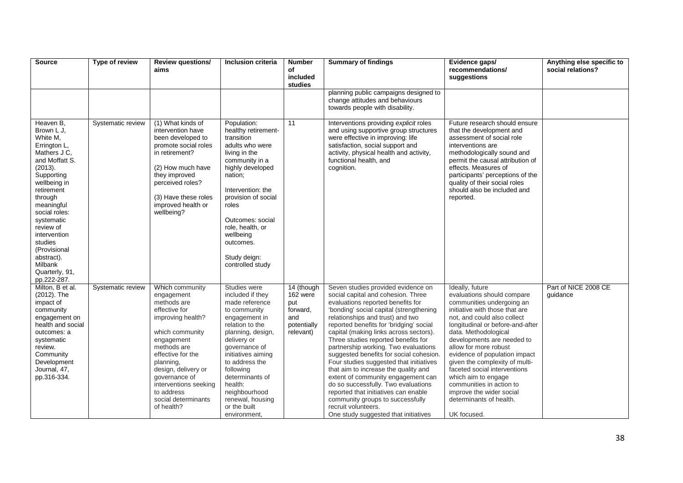| <b>Source</b>                                                                                                                                                                                                                                                                                                          | Type of review    | <b>Review questions/</b><br>aims                                                                                                                                                                                                                                                         | Inclusion criteria                                                                                                                                                                                                                                                                                                  | <b>Number</b><br>of<br>included<br>studies                                   | <b>Summary of findings</b>                                                                                                                                                                                                                                                                                                                                                                                                                                                                                                                                                                                                                                                                                             | Evidence gaps/<br>recommendations/<br>suggestions                                                                                                                                                                                                                                                                                                                                                                                                                                          | Anything else specific to<br>social relations? |
|------------------------------------------------------------------------------------------------------------------------------------------------------------------------------------------------------------------------------------------------------------------------------------------------------------------------|-------------------|------------------------------------------------------------------------------------------------------------------------------------------------------------------------------------------------------------------------------------------------------------------------------------------|---------------------------------------------------------------------------------------------------------------------------------------------------------------------------------------------------------------------------------------------------------------------------------------------------------------------|------------------------------------------------------------------------------|------------------------------------------------------------------------------------------------------------------------------------------------------------------------------------------------------------------------------------------------------------------------------------------------------------------------------------------------------------------------------------------------------------------------------------------------------------------------------------------------------------------------------------------------------------------------------------------------------------------------------------------------------------------------------------------------------------------------|--------------------------------------------------------------------------------------------------------------------------------------------------------------------------------------------------------------------------------------------------------------------------------------------------------------------------------------------------------------------------------------------------------------------------------------------------------------------------------------------|------------------------------------------------|
|                                                                                                                                                                                                                                                                                                                        |                   |                                                                                                                                                                                                                                                                                          |                                                                                                                                                                                                                                                                                                                     |                                                                              | planning public campaigns designed to<br>change attitudes and behaviours<br>towards people with disability.                                                                                                                                                                                                                                                                                                                                                                                                                                                                                                                                                                                                            |                                                                                                                                                                                                                                                                                                                                                                                                                                                                                            |                                                |
| Heaven B.<br>Brown L J.<br>White M,<br>Errington L,<br>Mathers J C,<br>and Moffatt S.<br>(2013).<br>Supporting<br>wellbeing in<br>retirement<br>through<br>meaningful<br>social roles:<br>systematic<br>review of<br>intervention<br>studies<br>(Provisional<br>abstract).<br>Milbank<br>Quarterly, 91,<br>pp.222-287. | Systematic review | (1) What kinds of<br>intervention have<br>been developed to<br>promote social roles<br>in retirement?<br>(2) How much have<br>they improved<br>perceived roles?<br>(3) Have these roles<br>improved health or<br>wellbeing?                                                              | Population:<br>healthy retirement-<br>transition<br>adults who were<br>living in the<br>community in a<br>highly developed<br>nation;<br>Intervention: the<br>provision of social<br>roles<br>Outcomes: social<br>role, health, or<br>wellbeing<br>outcomes.<br>Study deign:<br>controlled study                    | $\overline{11}$                                                              | Interventions providing explicit roles<br>and using supportive group structures<br>were effective in improving: life<br>satisfaction, social support and<br>activity, physical health and activity,<br>functional health, and<br>cognition.                                                                                                                                                                                                                                                                                                                                                                                                                                                                            | Future research should ensure<br>that the development and<br>assessment of social role<br>interventions are<br>methodologically sound and<br>permit the causal attribution of<br>effects. Measures of<br>participants' perceptions of the<br>quality of their social roles<br>should also be included and<br>reported.                                                                                                                                                                     |                                                |
| Milton, B et al.<br>(2012). The<br>impact of<br>community<br>engagement on<br>health and social<br>outcomes: a<br>systematic<br>review.<br>Community<br>Development<br>Journal, 47,<br>pp.316-334.                                                                                                                     | Systematic review | Which community<br>engagement<br>methods are<br>effective for<br>improving health?<br>which community<br>engagement<br>methods are<br>effective for the<br>planning,<br>design, delivery or<br>governance of<br>interventions seeking<br>to address<br>social determinants<br>of health? | Studies were<br>included if they<br>made reference<br>to community<br>engagement in<br>relation to the<br>planning, design,<br>delivery or<br>governance of<br>initiatives aiming<br>to address the<br>following<br>determinants of<br>health:<br>neighbourhood<br>renewal, housing<br>or the built<br>environment, | 14 (though<br>162 were<br>put<br>forward,<br>and<br>potentially<br>relevant) | Seven studies provided evidence on<br>social capital and cohesion. Three<br>evaluations reported benefits for<br>'bonding' social capital (strengthening<br>relationships and trust) and two<br>reported benefits for 'bridging' social<br>capital (making links across sectors).<br>Three studies reported benefits for<br>partnership working. Two evaluations<br>suggested benefits for social cohesion.<br>Four studies suggested that initiatives<br>that aim to increase the quality and<br>extent of community engagement can<br>do so successfully. Two evaluations<br>reported that initiatives can enable<br>community groups to successfully<br>recruit volunteers.<br>One study suggested that initiatives | Ideally, future<br>evaluations should compare<br>communities undergoing an<br>initiative with those that are<br>not, and could also collect<br>longitudinal or before-and-after<br>data. Methodological<br>developments are needed to<br>allow for more robust<br>evidence of population impact<br>given the complexity of multi-<br>faceted social interventions<br>which aim to engage<br>communities in action to<br>improve the wider social<br>determinants of health.<br>UK focused. | Part of NICE 2008 CE<br>guidance               |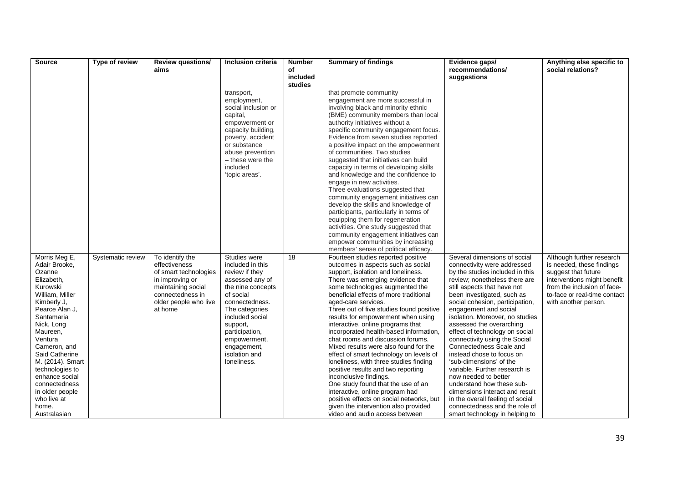| <b>Source</b>                                                                                                                                                                                                                                                                                                                                    | Type of review    | <b>Review questions/</b><br>aims                                                                                                                           | <b>Inclusion criteria</b>                                                                                                                                                                                                                                   | <b>Number</b><br>of | <b>Summary of findings</b>                                                                                                                                                                                                                                                                                                                                                                                                                                                                                                                                                                                                                                                                                                                                                                                                                                | Evidence gaps/<br>recommendations/                                                                                                                                                                                                                                                                                                                                                                                                                                                                                                                                                                                                                                                                           | Anything else specific to<br>social relations?                                                                                                                                                      |
|--------------------------------------------------------------------------------------------------------------------------------------------------------------------------------------------------------------------------------------------------------------------------------------------------------------------------------------------------|-------------------|------------------------------------------------------------------------------------------------------------------------------------------------------------|-------------------------------------------------------------------------------------------------------------------------------------------------------------------------------------------------------------------------------------------------------------|---------------------|-----------------------------------------------------------------------------------------------------------------------------------------------------------------------------------------------------------------------------------------------------------------------------------------------------------------------------------------------------------------------------------------------------------------------------------------------------------------------------------------------------------------------------------------------------------------------------------------------------------------------------------------------------------------------------------------------------------------------------------------------------------------------------------------------------------------------------------------------------------|--------------------------------------------------------------------------------------------------------------------------------------------------------------------------------------------------------------------------------------------------------------------------------------------------------------------------------------------------------------------------------------------------------------------------------------------------------------------------------------------------------------------------------------------------------------------------------------------------------------------------------------------------------------------------------------------------------------|-----------------------------------------------------------------------------------------------------------------------------------------------------------------------------------------------------|
|                                                                                                                                                                                                                                                                                                                                                  |                   |                                                                                                                                                            |                                                                                                                                                                                                                                                             | included<br>studies |                                                                                                                                                                                                                                                                                                                                                                                                                                                                                                                                                                                                                                                                                                                                                                                                                                                           | suggestions                                                                                                                                                                                                                                                                                                                                                                                                                                                                                                                                                                                                                                                                                                  |                                                                                                                                                                                                     |
|                                                                                                                                                                                                                                                                                                                                                  |                   |                                                                                                                                                            | transport,<br>employment,<br>social inclusion or<br>capital,<br>empowerment or<br>capacity building,<br>poverty, accident<br>or substance<br>abuse prevention<br>- these were the<br>included<br>'topic areas'.                                             |                     | that promote community<br>engagement are more successful in<br>involving black and minority ethnic<br>(BME) community members than local<br>authority initiatives without a<br>specific community engagement focus.<br>Evidence from seven studies reported<br>a positive impact on the empowerment<br>of communities. Two studies<br>suggested that initiatives can build<br>capacity in terms of developing skills<br>and knowledge and the confidence to<br>engage in new activities.<br>Three evaluations suggested that<br>community engagement initiatives can<br>develop the skills and knowledge of<br>participants, particularly in terms of<br>equipping them for regeneration<br>activities. One study suggested that<br>community engagement initiatives can<br>empower communities by increasing<br>members' sense of political efficacy.    |                                                                                                                                                                                                                                                                                                                                                                                                                                                                                                                                                                                                                                                                                                              |                                                                                                                                                                                                     |
| Morris Meg E,<br>Adair Brooke,<br>Ozanne<br>Elizabeth,<br>Kurowski<br>William, Miller<br>Kimberly J,<br>Pearce Alan J.<br>Santamaria<br>Nick, Long<br>Maureen,<br>Ventura<br>Cameron, and<br>Said Catherine<br>M. (2014). Smart<br>technologies to<br>enhance social<br>connectedness<br>in older people<br>who live at<br>home.<br>Australasian | Systematic review | To identify the<br>effectiveness<br>of smart technologies<br>in improving or<br>maintaining social<br>connectedness in<br>older people who live<br>at home | Studies were<br>included in this<br>review if they<br>assessed any of<br>the nine concepts<br>of social<br>connectedness.<br>The categories<br>included social<br>support,<br>participation,<br>empowerment,<br>engagement,<br>isolation and<br>loneliness. | 18                  | Fourteen studies reported positive<br>outcomes in aspects such as social<br>support, isolation and loneliness.<br>There was emerging evidence that<br>some technologies augmented the<br>beneficial effects of more traditional<br>aged-care services.<br>Three out of five studies found positive<br>results for empowerment when using<br>interactive, online programs that<br>incorporated health-based information,<br>chat rooms and discussion forums.<br>Mixed results were also found for the<br>effect of smart technology on levels of<br>loneliness, with three studies finding<br>positive results and two reporting<br>inconclusive findings.<br>One study found that the use of an<br>interactive, online program had<br>positive effects on social networks, but<br>given the intervention also provided<br>video and audio access between | Several dimensions of social<br>connectivity were addressed<br>by the studies included in this<br>review; nonetheless there are<br>still aspects that have not<br>been investigated, such as<br>social cohesion, participation,<br>engagement and social<br>isolation. Moreover, no studies<br>assessed the overarching<br>effect of technology on social<br>connectivity using the Social<br>Connectedness Scale and<br>instead chose to focus on<br>'sub-dimensions' of the<br>variable. Further research is<br>now needed to better<br>understand how these sub-<br>dimensions interact and result<br>in the overall feeling of social<br>connectedness and the role of<br>smart technology in helping to | Although further research<br>is needed, these findings<br>suggest that future<br>interventions might benefit<br>from the inclusion of face-<br>to-face or real-time contact<br>with another person. |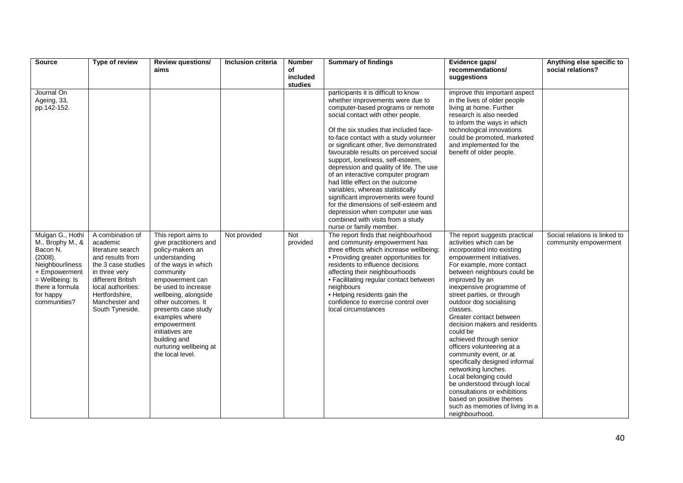| <b>Source</b>                                                                                                                                                        | Type of review                                                                                                                                                                                                 | <b>Review questions/</b><br>aims                                                                                                                                                                                                                                                                                                                         | <b>Inclusion criteria</b> | <b>Number</b><br>of | <b>Summary of findings</b>                                                                                                                                                                                                                                                                                                                                                                                                                                                                                                                                                                                                                                                                                    | Evidence gaps/<br>recommendations/                                                                                                                                                                                                                                                                                                                                                                                                                                                                                                                                                                                                                                                             | Anything else specific to<br>social relations?         |
|----------------------------------------------------------------------------------------------------------------------------------------------------------------------|----------------------------------------------------------------------------------------------------------------------------------------------------------------------------------------------------------------|----------------------------------------------------------------------------------------------------------------------------------------------------------------------------------------------------------------------------------------------------------------------------------------------------------------------------------------------------------|---------------------------|---------------------|---------------------------------------------------------------------------------------------------------------------------------------------------------------------------------------------------------------------------------------------------------------------------------------------------------------------------------------------------------------------------------------------------------------------------------------------------------------------------------------------------------------------------------------------------------------------------------------------------------------------------------------------------------------------------------------------------------------|------------------------------------------------------------------------------------------------------------------------------------------------------------------------------------------------------------------------------------------------------------------------------------------------------------------------------------------------------------------------------------------------------------------------------------------------------------------------------------------------------------------------------------------------------------------------------------------------------------------------------------------------------------------------------------------------|--------------------------------------------------------|
|                                                                                                                                                                      |                                                                                                                                                                                                                |                                                                                                                                                                                                                                                                                                                                                          |                           | included<br>studies |                                                                                                                                                                                                                                                                                                                                                                                                                                                                                                                                                                                                                                                                                                               | suggestions                                                                                                                                                                                                                                                                                                                                                                                                                                                                                                                                                                                                                                                                                    |                                                        |
| Journal On<br>Ageing, 33,<br>pp.142-152.                                                                                                                             |                                                                                                                                                                                                                |                                                                                                                                                                                                                                                                                                                                                          |                           |                     | participants it is difficult to know<br>whether improvements were due to<br>computer-based programs or remote<br>social contact with other people.<br>Of the six studies that included face-<br>to-face contact with a study volunteer<br>or significant other, five demonstrated<br>favourable results on perceived social<br>support, loneliness, self-esteem,<br>depression and quality of life. The use<br>of an interactive computer program<br>had little effect on the outcome<br>variables, whereas statistically<br>significant improvements were found<br>for the dimensions of self-esteem and<br>depression when computer use was<br>combined with visits from a study<br>nurse or family member. | improve this important aspect<br>in the lives of older people<br>living at home. Further<br>research is also needed<br>to inform the ways in which<br>technological innovations<br>could be promoted, marketed<br>and implemented for the<br>benefit of older people.                                                                                                                                                                                                                                                                                                                                                                                                                          |                                                        |
| Mulgan G., Hothi<br>M., Brophy M., &<br>Bacon N.<br>(2008).<br>Neighbourliness<br>+ Empowerment<br>$=$ Wellbeing: Is<br>there a formula<br>for happy<br>communities? | A combination of<br>academic<br>literature search<br>and results from<br>the 3 case studies<br>in three very<br>different British<br>local authorities:<br>Hertfordshire,<br>Manchester and<br>South Tyneside. | This report aims to<br>give practitioners and<br>policy-makers an<br>understanding<br>of the ways in which<br>community<br>empowerment can<br>be used to increase<br>wellbeing, alongside<br>other outcomes. It<br>presents case study<br>examples where<br>empowerment<br>initiatives are<br>building and<br>nurturing wellbeing at<br>the local level. | Not provided              | Not<br>provided     | The report finds that neighbourhood<br>and community empowerment has<br>three effects which increase wellbeing:<br>• Providing greater opportunities for<br>residents to influence decisions<br>affecting their neighbourhoods<br>• Facilitating regular contact between<br>neighbours<br>• Helping residents gain the<br>confidence to exercise control over<br>local circumstances                                                                                                                                                                                                                                                                                                                          | The report suggests practical<br>activities which can be<br>incorporated into existing<br>empowerment initiatives.<br>For example, more contact<br>between neighbours could be<br>improved by an<br>inexpensive programme of<br>street parties, or through<br>outdoor dog socialising<br>classes.<br>Greater contact between<br>decision makers and residents<br>could be<br>achieved through senior<br>officers volunteering at a<br>community event, or at<br>specifically designed informal<br>networking lunches.<br>Local belonging could<br>be understood through local<br>consultations or exhibitions<br>based on positive themes<br>such as memories of living in a<br>neighbourhood. | Social relations is linked to<br>community empowerment |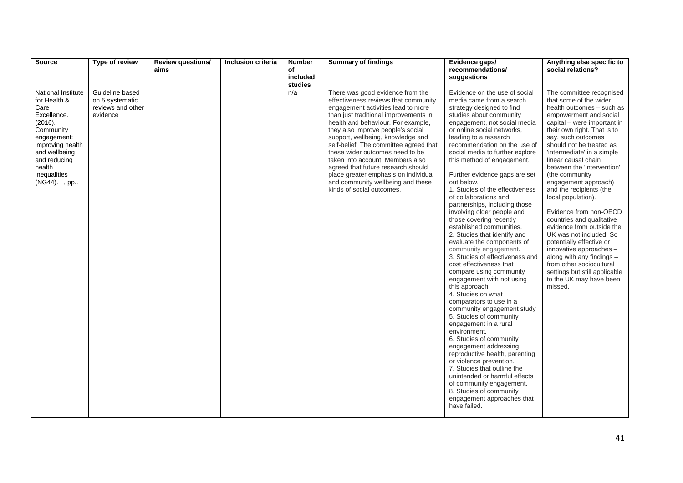| <b>Source</b>                                                                                                                                                                                   | Type of review                                                      | <b>Review questions/</b> | Inclusion criteria | <b>Number</b>  | <b>Summary of findings</b>                                                                                                                                                                                                                                                                                                                                                                                                                                                                                                               | Evidence gaps/                                                                                                                                                                                                                                                                                                                                                                                                                                                                                                                                                                                                                                                                                                                                                                                                                                                                                                                                                                                                                                                                                                                                                                                                     | Anything else specific to                                                                                                                                                                                                                                                                                                                                                                                                                                                                                                                                                                                                                                                                                     |
|-------------------------------------------------------------------------------------------------------------------------------------------------------------------------------------------------|---------------------------------------------------------------------|--------------------------|--------------------|----------------|------------------------------------------------------------------------------------------------------------------------------------------------------------------------------------------------------------------------------------------------------------------------------------------------------------------------------------------------------------------------------------------------------------------------------------------------------------------------------------------------------------------------------------------|--------------------------------------------------------------------------------------------------------------------------------------------------------------------------------------------------------------------------------------------------------------------------------------------------------------------------------------------------------------------------------------------------------------------------------------------------------------------------------------------------------------------------------------------------------------------------------------------------------------------------------------------------------------------------------------------------------------------------------------------------------------------------------------------------------------------------------------------------------------------------------------------------------------------------------------------------------------------------------------------------------------------------------------------------------------------------------------------------------------------------------------------------------------------------------------------------------------------|---------------------------------------------------------------------------------------------------------------------------------------------------------------------------------------------------------------------------------------------------------------------------------------------------------------------------------------------------------------------------------------------------------------------------------------------------------------------------------------------------------------------------------------------------------------------------------------------------------------------------------------------------------------------------------------------------------------|
|                                                                                                                                                                                                 |                                                                     | aims                     |                    | of<br>included |                                                                                                                                                                                                                                                                                                                                                                                                                                                                                                                                          | recommendations/<br>suggestions                                                                                                                                                                                                                                                                                                                                                                                                                                                                                                                                                                                                                                                                                                                                                                                                                                                                                                                                                                                                                                                                                                                                                                                    | social relations?                                                                                                                                                                                                                                                                                                                                                                                                                                                                                                                                                                                                                                                                                             |
|                                                                                                                                                                                                 |                                                                     |                          |                    | studies        |                                                                                                                                                                                                                                                                                                                                                                                                                                                                                                                                          |                                                                                                                                                                                                                                                                                                                                                                                                                                                                                                                                                                                                                                                                                                                                                                                                                                                                                                                                                                                                                                                                                                                                                                                                                    |                                                                                                                                                                                                                                                                                                                                                                                                                                                                                                                                                                                                                                                                                                               |
| National Institute<br>for Health &<br>Care<br>Excellence.<br>(2016).<br>Community<br>engagement:<br>improving health<br>and wellbeing<br>and reducing<br>health<br>inequalities<br>(NG44).,, pp | Guideline based<br>on 5 systematic<br>reviews and other<br>evidence |                          |                    | n/a            | There was good evidence from the<br>effectiveness reviews that community<br>engagement activities lead to more<br>than just traditional improvements in<br>health and behaviour. For example,<br>they also improve people's social<br>support, wellbeing, knowledge and<br>self-belief. The committee agreed that<br>these wider outcomes need to be<br>taken into account. Members also<br>agreed that future research should<br>place greater emphasis on individual<br>and community wellbeing and these<br>kinds of social outcomes. | Evidence on the use of social<br>media came from a search<br>strategy designed to find<br>studies about community<br>engagement, not social media<br>or online social networks,<br>leading to a research<br>recommendation on the use of<br>social media to further explore<br>this method of engagement.<br>Further evidence gaps are set<br>out below.<br>1. Studies of the effectiveness<br>of collaborations and<br>partnerships, including those<br>involving older people and<br>those covering recently<br>established communities.<br>2. Studies that identify and<br>evaluate the components of<br>community engagement.<br>3. Studies of effectiveness and<br>cost effectiveness that<br>compare using community<br>engagement with not using<br>this approach.<br>4. Studies on what<br>comparators to use in a<br>community engagement study<br>5. Studies of community<br>engagement in a rural<br>environment.<br>6. Studies of community<br>engagement addressing<br>reproductive health, parenting<br>or violence prevention.<br>7. Studies that outline the<br>unintended or harmful effects<br>of community engagement.<br>8. Studies of community<br>engagement approaches that<br>have failed. | The committee recognised<br>that some of the wider<br>health outcomes - such as<br>empowerment and social<br>capital – were important in<br>their own right. That is to<br>say, such outcomes<br>should not be treated as<br>'intermediate' in a simple<br>linear causal chain<br>between the 'intervention'<br>(the community<br>engagement approach)<br>and the recipients (the<br>local population).<br>Evidence from non-OECD<br>countries and qualitative<br>evidence from outside the<br>UK was not included. So<br>potentially effective or<br>innovative approaches -<br>along with any findings -<br>from other sociocultural<br>settings but still applicable<br>to the UK may have been<br>missed. |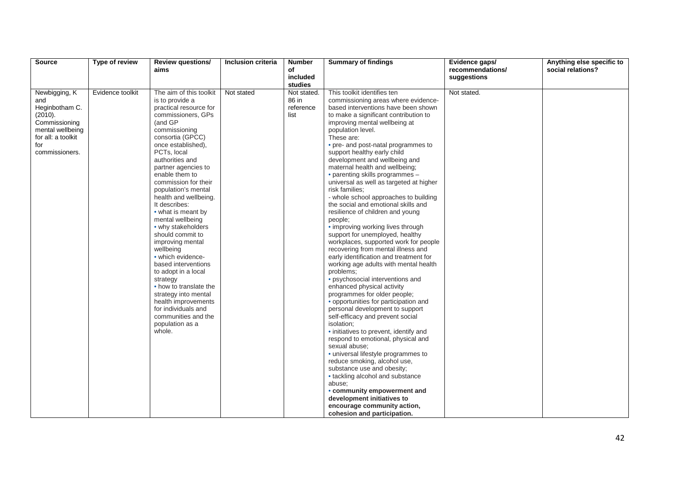| <b>Source</b>        | Type of review   | <b>Review questions/</b>        | Inclusion criteria | <b>Number</b>          | <b>Summary of findings</b>                    | Evidence gaps/   | Anything else specific to |
|----------------------|------------------|---------------------------------|--------------------|------------------------|-----------------------------------------------|------------------|---------------------------|
|                      |                  | aims                            |                    | of                     |                                               | recommendations/ | social relations?         |
|                      |                  |                                 |                    | included               |                                               | suggestions      |                           |
|                      | Evidence toolkit | The aim of this toolkit         | Not stated         | studies<br>Not stated. | This toolkit identifies ten                   | Not stated.      |                           |
| Newbigging, K<br>and |                  | is to provide a                 |                    | 86 in                  | commissioning areas where evidence-           |                  |                           |
| Heginbotham C.       |                  | practical resource for          |                    | reference              | based interventions have been shown           |                  |                           |
| (2010).              |                  | commissioners, GPs              |                    | list                   | to make a significant contribution to         |                  |                           |
| Commissioning        |                  | (and GP                         |                    |                        | improving mental wellbeing at                 |                  |                           |
| mental wellbeing     |                  | commissioning                   |                    |                        | population level.                             |                  |                           |
| for all: a toolkit   |                  | consortia (GPCC)                |                    |                        | These are:                                    |                  |                           |
| for                  |                  | once established),              |                    |                        | • pre- and post-natal programmes to           |                  |                           |
| commissioners.       |                  | PCTs, local                     |                    |                        | support healthy early child                   |                  |                           |
|                      |                  | authorities and                 |                    |                        | development and wellbeing and                 |                  |                           |
|                      |                  | partner agencies to             |                    |                        | maternal health and wellbeing;                |                  |                           |
|                      |                  | enable them to                  |                    |                        | • parenting skills programmes -               |                  |                           |
|                      |                  | commission for their            |                    |                        | universal as well as targeted at higher       |                  |                           |
|                      |                  | population's mental             |                    |                        | risk families;                                |                  |                           |
|                      |                  | health and wellbeing.           |                    |                        | - whole school approaches to building         |                  |                           |
|                      |                  | It describes:                   |                    |                        | the social and emotional skills and           |                  |                           |
|                      |                  | • what is meant by              |                    |                        | resilience of children and young              |                  |                           |
|                      |                  | mental wellbeing                |                    |                        | people;                                       |                  |                           |
|                      |                  | • why stakeholders              |                    |                        | • improving working lives through             |                  |                           |
|                      |                  | should commit to                |                    |                        | support for unemployed, healthy               |                  |                           |
|                      |                  | improving mental                |                    |                        | workplaces, supported work for people         |                  |                           |
|                      |                  | wellbeing                       |                    |                        | recovering from mental illness and            |                  |                           |
|                      |                  | • which evidence-               |                    |                        | early identification and treatment for        |                  |                           |
|                      |                  | based interventions             |                    |                        | working age adults with mental health         |                  |                           |
|                      |                  | to adopt in a local<br>strategy |                    |                        | problems;<br>• psychosocial interventions and |                  |                           |
|                      |                  | • how to translate the          |                    |                        | enhanced physical activity                    |                  |                           |
|                      |                  | strategy into mental            |                    |                        | programmes for older people;                  |                  |                           |
|                      |                  | health improvements             |                    |                        | • opportunities for participation and         |                  |                           |
|                      |                  | for individuals and             |                    |                        | personal development to support               |                  |                           |
|                      |                  | communities and the             |                    |                        | self-efficacy and prevent social              |                  |                           |
|                      |                  | population as a                 |                    |                        | isolation;                                    |                  |                           |
|                      |                  | whole.                          |                    |                        | • initiatives to prevent, identify and        |                  |                           |
|                      |                  |                                 |                    |                        | respond to emotional, physical and            |                  |                           |
|                      |                  |                                 |                    |                        | sexual abuse;                                 |                  |                           |
|                      |                  |                                 |                    |                        | · universal lifestyle programmes to           |                  |                           |
|                      |                  |                                 |                    |                        | reduce smoking, alcohol use,                  |                  |                           |
|                      |                  |                                 |                    |                        | substance use and obesity;                    |                  |                           |
|                      |                  |                                 |                    |                        | • tackling alcohol and substance              |                  |                           |
|                      |                  |                                 |                    |                        | abuse:                                        |                  |                           |
|                      |                  |                                 |                    |                        | • community empowerment and                   |                  |                           |
|                      |                  |                                 |                    |                        | development initiatives to                    |                  |                           |
|                      |                  |                                 |                    |                        | encourage community action,                   |                  |                           |
|                      |                  |                                 |                    |                        | cohesion and participation.                   |                  |                           |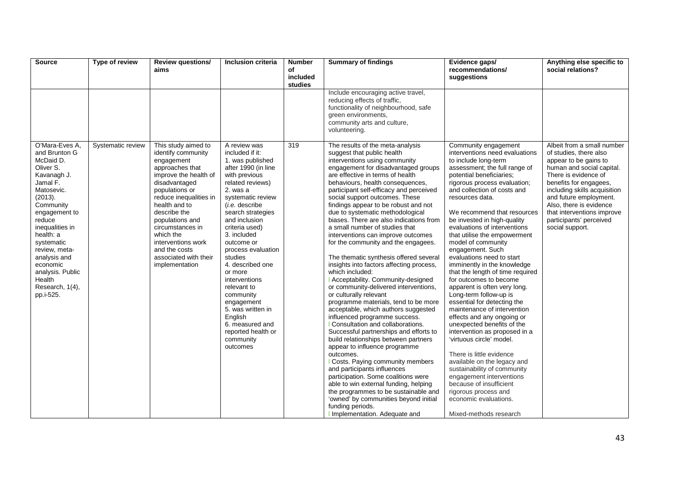| <b>Source</b>                                                                                                                                                                                                                                                                                                  | Type of review    | <b>Review questions/</b><br>aims                                                                                                                                                                                                                                                                                                        | <b>Inclusion criteria</b>                                                                                                                                                                                                                                                                                                                                                                                                                                                                    | <b>Number</b><br>of<br>included<br>studies | <b>Summary of findings</b>                                                                                                                                                                                                                                                                                                                                                                                                                                                                                                                                                                                                                                                                                                                                                                                                                                                                                                                                                                                                                                                                                                                                                                                                                                                                                                          | Evidence gaps/<br>recommendations/<br>suggestions                                                                                                                                                                                                                                                                                                                                                                                                                                                                                                                                                                                                                                                                                                                                                                                                                                                                                                                                                            | Anything else specific to<br>social relations?                                                                                                                                                                                                                                                                                |
|----------------------------------------------------------------------------------------------------------------------------------------------------------------------------------------------------------------------------------------------------------------------------------------------------------------|-------------------|-----------------------------------------------------------------------------------------------------------------------------------------------------------------------------------------------------------------------------------------------------------------------------------------------------------------------------------------|----------------------------------------------------------------------------------------------------------------------------------------------------------------------------------------------------------------------------------------------------------------------------------------------------------------------------------------------------------------------------------------------------------------------------------------------------------------------------------------------|--------------------------------------------|-------------------------------------------------------------------------------------------------------------------------------------------------------------------------------------------------------------------------------------------------------------------------------------------------------------------------------------------------------------------------------------------------------------------------------------------------------------------------------------------------------------------------------------------------------------------------------------------------------------------------------------------------------------------------------------------------------------------------------------------------------------------------------------------------------------------------------------------------------------------------------------------------------------------------------------------------------------------------------------------------------------------------------------------------------------------------------------------------------------------------------------------------------------------------------------------------------------------------------------------------------------------------------------------------------------------------------------|--------------------------------------------------------------------------------------------------------------------------------------------------------------------------------------------------------------------------------------------------------------------------------------------------------------------------------------------------------------------------------------------------------------------------------------------------------------------------------------------------------------------------------------------------------------------------------------------------------------------------------------------------------------------------------------------------------------------------------------------------------------------------------------------------------------------------------------------------------------------------------------------------------------------------------------------------------------------------------------------------------------|-------------------------------------------------------------------------------------------------------------------------------------------------------------------------------------------------------------------------------------------------------------------------------------------------------------------------------|
|                                                                                                                                                                                                                                                                                                                |                   |                                                                                                                                                                                                                                                                                                                                         |                                                                                                                                                                                                                                                                                                                                                                                                                                                                                              |                                            | Include encouraging active travel,<br>reducing effects of traffic,<br>functionality of neighbourhood, safe<br>green environments,<br>community arts and culture,<br>volunteering.                                                                                                                                                                                                                                                                                                                                                                                                                                                                                                                                                                                                                                                                                                                                                                                                                                                                                                                                                                                                                                                                                                                                                   |                                                                                                                                                                                                                                                                                                                                                                                                                                                                                                                                                                                                                                                                                                                                                                                                                                                                                                                                                                                                              |                                                                                                                                                                                                                                                                                                                               |
| O'Mara-Eves A.<br>and Brunton G<br>McDaid D.<br>Oliver S.<br>Kavanagh J.<br>Jamal F.<br>Matosevic.<br>(2013).<br>Community<br>engagement to<br>reduce<br>inequalities in<br>health: a<br>systematic<br>review, meta-<br>analysis and<br>economic<br>analysis. Public<br>Health<br>Research, 1(4),<br>pp.i-525. | Systematic review | This study aimed to<br>identify community<br>engagement<br>approaches that<br>improve the health of<br>disadvantaged<br>populations or<br>reduce inequalities in<br>health and to<br>describe the<br>populations and<br>circumstances in<br>which the<br>interventions work<br>and the costs<br>associated with their<br>implementation | A review was<br>included if it:<br>1. was published<br>after 1990 (in line<br>with previous<br>related reviews)<br>2. was a<br>systematic review<br>( <i>i.e.</i> describe<br>search strategies<br>and inclusion<br>criteria used)<br>3. included<br>outcome or<br>process evaluation<br>studies<br>4. described one<br>or more<br>interventions<br>relevant to<br>community<br>engagement<br>5. was written in<br>English<br>6. measured and<br>reported health or<br>community<br>outcomes | 319                                        | The results of the meta-analysis<br>suggest that public health<br>interventions using community<br>engagement for disadvantaged groups<br>are effective in terms of health<br>behaviours, health consequences,<br>participant self-efficacy and perceived<br>social support outcomes. These<br>findings appear to be robust and not<br>due to systematic methodological<br>biases. There are also indications from<br>a small number of studies that<br>interventions can improve outcomes<br>for the community and the engagees.<br>The thematic synthesis offered several<br>insights into factors affecting process,<br>which included:<br>  Acceptability. Community-designed<br>or community-delivered interventions,<br>or culturally relevant<br>programme materials, tend to be more<br>acceptable, which authors suggested<br>influenced programme success.<br>Consultation and collaborations.<br>Successful partnerships and efforts to<br>build relationships between partners<br>appear to influence programme<br>outcomes.<br>  Costs. Paying community members<br>and participants influences<br>participation. Some coalitions were<br>able to win external funding, helping<br>the programmes to be sustainable and<br>'owned' by communities beyond initial<br>funding periods.<br>I Implementation. Adequate and | Community engagement<br>interventions need evaluations<br>to include long-term<br>assessment; the full range of<br>potential beneficiaries;<br>rigorous process evaluation;<br>and collection of costs and<br>resources data.<br>We recommend that resources<br>be invested in high-quality<br>evaluations of interventions<br>that utilise the empowerment<br>model of community<br>engagement. Such<br>evaluations need to start<br>imminently in the knowledge<br>that the length of time required<br>for outcomes to become<br>apparent is often very long.<br>Long-term follow-up is<br>essential for detecting the<br>maintenance of intervention<br>effects and any ongoing or<br>unexpected benefits of the<br>intervention as proposed in a<br>'virtuous circle' model.<br>There is little evidence<br>available on the legacy and<br>sustainability of community<br>engagement interventions<br>because of insufficient<br>rigorous process and<br>economic evaluations.<br>Mixed-methods research | Albeit from a small number<br>of studies, there also<br>appear to be gains to<br>human and social capital.<br>There is evidence of<br>benefits for engagees,<br>including skills acquisition<br>and future employment.<br>Also, there is evidence<br>that interventions improve<br>participants' perceived<br>social support. |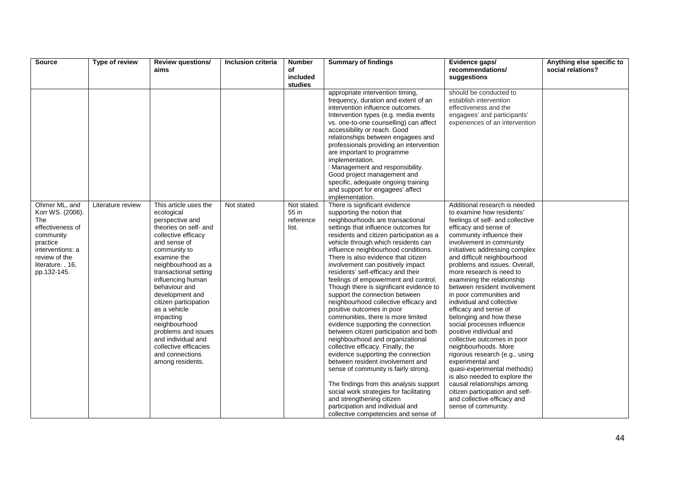| Source                                                                                                                                                        | Type of review    | <b>Review questions/</b>                                                                                                                                                                                                                                                                                                                                                                                                                          | Inclusion criteria | <b>Number</b>                              | <b>Summary of findings</b>                                                                                                                                                                                                                                                                                                                                                                                                                                                                                                                                                                                                                                                                                                                                                                                                                                                                                                                                                                                                                                                                     | Evidence gaps/                                                                                                                                                                                                                                                                                                                                                                                                                                                                                                                                                                                                                                                                                                                                                                                                                                        | Anything else specific to |
|---------------------------------------------------------------------------------------------------------------------------------------------------------------|-------------------|---------------------------------------------------------------------------------------------------------------------------------------------------------------------------------------------------------------------------------------------------------------------------------------------------------------------------------------------------------------------------------------------------------------------------------------------------|--------------------|--------------------------------------------|------------------------------------------------------------------------------------------------------------------------------------------------------------------------------------------------------------------------------------------------------------------------------------------------------------------------------------------------------------------------------------------------------------------------------------------------------------------------------------------------------------------------------------------------------------------------------------------------------------------------------------------------------------------------------------------------------------------------------------------------------------------------------------------------------------------------------------------------------------------------------------------------------------------------------------------------------------------------------------------------------------------------------------------------------------------------------------------------|-------------------------------------------------------------------------------------------------------------------------------------------------------------------------------------------------------------------------------------------------------------------------------------------------------------------------------------------------------------------------------------------------------------------------------------------------------------------------------------------------------------------------------------------------------------------------------------------------------------------------------------------------------------------------------------------------------------------------------------------------------------------------------------------------------------------------------------------------------|---------------------------|
|                                                                                                                                                               |                   | aims                                                                                                                                                                                                                                                                                                                                                                                                                                              |                    | of<br>included                             |                                                                                                                                                                                                                                                                                                                                                                                                                                                                                                                                                                                                                                                                                                                                                                                                                                                                                                                                                                                                                                                                                                | recommendations/<br>suggestions                                                                                                                                                                                                                                                                                                                                                                                                                                                                                                                                                                                                                                                                                                                                                                                                                       | social relations?         |
|                                                                                                                                                               |                   |                                                                                                                                                                                                                                                                                                                                                                                                                                                   |                    | studies                                    |                                                                                                                                                                                                                                                                                                                                                                                                                                                                                                                                                                                                                                                                                                                                                                                                                                                                                                                                                                                                                                                                                                |                                                                                                                                                                                                                                                                                                                                                                                                                                                                                                                                                                                                                                                                                                                                                                                                                                                       |                           |
|                                                                                                                                                               |                   |                                                                                                                                                                                                                                                                                                                                                                                                                                                   |                    |                                            | appropriate intervention timing,<br>frequency, duration and extent of an<br>intervention influence outcomes.<br>Intervention types (e.g. media events<br>vs. one-to-one counselling) can affect<br>accessibility or reach. Good<br>relationships between engagees and<br>professionals providing an intervention<br>are important to programme<br>implementation.<br>I Management and responsibility.<br>Good project management and<br>specific, adequate ongoing training<br>and support for engagees' affect<br>implementation.                                                                                                                                                                                                                                                                                                                                                                                                                                                                                                                                                             | should be conducted to<br>establish intervention<br>effectiveness and the<br>engagees' and participants'<br>experiences of an intervention                                                                                                                                                                                                                                                                                                                                                                                                                                                                                                                                                                                                                                                                                                            |                           |
| Ohmer ML, and<br>Korr WS. (2006).<br>The<br>effectiveness of<br>community<br>practice<br>interventions: a<br>review of the<br>literature., 16,<br>pp.132-145. | Literature review | This article uses the<br>ecological<br>perspective and<br>theories on self- and<br>collective efficacy<br>and sense of<br>community to<br>examine the<br>neighbourhood as a<br>transactional setting<br>influencing human<br>behaviour and<br>development and<br>citizen participation<br>as a vehicle<br>impacting<br>neighbourhood<br>problems and issues<br>and individual and<br>collective efficacies<br>and connections<br>among residents. | Not stated         | Not stated.<br>55 in<br>reference<br>list. | There is significant evidence<br>supporting the notion that<br>neighbourhoods are transactional<br>settings that influence outcomes for<br>residents and citizen participation as a<br>vehicle through which residents can<br>influence neighbourhood conditions.<br>There is also evidence that citizen<br>involvement can positively impact<br>residents' self-efficacy and their<br>feelings of empowerment and control.<br>Though there is significant evidence to<br>support the connection between<br>neighbourhood collective efficacy and<br>positive outcomes in poor<br>communities, there is more limited<br>evidence supporting the connection<br>between citizen participation and both<br>neighbourhood and organizational<br>collective efficacy. Finally, the<br>evidence supporting the connection<br>between resident involvement and<br>sense of community is fairly strong.<br>The findings from this analysis support<br>social work strategies for facilitating<br>and strengthening citizen<br>participation and individual and<br>collective competencies and sense of | Additional research is needed<br>to examine how residents'<br>feelings of self- and collective<br>efficacy and sense of<br>community influence their<br>involvement in community<br>initiatives addressing complex<br>and difficult neighbourhood<br>problems and issues. Overall,<br>more research is need to<br>examining the relationship<br>between resident involvement<br>in poor communities and<br>individual and collective<br>efficacy and sense of<br>belonging and how these<br>social processes influence<br>positive individual and<br>collective outcomes in poor<br>neighbourhoods. More<br>rigorous research (e.g., using<br>experimental and<br>quasi-experimental methods)<br>is also needed to explore the<br>causal relationships among<br>citizen participation and self-<br>and collective efficacy and<br>sense of community. |                           |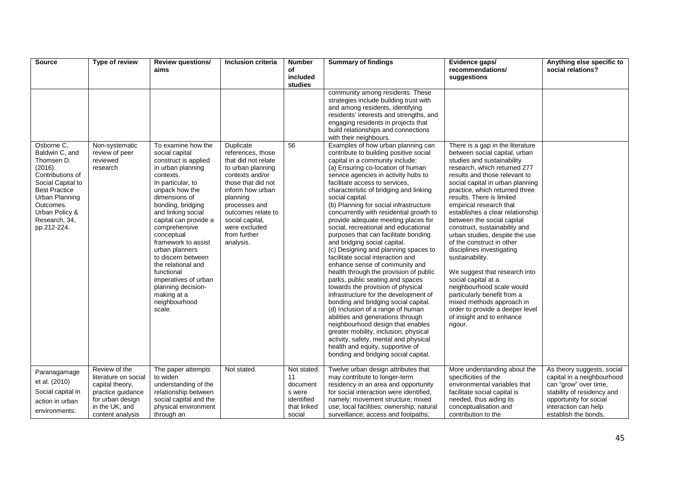| <b>Source</b>                                                                                                                                                                                           | Type of review                                                                                                                          | <b>Review questions/</b><br>aims                                                                                                                                                                                                                                                                                                                                                                                                                     | Inclusion criteria                                                                                                                                                                                                                                          | <b>Number</b><br>of<br>included<br>studies                                     | <b>Summary of findings</b>                                                                                                                                                                                                                                                                                                                                                                                                                                                                                                                                                                                                                                                                                                                                                                                                                                                                                                                                                                                                                                                                                                              | Evidence gaps/<br>recommendations/<br>suggestions                                                                                                                                                                                                                                                                                                                                                                                                                                                                                                                                                                                                                                                                                            | Anything else specific to<br>social relations?                                                                                                                                            |
|---------------------------------------------------------------------------------------------------------------------------------------------------------------------------------------------------------|-----------------------------------------------------------------------------------------------------------------------------------------|------------------------------------------------------------------------------------------------------------------------------------------------------------------------------------------------------------------------------------------------------------------------------------------------------------------------------------------------------------------------------------------------------------------------------------------------------|-------------------------------------------------------------------------------------------------------------------------------------------------------------------------------------------------------------------------------------------------------------|--------------------------------------------------------------------------------|-----------------------------------------------------------------------------------------------------------------------------------------------------------------------------------------------------------------------------------------------------------------------------------------------------------------------------------------------------------------------------------------------------------------------------------------------------------------------------------------------------------------------------------------------------------------------------------------------------------------------------------------------------------------------------------------------------------------------------------------------------------------------------------------------------------------------------------------------------------------------------------------------------------------------------------------------------------------------------------------------------------------------------------------------------------------------------------------------------------------------------------------|----------------------------------------------------------------------------------------------------------------------------------------------------------------------------------------------------------------------------------------------------------------------------------------------------------------------------------------------------------------------------------------------------------------------------------------------------------------------------------------------------------------------------------------------------------------------------------------------------------------------------------------------------------------------------------------------------------------------------------------------|-------------------------------------------------------------------------------------------------------------------------------------------------------------------------------------------|
|                                                                                                                                                                                                         |                                                                                                                                         |                                                                                                                                                                                                                                                                                                                                                                                                                                                      |                                                                                                                                                                                                                                                             |                                                                                | community among residents. These<br>strategies include building trust with<br>and among residents, identifying<br>residents' interests and strengths, and<br>engaging residents in projects that<br>build relationships and connections<br>with their neighbours.                                                                                                                                                                                                                                                                                                                                                                                                                                                                                                                                                                                                                                                                                                                                                                                                                                                                       |                                                                                                                                                                                                                                                                                                                                                                                                                                                                                                                                                                                                                                                                                                                                              |                                                                                                                                                                                           |
| Osborne C.<br>Baldwin C, and<br>Thomsen D.<br>(2016).<br>Contributions of<br>Social Capital to<br><b>Best Practice</b><br>Urban Planning<br>Outcomes.<br>Urban Policy &<br>Research, 34,<br>pp.212-224. | Non-systematic<br>review of peer<br>reviewed<br>research                                                                                | To examine how the<br>social capital<br>construct is applied<br>in urban planning<br>contexts.<br>In particular, to<br>unpack how the<br>dimensions of<br>bonding, bridging<br>and linking social<br>capital can provide a<br>comprehensive<br>conceptual<br>framework to assist<br>urban planners<br>to discern between<br>the relational and<br>functional<br>imperatives of urban<br>planning decision-<br>making at a<br>neighbourhood<br>scale. | Duplicate<br>references, those<br>that did not relate<br>to urban planning<br>contexts and/or<br>those that did not<br>inform how urban<br>planning<br>processes and<br>outcomes relate to<br>social capital,<br>were excluded<br>from further<br>analysis. | 56                                                                             | Examples of how urban planning can<br>contribute to building positive social<br>capital in a community include:<br>(a) Ensuring co-location of human<br>service agencies in activity hubs to<br>facilitate access to services,<br>characteristic of bridging and linking<br>social capital.<br>(b) Planning for social infrastructure<br>concurrently with residential growth to<br>provide adequate meeting places for<br>social, recreational and educational<br>purposes that can facilitate bonding<br>and bridging social capital.<br>(c) Designing and planning spaces to<br>facilitate social interaction and<br>enhance sense of community and<br>health through the provision of public<br>parks, public seating and spaces<br>towards the provision of physical<br>infrastructure for the development of<br>bonding and bridging social capital.<br>(d) Inclusion of a range of human<br>abilities and generations through<br>neighbourhood design that enables<br>greater mobility, inclusion, physical<br>activity, safety, mental and physical<br>health and equity, supportive of<br>bonding and bridging social capital. | There is a gap in the literature<br>between social capital, urban<br>studies and sustainability<br>research, which returned 277<br>results and those relevant to<br>social capital in urban planning<br>practice, which returned three<br>results. There is limited<br>empirical research that<br>establishes a clear relationship<br>between the social capital<br>construct, sustainability and<br>urban studies, despite the use<br>of the construct in other<br>disciplines investigating<br>sustainability.<br>We suggest that research into<br>social capital at a<br>neighbourhood scale would<br>particularly benefit from a<br>mixed methods approach in<br>order to provide a deeper level<br>of insight and to enhance<br>rigour. |                                                                                                                                                                                           |
| Paranagamage<br>et al. (2010)<br>Social capital in<br>action in urban<br>environments:                                                                                                                  | Review of the<br>literature on social<br>capital theory,<br>practice guidance<br>for urban design<br>in the UK, and<br>content analysis | The paper attempts<br>to widen<br>understanding of the<br>relationship between<br>social capital and the<br>physical environment<br>through an                                                                                                                                                                                                                                                                                                       | Not stated.                                                                                                                                                                                                                                                 | Not stated.<br>11<br>document<br>s were<br>identified<br>that linked<br>social | Twelve urban design attributes that<br>may contribute to longer-term<br>residency in an area and opportunity<br>for social interaction were identified,<br>namely: movement structure; mixed<br>use; local facilities; ownership; natural<br>surveillance; access and footpaths;                                                                                                                                                                                                                                                                                                                                                                                                                                                                                                                                                                                                                                                                                                                                                                                                                                                        | More understanding about the<br>specificities of the<br>environmental variables that<br>facilitate social capital is<br>needed, thus aiding its<br>conceptualisation and<br>contribution to the                                                                                                                                                                                                                                                                                                                                                                                                                                                                                                                                              | As theory suggests, social<br>capital in a neighbourhood<br>can "grow" over time,<br>stability of residency and<br>opportunity for social<br>interaction can help<br>establish the bonds, |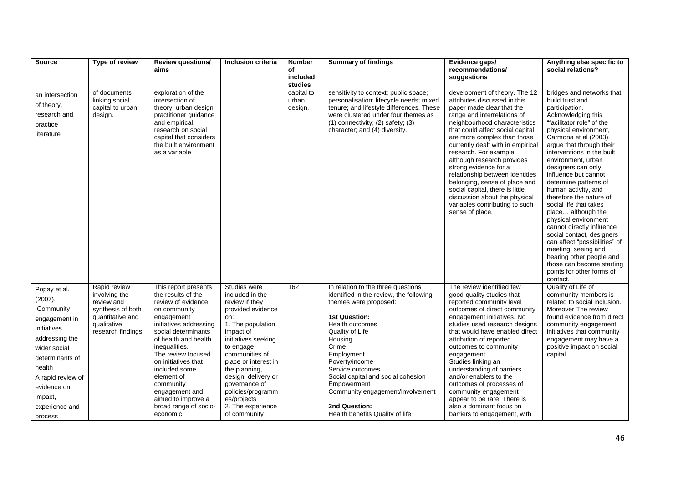| <b>Source</b>                                                                                                                                                                                                   | Type of review                                                                                                            | <b>Review questions/</b>                                                                                                                                                                                                                                                                                                                                       | <b>Inclusion criteria</b>                                                                                                                                                                                                                                                                                                       | <b>Number</b>                  | <b>Summary of findings</b>                                                                                                                                                                                                                                                                                                                                                                | Evidence gaps/                                                                                                                                                                                                                                                                                                                                                                                                                                                                                                                                   | Anything else specific to                                                                                                                                                                                                                                                                                                                                                                                                                                                                                                                                                                                                                                               |
|-----------------------------------------------------------------------------------------------------------------------------------------------------------------------------------------------------------------|---------------------------------------------------------------------------------------------------------------------------|----------------------------------------------------------------------------------------------------------------------------------------------------------------------------------------------------------------------------------------------------------------------------------------------------------------------------------------------------------------|---------------------------------------------------------------------------------------------------------------------------------------------------------------------------------------------------------------------------------------------------------------------------------------------------------------------------------|--------------------------------|-------------------------------------------------------------------------------------------------------------------------------------------------------------------------------------------------------------------------------------------------------------------------------------------------------------------------------------------------------------------------------------------|--------------------------------------------------------------------------------------------------------------------------------------------------------------------------------------------------------------------------------------------------------------------------------------------------------------------------------------------------------------------------------------------------------------------------------------------------------------------------------------------------------------------------------------------------|-------------------------------------------------------------------------------------------------------------------------------------------------------------------------------------------------------------------------------------------------------------------------------------------------------------------------------------------------------------------------------------------------------------------------------------------------------------------------------------------------------------------------------------------------------------------------------------------------------------------------------------------------------------------------|
|                                                                                                                                                                                                                 |                                                                                                                           | aims                                                                                                                                                                                                                                                                                                                                                           |                                                                                                                                                                                                                                                                                                                                 | οf<br>included                 |                                                                                                                                                                                                                                                                                                                                                                                           | recommendations/<br>suggestions                                                                                                                                                                                                                                                                                                                                                                                                                                                                                                                  | social relations?                                                                                                                                                                                                                                                                                                                                                                                                                                                                                                                                                                                                                                                       |
|                                                                                                                                                                                                                 |                                                                                                                           |                                                                                                                                                                                                                                                                                                                                                                |                                                                                                                                                                                                                                                                                                                                 | studies                        |                                                                                                                                                                                                                                                                                                                                                                                           |                                                                                                                                                                                                                                                                                                                                                                                                                                                                                                                                                  |                                                                                                                                                                                                                                                                                                                                                                                                                                                                                                                                                                                                                                                                         |
| an intersection<br>of theory,<br>research and<br>practice<br>literature                                                                                                                                         | of documents<br>linking social<br>capital to urban<br>design.                                                             | exploration of the<br>intersection of<br>theory, urban design<br>practitioner guidance<br>and empirical<br>research on social<br>capital that considers<br>the built environment<br>as a variable                                                                                                                                                              |                                                                                                                                                                                                                                                                                                                                 | capital to<br>urban<br>design. | sensitivity to context; public space;<br>personalisation; lifecycle needs; mixed<br>tenure; and lifestyle differences. These<br>were clustered under four themes as<br>$(1)$ connectivity; $(2)$ safety; $(3)$<br>character; and (4) diversity.                                                                                                                                           | development of theory. The 12<br>attributes discussed in this<br>paper made clear that the<br>range and interrelations of<br>neighbourhood characteristics<br>that could affect social capital<br>are more complex than those<br>currently dealt with in empirical<br>research. For example,<br>although research provides<br>strong evidence for a<br>relationship between identities<br>belonging, sense of place and<br>social capital, there is little<br>discussion about the physical<br>variables contributing to such<br>sense of place. | bridges and networks that<br>build trust and<br>participation.<br>Acknowledging this<br>"facilitator role" of the<br>physical environment,<br>Carmona et al (2003)<br>argue that through their<br>interventions in the built<br>environment, urban<br>designers can only<br>influence but cannot<br>determine patterns of<br>human activity, and<br>therefore the nature of<br>social life that takes<br>place although the<br>physical environment<br>cannot directly influence<br>social contact, designers<br>can affect "possibilities" of<br>meeting, seeing and<br>hearing other people and<br>those can become starting<br>points for other forms of<br>contact. |
| Popay et al.<br>(2007).<br>Community<br>engagement in<br>initiatives<br>addressing the<br>wider social<br>determinants of<br>health<br>A rapid review of<br>evidence on<br>impact,<br>experience and<br>process | Rapid review<br>involving the<br>review and<br>synthesis of both<br>quantitative and<br>qualitative<br>research findings. | This report presents<br>the results of the<br>review of evidence<br>on community<br>engagement<br>initiatives addressing<br>social determinants<br>of health and health<br>inequalities.<br>The review focused<br>on initiatives that<br>included some<br>element of<br>community<br>engagement and<br>aimed to improve a<br>broad range of socio-<br>economic | Studies were<br>included in the<br>review if they<br>provided evidence<br>on:<br>1. The population<br>impact of<br>initiatives seeking<br>to engage<br>communities of<br>place or interest in<br>the planning,<br>design, delivery or<br>governance of<br>policies/programm<br>es/projects<br>2. The experience<br>of community | 162                            | In relation to the three questions<br>identified in the review, the following<br>themes were proposed:<br><b>1st Question:</b><br>Health outcomes<br>Quality of Life<br>Housing<br>Crime<br>Employment<br>Poverty/income<br>Service outcomes<br>Social capital and social cohesion<br>Empowerment<br>Community engagement/involvement<br>2nd Question:<br>Health benefits Quality of life | The review identified few<br>good-quality studies that<br>reported community level<br>outcomes of direct community<br>engagement initiatives. No<br>studies used research designs<br>that would have enabled direct<br>attribution of reported<br>outcomes to community<br>engagement.<br>Studies linking an<br>understanding of barriers<br>and/or enablers to the<br>outcomes of processes of<br>community engagement<br>appear to be rare. There is<br>also a dominant focus on<br>barriers to engagement, with                               | Quality of Life of<br>community members is<br>related to social inclusion.<br>Moreover The review<br>found evidence from direct<br>community engagement<br>initiatives that community<br>engagement may have a<br>positive impact on social<br>capital.                                                                                                                                                                                                                                                                                                                                                                                                                 |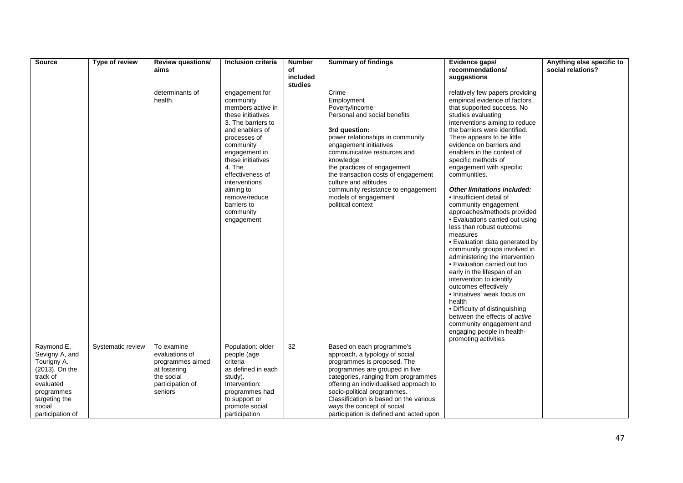| Source                        | Type of review    | <b>Review questions/</b>           | Inclusion criteria                                                                                                                                                                                                                                                                                       | <b>Number</b>       | <b>Summary of findings</b>                                                                                                                                                                                                                                                                                                                                                         | Evidence gaps/                                                                                                                                                                                                                                                                                                                                                                                                                                                                                                                                                                                                                                                                                                                                                                                                                                                                                                  | Anything else specific to |
|-------------------------------|-------------------|------------------------------------|----------------------------------------------------------------------------------------------------------------------------------------------------------------------------------------------------------------------------------------------------------------------------------------------------------|---------------------|------------------------------------------------------------------------------------------------------------------------------------------------------------------------------------------------------------------------------------------------------------------------------------------------------------------------------------------------------------------------------------|-----------------------------------------------------------------------------------------------------------------------------------------------------------------------------------------------------------------------------------------------------------------------------------------------------------------------------------------------------------------------------------------------------------------------------------------------------------------------------------------------------------------------------------------------------------------------------------------------------------------------------------------------------------------------------------------------------------------------------------------------------------------------------------------------------------------------------------------------------------------------------------------------------------------|---------------------------|
|                               |                   | aims                               |                                                                                                                                                                                                                                                                                                          | of                  |                                                                                                                                                                                                                                                                                                                                                                                    | recommendations/                                                                                                                                                                                                                                                                                                                                                                                                                                                                                                                                                                                                                                                                                                                                                                                                                                                                                                | social relations?         |
|                               |                   |                                    |                                                                                                                                                                                                                                                                                                          | included<br>studies |                                                                                                                                                                                                                                                                                                                                                                                    | suggestions                                                                                                                                                                                                                                                                                                                                                                                                                                                                                                                                                                                                                                                                                                                                                                                                                                                                                                     |                           |
|                               |                   | determinants of<br>health.         | engagement for<br>community<br>members active in<br>these initiatives<br>3. The barriers to<br>and enablers of<br>processes of<br>community<br>engagement in<br>these initiatives<br>4. The<br>effectiveness of<br>interventions<br>aiming to<br>remove/reduce<br>barriers to<br>community<br>engagement |                     | Crime<br>Employment<br>Poverty/income<br>Personal and social benefits<br>3rd question:<br>power relationships in community<br>engagement initiatives<br>communicative resources and<br>knowledge<br>the practices of engagement<br>the transaction costs of engagement<br>culture and attitudes<br>community resistance to engagement<br>models of engagement<br>political context | relatively few papers providing<br>empirical evidence of factors<br>that supported success. No<br>studies evaluating<br>interventions aiming to reduce<br>the barriers were identified.<br>There appears to be little<br>evidence on barriers and<br>enablers in the context of<br>specific methods of<br>engagement with specific<br>communities.<br>Other limitations included:<br>• Insufficient detail of<br>community engagement<br>approaches/methods provided<br>· Evaluations carried out using<br>less than robust outcome<br>measures<br>• Evaluation data generated by<br>community groups involved in<br>administering the intervention<br>• Evaluation carried out too<br>early in the lifespan of an<br>intervention to identify<br>outcomes effectively<br>· Initiatives' weak focus on<br>health<br>• Difficulty of distinguishing<br>between the effects of active<br>community engagement and |                           |
|                               |                   |                                    |                                                                                                                                                                                                                                                                                                          |                     |                                                                                                                                                                                                                                                                                                                                                                                    | engaging people in health-<br>promoting activities                                                                                                                                                                                                                                                                                                                                                                                                                                                                                                                                                                                                                                                                                                                                                                                                                                                              |                           |
| Raymond E,                    | Systematic review | To examine                         | Population: older                                                                                                                                                                                                                                                                                        | 32                  | Based on each programme's                                                                                                                                                                                                                                                                                                                                                          |                                                                                                                                                                                                                                                                                                                                                                                                                                                                                                                                                                                                                                                                                                                                                                                                                                                                                                                 |                           |
| Sevigny A, and<br>Tourigny A. |                   | evaluations of<br>programmes aimed | people (age<br>criteria                                                                                                                                                                                                                                                                                  |                     | approach, a typology of social<br>programmes is proposed. The                                                                                                                                                                                                                                                                                                                      |                                                                                                                                                                                                                                                                                                                                                                                                                                                                                                                                                                                                                                                                                                                                                                                                                                                                                                                 |                           |
| (2013). On the                |                   | at fostering                       | as defined in each                                                                                                                                                                                                                                                                                       |                     | programmes are grouped in five                                                                                                                                                                                                                                                                                                                                                     |                                                                                                                                                                                                                                                                                                                                                                                                                                                                                                                                                                                                                                                                                                                                                                                                                                                                                                                 |                           |
| track of                      |                   | the social                         | study).                                                                                                                                                                                                                                                                                                  |                     | categories, ranging from programmes                                                                                                                                                                                                                                                                                                                                                |                                                                                                                                                                                                                                                                                                                                                                                                                                                                                                                                                                                                                                                                                                                                                                                                                                                                                                                 |                           |
| evaluated                     |                   | participation of                   | Intervention:                                                                                                                                                                                                                                                                                            |                     | offering an individualised approach to                                                                                                                                                                                                                                                                                                                                             |                                                                                                                                                                                                                                                                                                                                                                                                                                                                                                                                                                                                                                                                                                                                                                                                                                                                                                                 |                           |
| programmes                    |                   | seniors                            | programmes had                                                                                                                                                                                                                                                                                           |                     | socio-political programmes.                                                                                                                                                                                                                                                                                                                                                        |                                                                                                                                                                                                                                                                                                                                                                                                                                                                                                                                                                                                                                                                                                                                                                                                                                                                                                                 |                           |
| targeting the                 |                   |                                    | to support or                                                                                                                                                                                                                                                                                            |                     | Classification is based on the various                                                                                                                                                                                                                                                                                                                                             |                                                                                                                                                                                                                                                                                                                                                                                                                                                                                                                                                                                                                                                                                                                                                                                                                                                                                                                 |                           |
| social                        |                   |                                    | promote social                                                                                                                                                                                                                                                                                           |                     | ways the concept of social                                                                                                                                                                                                                                                                                                                                                         |                                                                                                                                                                                                                                                                                                                                                                                                                                                                                                                                                                                                                                                                                                                                                                                                                                                                                                                 |                           |
| participation of              |                   |                                    | participation                                                                                                                                                                                                                                                                                            |                     | participation is defined and acted upon                                                                                                                                                                                                                                                                                                                                            |                                                                                                                                                                                                                                                                                                                                                                                                                                                                                                                                                                                                                                                                                                                                                                                                                                                                                                                 |                           |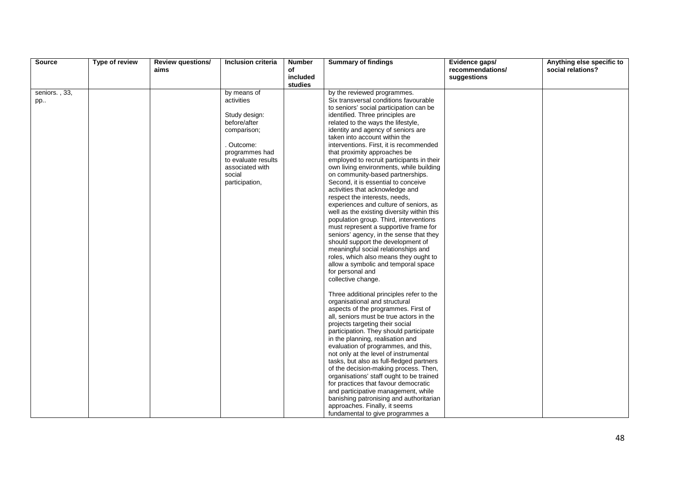| Source        | Type of review | <b>Review questions/</b> | Inclusion criteria  | <b>Number</b>       | <b>Summary of findings</b>                                                        | Evidence gaps/   | Anything else specific to |
|---------------|----------------|--------------------------|---------------------|---------------------|-----------------------------------------------------------------------------------|------------------|---------------------------|
|               |                | aims                     |                     | οf                  |                                                                                   | recommendations/ | social relations?         |
|               |                |                          |                     | included<br>studies |                                                                                   | suggestions      |                           |
| seniors., 33, |                |                          | by means of         |                     | by the reviewed programmes.                                                       |                  |                           |
| pp            |                |                          | activities          |                     | Six transversal conditions favourable                                             |                  |                           |
|               |                |                          |                     |                     | to seniors' social participation can be                                           |                  |                           |
|               |                |                          | Study design:       |                     | identified. Three principles are                                                  |                  |                           |
|               |                |                          | before/after        |                     | related to the ways the lifestyle,                                                |                  |                           |
|               |                |                          | comparison;         |                     | identity and agency of seniors are                                                |                  |                           |
|               |                |                          | . Outcome:          |                     | taken into account within the<br>interventions. First, it is recommended          |                  |                           |
|               |                |                          | programmes had      |                     | that proximity approaches be                                                      |                  |                           |
|               |                |                          | to evaluate results |                     | employed to recruit participants in their                                         |                  |                           |
|               |                |                          | associated with     |                     | own living environments, while building                                           |                  |                           |
|               |                |                          | social              |                     | on community-based partnerships.                                                  |                  |                           |
|               |                |                          | participation,      |                     | Second, it is essential to conceive                                               |                  |                           |
|               |                |                          |                     |                     | activities that acknowledge and                                                   |                  |                           |
|               |                |                          |                     |                     | respect the interests, needs,                                                     |                  |                           |
|               |                |                          |                     |                     | experiences and culture of seniors, as                                            |                  |                           |
|               |                |                          |                     |                     | well as the existing diversity within this                                        |                  |                           |
|               |                |                          |                     |                     | population group. Third, interventions                                            |                  |                           |
|               |                |                          |                     |                     | must represent a supportive frame for                                             |                  |                           |
|               |                |                          |                     |                     | seniors' agency, in the sense that they<br>should support the development of      |                  |                           |
|               |                |                          |                     |                     | meaningful social relationships and                                               |                  |                           |
|               |                |                          |                     |                     | roles, which also means they ought to                                             |                  |                           |
|               |                |                          |                     |                     | allow a symbolic and temporal space                                               |                  |                           |
|               |                |                          |                     |                     | for personal and                                                                  |                  |                           |
|               |                |                          |                     |                     | collective change.                                                                |                  |                           |
|               |                |                          |                     |                     | Three additional principles refer to the                                          |                  |                           |
|               |                |                          |                     |                     | organisational and structural                                                     |                  |                           |
|               |                |                          |                     |                     | aspects of the programmes. First of                                               |                  |                           |
|               |                |                          |                     |                     | all, seniors must be true actors in the                                           |                  |                           |
|               |                |                          |                     |                     | projects targeting their social                                                   |                  |                           |
|               |                |                          |                     |                     | participation. They should participate                                            |                  |                           |
|               |                |                          |                     |                     | in the planning, realisation and                                                  |                  |                           |
|               |                |                          |                     |                     | evaluation of programmes, and this,                                               |                  |                           |
|               |                |                          |                     |                     | not only at the level of instrumental                                             |                  |                           |
|               |                |                          |                     |                     | tasks, but also as full-fledged partners                                          |                  |                           |
|               |                |                          |                     |                     | of the decision-making process. Then,<br>organisations' staff ought to be trained |                  |                           |
|               |                |                          |                     |                     | for practices that favour democratic                                              |                  |                           |
|               |                |                          |                     |                     | and participative management, while                                               |                  |                           |
|               |                |                          |                     |                     | banishing patronising and authoritarian                                           |                  |                           |
|               |                |                          |                     |                     | approaches. Finally, it seems                                                     |                  |                           |
|               |                |                          |                     |                     | fundamental to give programmes a                                                  |                  |                           |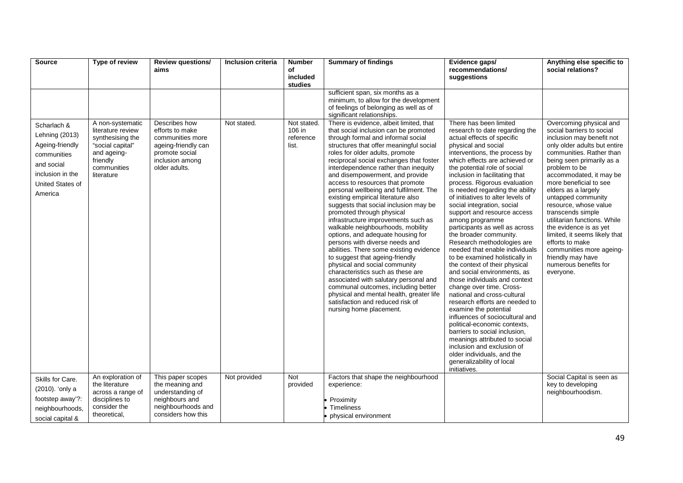| <b>Source</b>                                                                                                                    | Type of review                                                                                                                        | Review questions/<br>aims                                                                                                         | Inclusion criteria | <b>Number</b><br>of<br>included                        | <b>Summary of findings</b>                                                                                                                                                                                                                                                                                                                                                                                                                                                                                                                                                                                                                                                                                                                                                                                                                                                                                                                                                                                                                                                                                                                                                  | Evidence gaps/<br>recommendations/<br>suggestions                                                                                                                                                                                                                                                                                                                                                                                                                                                                                                                                                                                                                                                                                                                                                                              | Anything else specific to<br>social relations?                                                                                                                                                                                                                                                                                                                                                                                                                                                                                                   |
|----------------------------------------------------------------------------------------------------------------------------------|---------------------------------------------------------------------------------------------------------------------------------------|-----------------------------------------------------------------------------------------------------------------------------------|--------------------|--------------------------------------------------------|-----------------------------------------------------------------------------------------------------------------------------------------------------------------------------------------------------------------------------------------------------------------------------------------------------------------------------------------------------------------------------------------------------------------------------------------------------------------------------------------------------------------------------------------------------------------------------------------------------------------------------------------------------------------------------------------------------------------------------------------------------------------------------------------------------------------------------------------------------------------------------------------------------------------------------------------------------------------------------------------------------------------------------------------------------------------------------------------------------------------------------------------------------------------------------|--------------------------------------------------------------------------------------------------------------------------------------------------------------------------------------------------------------------------------------------------------------------------------------------------------------------------------------------------------------------------------------------------------------------------------------------------------------------------------------------------------------------------------------------------------------------------------------------------------------------------------------------------------------------------------------------------------------------------------------------------------------------------------------------------------------------------------|--------------------------------------------------------------------------------------------------------------------------------------------------------------------------------------------------------------------------------------------------------------------------------------------------------------------------------------------------------------------------------------------------------------------------------------------------------------------------------------------------------------------------------------------------|
| Scharlach &<br>Lehning (2013)<br>Ageing-friendly<br>communities<br>and social<br>inclusion in the<br>United States of<br>America | A non-systematic<br>literature review<br>synthesising the<br>"social capital"<br>and ageing-<br>friendly<br>communities<br>literature | Describes how<br>efforts to make<br>communities more<br>ageing-friendly can<br>promote social<br>inclusion among<br>older adults. | Not stated.        | studies<br>Not stated.<br>106 in<br>reference<br>list. | sufficient span, six months as a<br>minimum, to allow for the development<br>of feelings of belonging as well as of<br>significant relationships.<br>There is evidence, albeit limited, that<br>that social inclusion can be promoted<br>through formal and informal social<br>structures that offer meaningful social<br>roles for older adults, promote<br>reciprocal social exchanges that foster<br>interdependence rather than inequity<br>and disempowerment, and provide<br>access to resources that promote<br>personal wellbeing and fulfilment. The<br>existing empirical literature also<br>suggests that social inclusion may be<br>promoted through physical<br>infrastructure improvements such as<br>walkable neighbourhoods, mobility<br>options, and adequate housing for<br>persons with diverse needs and<br>abilities. There some existing evidence<br>to suggest that ageing-friendly<br>physical and social community<br>characteristics such as these are<br>associated with salutary personal and<br>communal outcomes, including better<br>physical and mental health, greater life<br>satisfaction and reduced risk of<br>nursing home placement. | There has been limited<br>research to date regarding the<br>actual effects of specific<br>physical and social<br>interventions, the process by<br>which effects are achieved or<br>the potential role of social<br>inclusion in facilitating that<br>process. Rigorous evaluation<br>is needed regarding the ability<br>of initiatives to alter levels of<br>social integration, social<br>support and resource access<br>among programme<br>participants as well as across<br>the broader community.<br>Research methodologies are<br>needed that enable individuals<br>to be examined holistically in<br>the context of their physical<br>and social environments, as<br>those individuals and context<br>change over time. Cross-<br>national and cross-cultural<br>research efforts are needed to<br>examine the potential | Overcoming physical and<br>social barriers to social<br>inclusion may benefit not<br>only older adults but entire<br>communities. Rather than<br>being seen primarily as a<br>problem to be<br>accommodated, it may be<br>more beneficial to see<br>elders as a largely<br>untapped community<br>resource, whose value<br>transcends simple<br>utilitarian functions. While<br>the evidence is as yet<br>limited, it seems likely that<br>efforts to make<br>communities more ageing-<br>friendly may have<br>numerous benefits for<br>everyone. |
|                                                                                                                                  |                                                                                                                                       |                                                                                                                                   |                    |                                                        |                                                                                                                                                                                                                                                                                                                                                                                                                                                                                                                                                                                                                                                                                                                                                                                                                                                                                                                                                                                                                                                                                                                                                                             | influences of sociocultural and<br>political-economic contexts,<br>barriers to social inclusion,<br>meanings attributed to social<br>inclusion and exclusion of<br>older individuals, and the<br>generalizability of local<br>initiatives.                                                                                                                                                                                                                                                                                                                                                                                                                                                                                                                                                                                     |                                                                                                                                                                                                                                                                                                                                                                                                                                                                                                                                                  |
| Skills for Care.<br>(2010). 'only a<br>footstep away'?:<br>neighbourhoods,<br>social capital &                                   | An exploration of<br>the literature<br>across a range of<br>disciplines to<br>consider the<br>theoretical,                            | This paper scopes<br>the meaning and<br>understanding of<br>neighbours and<br>neighbourhoods and<br>considers how this            | Not provided       | <b>Not</b><br>provided                                 | Factors that shape the neighbourhood<br>experience:<br>Proximity<br><b>Timeliness</b><br>physical environment                                                                                                                                                                                                                                                                                                                                                                                                                                                                                                                                                                                                                                                                                                                                                                                                                                                                                                                                                                                                                                                               |                                                                                                                                                                                                                                                                                                                                                                                                                                                                                                                                                                                                                                                                                                                                                                                                                                | Social Capital is seen as<br>key to developing<br>neighbourhoodism.                                                                                                                                                                                                                                                                                                                                                                                                                                                                              |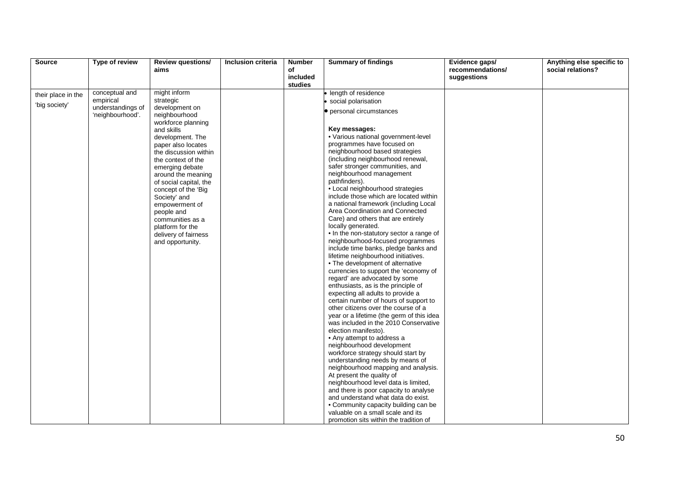| Source             | Type of review                        | <b>Review questions/</b>                    | Inclusion criteria | <b>Number</b>       | <b>Summary of findings</b>                                                  | Evidence gaps/   | Anything else specific to |
|--------------------|---------------------------------------|---------------------------------------------|--------------------|---------------------|-----------------------------------------------------------------------------|------------------|---------------------------|
|                    |                                       | aims                                        |                    | οf                  |                                                                             | recommendations/ | social relations?         |
|                    |                                       |                                             |                    | included<br>studies |                                                                             | suggestions      |                           |
| their place in the | conceptual and                        | might inform                                |                    |                     | length of residence                                                         |                  |                           |
| 'big society'      | empirical                             | strategic                                   |                    |                     | social polarisation                                                         |                  |                           |
|                    | understandings of<br>'neighbourhood'. | development on<br>neighbourhood             |                    |                     | <b>•</b> personal circumstances                                             |                  |                           |
|                    |                                       | workforce planning                          |                    |                     |                                                                             |                  |                           |
|                    |                                       | and skills                                  |                    |                     | Key messages:                                                               |                  |                           |
|                    |                                       | development. The                            |                    |                     | • Various national government-level                                         |                  |                           |
|                    |                                       | paper also locates                          |                    |                     | programmes have focused on<br>neighbourhood based strategies                |                  |                           |
|                    |                                       | the discussion within<br>the context of the |                    |                     | (including neighbourhood renewal,                                           |                  |                           |
|                    |                                       | emerging debate                             |                    |                     | safer stronger communities, and                                             |                  |                           |
|                    |                                       | around the meaning                          |                    |                     | neighbourhood management                                                    |                  |                           |
|                    |                                       | of social capital, the                      |                    |                     | pathfinders).                                                               |                  |                           |
|                    |                                       | concept of the 'Big                         |                    |                     | • Local neighbourhood strategies                                            |                  |                           |
|                    |                                       | Society' and                                |                    |                     | include those which are located within                                      |                  |                           |
|                    |                                       | empowerment of                              |                    |                     | a national framework (including Local                                       |                  |                           |
|                    |                                       | people and                                  |                    |                     | Area Coordination and Connected                                             |                  |                           |
|                    |                                       | communities as a                            |                    |                     | Care) and others that are entirely                                          |                  |                           |
|                    |                                       | platform for the                            |                    |                     | locally generated.                                                          |                  |                           |
|                    |                                       | delivery of fairness                        |                    |                     | . In the non-statutory sector a range of                                    |                  |                           |
|                    |                                       | and opportunity.                            |                    |                     | neighbourhood-focused programmes                                            |                  |                           |
|                    |                                       |                                             |                    |                     | include time banks, pledge banks and<br>lifetime neighbourhood initiatives. |                  |                           |
|                    |                                       |                                             |                    |                     | • The development of alternative                                            |                  |                           |
|                    |                                       |                                             |                    |                     | currencies to support the 'economy of                                       |                  |                           |
|                    |                                       |                                             |                    |                     | regard' are advocated by some                                               |                  |                           |
|                    |                                       |                                             |                    |                     | enthusiasts, as is the principle of                                         |                  |                           |
|                    |                                       |                                             |                    |                     | expecting all adults to provide a                                           |                  |                           |
|                    |                                       |                                             |                    |                     | certain number of hours of support to                                       |                  |                           |
|                    |                                       |                                             |                    |                     | other citizens over the course of a                                         |                  |                           |
|                    |                                       |                                             |                    |                     | year or a lifetime (the germ of this idea                                   |                  |                           |
|                    |                                       |                                             |                    |                     | was included in the 2010 Conservative                                       |                  |                           |
|                    |                                       |                                             |                    |                     | election manifesto).                                                        |                  |                           |
|                    |                                       |                                             |                    |                     | • Any attempt to address a                                                  |                  |                           |
|                    |                                       |                                             |                    |                     | neighbourhood development<br>workforce strategy should start by             |                  |                           |
|                    |                                       |                                             |                    |                     | understanding needs by means of                                             |                  |                           |
|                    |                                       |                                             |                    |                     | neighbourhood mapping and analysis.                                         |                  |                           |
|                    |                                       |                                             |                    |                     | At present the quality of                                                   |                  |                           |
|                    |                                       |                                             |                    |                     | neighbourhood level data is limited,                                        |                  |                           |
|                    |                                       |                                             |                    |                     | and there is poor capacity to analyse                                       |                  |                           |
|                    |                                       |                                             |                    |                     | and understand what data do exist.                                          |                  |                           |
|                    |                                       |                                             |                    |                     | • Community capacity building can be                                        |                  |                           |
|                    |                                       |                                             |                    |                     | valuable on a small scale and its                                           |                  |                           |
|                    |                                       |                                             |                    |                     | promotion sits within the tradition of                                      |                  |                           |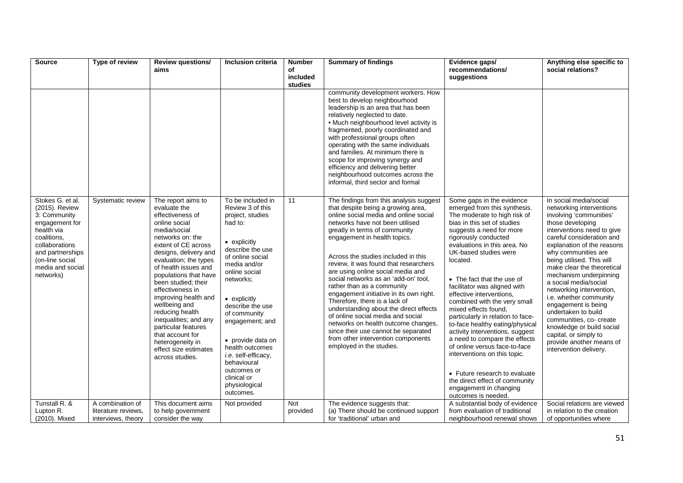| Source                                                                                                                                                                                      | Type of review                                                | <b>Review questions/</b><br>aims                                                                                                                                                                                                                                                                                                                                                                                                                                                 | Inclusion criteria                                                                                                                                                                                                                                                                                                                                                                                  | <b>Number</b><br>of    | <b>Summary of findings</b>                                                                                                                                                                                                                                                                                                                                                                                                                                                                                                                                                                                                                                                                                                       | Evidence gaps/<br>recommendations/                                                                                                                                                                                                                                                                                                                                                                                                                                                                                                                                                                                                                                                                                                   | Anything else specific to<br>social relations?                                                                                                                                                                                                                                                                                                                                                                                                                                                                                                                             |
|---------------------------------------------------------------------------------------------------------------------------------------------------------------------------------------------|---------------------------------------------------------------|----------------------------------------------------------------------------------------------------------------------------------------------------------------------------------------------------------------------------------------------------------------------------------------------------------------------------------------------------------------------------------------------------------------------------------------------------------------------------------|-----------------------------------------------------------------------------------------------------------------------------------------------------------------------------------------------------------------------------------------------------------------------------------------------------------------------------------------------------------------------------------------------------|------------------------|----------------------------------------------------------------------------------------------------------------------------------------------------------------------------------------------------------------------------------------------------------------------------------------------------------------------------------------------------------------------------------------------------------------------------------------------------------------------------------------------------------------------------------------------------------------------------------------------------------------------------------------------------------------------------------------------------------------------------------|--------------------------------------------------------------------------------------------------------------------------------------------------------------------------------------------------------------------------------------------------------------------------------------------------------------------------------------------------------------------------------------------------------------------------------------------------------------------------------------------------------------------------------------------------------------------------------------------------------------------------------------------------------------------------------------------------------------------------------------|----------------------------------------------------------------------------------------------------------------------------------------------------------------------------------------------------------------------------------------------------------------------------------------------------------------------------------------------------------------------------------------------------------------------------------------------------------------------------------------------------------------------------------------------------------------------------|
|                                                                                                                                                                                             |                                                               |                                                                                                                                                                                                                                                                                                                                                                                                                                                                                  |                                                                                                                                                                                                                                                                                                                                                                                                     | included<br>studies    |                                                                                                                                                                                                                                                                                                                                                                                                                                                                                                                                                                                                                                                                                                                                  | suggestions                                                                                                                                                                                                                                                                                                                                                                                                                                                                                                                                                                                                                                                                                                                          |                                                                                                                                                                                                                                                                                                                                                                                                                                                                                                                                                                            |
|                                                                                                                                                                                             |                                                               |                                                                                                                                                                                                                                                                                                                                                                                                                                                                                  |                                                                                                                                                                                                                                                                                                                                                                                                     |                        | community development workers. How<br>best to develop neighbourhood<br>leadership is an area that has been<br>relatively neglected to date.<br>• Much neighbourhood level activity is<br>fragmented, poorly coordinated and<br>with professional groups often<br>operating with the same individuals<br>and families. At minimum there is<br>scope for improving synergy and<br>efficiency and delivering better<br>neighbourhood outcomes across the<br>informal, third sector and formal                                                                                                                                                                                                                                       |                                                                                                                                                                                                                                                                                                                                                                                                                                                                                                                                                                                                                                                                                                                                      |                                                                                                                                                                                                                                                                                                                                                                                                                                                                                                                                                                            |
| Stokes G. et al.<br>(2015). Review<br>3: Community<br>engagement for<br>health via<br>coalitions.<br>collaborations<br>and partnerships<br>(on-line social<br>media and social<br>networks) | Systematic review                                             | The report aims to<br>evaluate the<br>effectiveness of<br>online social<br>media/social<br>networks on: the<br>extent of CE across<br>designs, delivery and<br>evaluation; the types<br>of health issues and<br>populations that have<br>been studied; their<br>effectiveness in<br>improving health and<br>wellbeing and<br>reducing health<br>inequalities; and any<br>particular features<br>that account for<br>heterogeneity in<br>effect size estimates<br>across studies. | To be included in<br>Review 3 of this<br>project, studies<br>had to:<br>$\bullet$ explicitly<br>describe the use<br>of online social<br>media and/or<br>online social<br>networks;<br>• explicitly<br>describe the use<br>of community<br>engagement; and<br>• provide data on<br>health outcomes<br>i.e. self-efficacy,<br>behavioural<br>outcomes or<br>clinical or<br>physiological<br>outcomes. | 11                     | The findings from this analysis suggest<br>that despite being a growing area,<br>online social media and online social<br>networks have not been utilised<br>greatly in terms of community<br>engagement in health topics.<br>Across the studies included in this<br>review, it was found that researchers<br>are using online social media and<br>social networks as an 'add-on' tool,<br>rather than as a community<br>engagement initiative in its own right.<br>Therefore, there is a lack of<br>understanding about the direct effects<br>of online social media and social<br>networks on health outcome changes,<br>since their use cannot be separated<br>from other intervention components<br>employed in the studies. | Some gaps in the evidence<br>emerged from this synthesis.<br>The moderate to high risk of<br>bias in this set of studies<br>suggests a need for more<br>rigorously conducted<br>evaluations in this area. No<br>UK-based studies were<br>located.<br>• The fact that the use of<br>facilitator was aligned with<br>effective interventions.<br>combined with the very small<br>mixed effects found,<br>particularly in relation to face-<br>to-face healthy eating/physical<br>activity interventions, suggest<br>a need to compare the effects<br>of online versus face-to-face<br>interventions on this topic.<br>• Future research to evaluate<br>the direct effect of community<br>engagement in changing<br>outcomes is needed. | In social media/social<br>networking interventions<br>involving 'communities'<br>those developing<br>interventions need to give<br>careful consideration and<br>explanation of the reasons<br>why communities are<br>being utilised. This will<br>make clear the theoretical<br>mechanism underpinning<br>a social media/social<br>networking intervention,<br>i.e. whether community<br>engagement is being<br>undertaken to build<br>communities, co- create<br>knowledge or build social<br>capital, or simply to<br>provide another means of<br>intervention delivery. |
| Tunstall R. &<br>Lupton R.<br>(2010). Mixed                                                                                                                                                 | A combination of<br>literature reviews,<br>interviews, theory | This document aims<br>to help government<br>consider the way                                                                                                                                                                                                                                                                                                                                                                                                                     | Not provided                                                                                                                                                                                                                                                                                                                                                                                        | <b>Not</b><br>provided | The evidence suggests that:<br>(a) There should be continued support<br>for 'traditional' urban and                                                                                                                                                                                                                                                                                                                                                                                                                                                                                                                                                                                                                              | A substantial body of evidence<br>from evaluation of traditional<br>neighbourhood renewal shows                                                                                                                                                                                                                                                                                                                                                                                                                                                                                                                                                                                                                                      | Social relations are viewed<br>in relation to the creation<br>of opportunities where                                                                                                                                                                                                                                                                                                                                                                                                                                                                                       |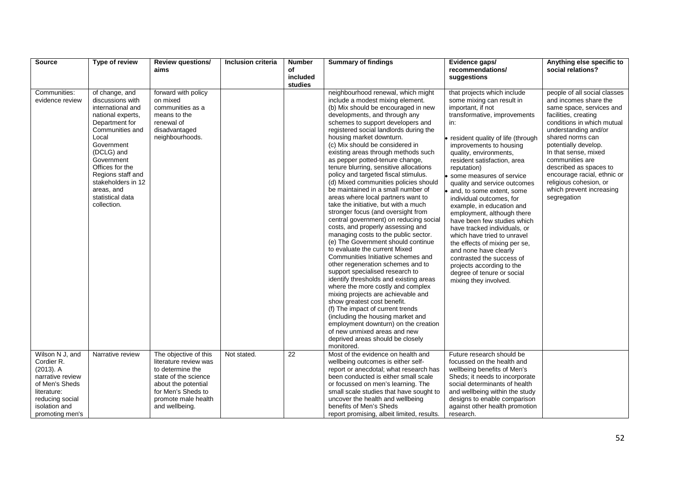| <b>Source</b>                                                                                                                          | Type of review                                                                                                                                                                                                                                                                      | <b>Review questions/</b>                                                                                                                                                         | Inclusion criteria | <b>Number</b>       | <b>Summary of findings</b>                                                                                                                                                                                                                                                                                                                                                                                                                                                                                                                                                                                                                                                                                                                                                                                                                                                                                                                                                                                                                                                                                                                                                                                                                                                                                                     | Evidence gaps/                                                                                                                                                                                                                                                                                                                                                                                                                                                                                                                                                                                                                                                                                                        | Anything else specific to                                                                                                                                                                                                                                                                                                                                                            |
|----------------------------------------------------------------------------------------------------------------------------------------|-------------------------------------------------------------------------------------------------------------------------------------------------------------------------------------------------------------------------------------------------------------------------------------|----------------------------------------------------------------------------------------------------------------------------------------------------------------------------------|--------------------|---------------------|--------------------------------------------------------------------------------------------------------------------------------------------------------------------------------------------------------------------------------------------------------------------------------------------------------------------------------------------------------------------------------------------------------------------------------------------------------------------------------------------------------------------------------------------------------------------------------------------------------------------------------------------------------------------------------------------------------------------------------------------------------------------------------------------------------------------------------------------------------------------------------------------------------------------------------------------------------------------------------------------------------------------------------------------------------------------------------------------------------------------------------------------------------------------------------------------------------------------------------------------------------------------------------------------------------------------------------|-----------------------------------------------------------------------------------------------------------------------------------------------------------------------------------------------------------------------------------------------------------------------------------------------------------------------------------------------------------------------------------------------------------------------------------------------------------------------------------------------------------------------------------------------------------------------------------------------------------------------------------------------------------------------------------------------------------------------|--------------------------------------------------------------------------------------------------------------------------------------------------------------------------------------------------------------------------------------------------------------------------------------------------------------------------------------------------------------------------------------|
|                                                                                                                                        |                                                                                                                                                                                                                                                                                     | aims                                                                                                                                                                             |                    | of                  |                                                                                                                                                                                                                                                                                                                                                                                                                                                                                                                                                                                                                                                                                                                                                                                                                                                                                                                                                                                                                                                                                                                                                                                                                                                                                                                                | recommendations/                                                                                                                                                                                                                                                                                                                                                                                                                                                                                                                                                                                                                                                                                                      | social relations?                                                                                                                                                                                                                                                                                                                                                                    |
|                                                                                                                                        |                                                                                                                                                                                                                                                                                     |                                                                                                                                                                                  |                    | included<br>studies |                                                                                                                                                                                                                                                                                                                                                                                                                                                                                                                                                                                                                                                                                                                                                                                                                                                                                                                                                                                                                                                                                                                                                                                                                                                                                                                                | suggestions                                                                                                                                                                                                                                                                                                                                                                                                                                                                                                                                                                                                                                                                                                           |                                                                                                                                                                                                                                                                                                                                                                                      |
| Communities:<br>evidence review                                                                                                        | of change, and<br>discussions with<br>international and<br>national experts,<br>Department for<br>Communities and<br>Local<br>Government<br>(DCLG) and<br>Government<br>Offices for the<br>Regions staff and<br>stakeholders in 12<br>areas, and<br>statistical data<br>collection. | forward with policy<br>on mixed<br>communities as a<br>means to the<br>renewal of<br>disadvantaged<br>neighbourhoods.                                                            |                    |                     | neighbourhood renewal, which might<br>include a modest mixing element.<br>(b) Mix should be encouraged in new<br>developments, and through any<br>schemes to support developers and<br>registered social landlords during the<br>housing market downturn.<br>(c) Mix should be considered in<br>existing areas through methods such<br>as pepper potted-tenure change,<br>tenure blurring, sensitive allocations<br>policy and targeted fiscal stimulus.<br>(d) Mixed communities policies should<br>be maintained in a small number of<br>areas where local partners want to<br>take the initiative, but with a much<br>stronger focus (and oversight from<br>central government) on reducing social<br>costs, and properly assessing and<br>managing costs to the public sector.<br>(e) The Government should continue<br>to evaluate the current Mixed<br>Communities Initiative schemes and<br>other regeneration schemes and to<br>support specialised research to<br>identify thresholds and existing areas<br>where the more costly and complex<br>mixing projects are achievable and<br>show greatest cost benefit.<br>(f) The impact of current trends<br>(including the housing market and<br>employment downturn) on the creation<br>of new unmixed areas and new<br>deprived areas should be closely<br>monitored. | that projects which include<br>some mixing can result in<br>important, if not<br>transformative, improvements<br>in:<br>resident quality of life (through<br>improvements to housing<br>quality, environments,<br>resident satisfaction, area<br>reputation)<br>some measures of service<br>quality and service outcomes<br>and, to some extent, some<br>individual outcomes, for<br>example, in education and<br>employment, although there<br>have been few studies which<br>have tracked individuals, or<br>which have tried to unravel<br>the effects of mixing per se,<br>and none have clearly<br>contrasted the success of<br>projects according to the<br>degree of tenure or social<br>mixing they involved. | people of all social classes<br>and incomes share the<br>same space, services and<br>facilities, creating<br>conditions in which mutual<br>understanding and/or<br>shared norms can<br>potentially develop.<br>In that sense, mixed<br>communities are<br>described as spaces to<br>encourage racial, ethnic or<br>religious cohesion, or<br>which prevent increasing<br>segregation |
| Wilson N J, and<br>Cordier R.<br>$(2013)$ . A<br>narrative review<br>of Men's Sheds<br>literature:<br>reducing social<br>isolation and | Narrative review                                                                                                                                                                                                                                                                    | The objective of this<br>literature review was<br>to determine the<br>state of the science<br>about the potential<br>for Men's Sheds to<br>promote male health<br>and wellbeing. | Not stated.        | 22                  | Most of the evidence on health and<br>wellbeing outcomes is either self-<br>report or anecdotal; what research has<br>been conducted is either small scale<br>or focussed on men's learning. The<br>small scale studies that have sought to<br>uncover the health and wellbeing<br>benefits of Men's Sheds                                                                                                                                                                                                                                                                                                                                                                                                                                                                                                                                                                                                                                                                                                                                                                                                                                                                                                                                                                                                                     | Future research should be<br>focussed on the health and<br>wellbeing benefits of Men's<br>Sheds; it needs to incorporate<br>social determinants of health<br>and wellbeing within the study<br>designs to enable comparison<br>against other health promotion                                                                                                                                                                                                                                                                                                                                                                                                                                                         |                                                                                                                                                                                                                                                                                                                                                                                      |
| promoting men's                                                                                                                        |                                                                                                                                                                                                                                                                                     |                                                                                                                                                                                  |                    |                     | report promising, albeit limited, results.                                                                                                                                                                                                                                                                                                                                                                                                                                                                                                                                                                                                                                                                                                                                                                                                                                                                                                                                                                                                                                                                                                                                                                                                                                                                                     | research.                                                                                                                                                                                                                                                                                                                                                                                                                                                                                                                                                                                                                                                                                                             |                                                                                                                                                                                                                                                                                                                                                                                      |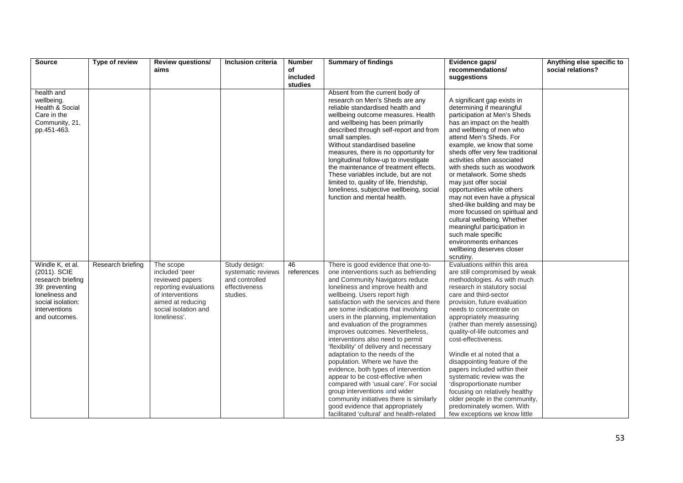| <b>Source</b>                  | Type of review    | <b>Review questions/</b>             | Inclusion criteria | <b>Number</b>       | <b>Summary of findings</b>                                                     | Evidence gaps/                                                  | Anything else specific to |
|--------------------------------|-------------------|--------------------------------------|--------------------|---------------------|--------------------------------------------------------------------------------|-----------------------------------------------------------------|---------------------------|
|                                |                   | aims                                 |                    | of                  |                                                                                | recommendations/                                                | social relations?         |
|                                |                   |                                      |                    | included<br>studies |                                                                                | suggestions                                                     |                           |
| health and                     |                   |                                      |                    |                     | Absent from the current body of                                                |                                                                 |                           |
| wellbeing.                     |                   |                                      |                    |                     | research on Men's Sheds are any                                                | A significant gap exists in                                     |                           |
| Health & Social                |                   |                                      |                    |                     | reliable standardised health and                                               | determining if meaningful                                       |                           |
| Care in the                    |                   |                                      |                    |                     | wellbeing outcome measures. Health                                             | participation at Men's Sheds                                    |                           |
| Community, 21,                 |                   |                                      |                    |                     | and wellbeing has been primarily                                               | has an impact on the health                                     |                           |
| pp.451-463.                    |                   |                                      |                    |                     | described through self-report and from                                         | and wellbeing of men who                                        |                           |
|                                |                   |                                      |                    |                     | small samples.                                                                 | attend Men's Sheds. For                                         |                           |
|                                |                   |                                      |                    |                     | Without standardised baseline                                                  | example, we know that some                                      |                           |
|                                |                   |                                      |                    |                     | measures, there is no opportunity for                                          | sheds offer very few traditional<br>activities often associated |                           |
|                                |                   |                                      |                    |                     | longitudinal follow-up to investigate<br>the maintenance of treatment effects. | with sheds such as woodwork                                     |                           |
|                                |                   |                                      |                    |                     | These variables include, but are not                                           | or metalwork. Some sheds                                        |                           |
|                                |                   |                                      |                    |                     | limited to, quality of life, friendship,                                       | may just offer social                                           |                           |
|                                |                   |                                      |                    |                     | loneliness, subjective wellbeing, social                                       | opportunities while others                                      |                           |
|                                |                   |                                      |                    |                     | function and mental health.                                                    | may not even have a physical                                    |                           |
|                                |                   |                                      |                    |                     |                                                                                | shed-like building and may be                                   |                           |
|                                |                   |                                      |                    |                     |                                                                                | more focussed on spiritual and                                  |                           |
|                                |                   |                                      |                    |                     |                                                                                | cultural wellbeing. Whether                                     |                           |
|                                |                   |                                      |                    |                     |                                                                                | meaningful participation in                                     |                           |
|                                |                   |                                      |                    |                     |                                                                                | such male specific<br>environments enhances                     |                           |
|                                |                   |                                      |                    |                     |                                                                                | wellbeing deserves closer                                       |                           |
|                                |                   |                                      |                    |                     |                                                                                | scrutiny.                                                       |                           |
| Windle K, et al.               | Research briefing | The scope                            | Study design:      | 46                  | There is good evidence that one-to-                                            | Evaluations within this area                                    |                           |
| (2011). SCIE                   |                   | included 'peer                       | systematic reviews | references          | one interventions such as befriending                                          | are still compromised by weak                                   |                           |
| research briefing              |                   | reviewed papers                      | and controlled     |                     | and Community Navigators reduce                                                | methodologies. As with much                                     |                           |
| 39: preventing                 |                   | reporting evaluations                | effectiveness      |                     | loneliness and improve health and                                              | research in statutory social                                    |                           |
| loneliness and                 |                   | of interventions                     | studies.           |                     | wellbeing. Users report high                                                   | care and third-sector                                           |                           |
| social isolation:              |                   | aimed at reducing                    |                    |                     | satisfaction with the services and there                                       | provision, future evaluation                                    |                           |
| interventions<br>and outcomes. |                   | social isolation and<br>loneliness'. |                    |                     | are some indications that involving<br>users in the planning, implementation   | needs to concentrate on<br>appropriately measuring              |                           |
|                                |                   |                                      |                    |                     | and evaluation of the programmes                                               | (rather than merely assessing)                                  |                           |
|                                |                   |                                      |                    |                     | improves outcomes. Nevertheless,                                               | quality-of-life outcomes and                                    |                           |
|                                |                   |                                      |                    |                     | interventions also need to permit                                              | cost-effectiveness.                                             |                           |
|                                |                   |                                      |                    |                     | 'flexibility' of delivery and necessary                                        |                                                                 |                           |
|                                |                   |                                      |                    |                     | adaptation to the needs of the                                                 | Windle et al noted that a                                       |                           |
|                                |                   |                                      |                    |                     | population. Where we have the                                                  | disappointing feature of the                                    |                           |
|                                |                   |                                      |                    |                     | evidence, both types of intervention                                           | papers included within their                                    |                           |
|                                |                   |                                      |                    |                     | appear to be cost-effective when                                               | systematic review was the                                       |                           |
|                                |                   |                                      |                    |                     | compared with 'usual care'. For social<br>group interventions and wider        | 'disproportionate number<br>focusing on relatively healthy      |                           |
|                                |                   |                                      |                    |                     | community initiatives there is similarly                                       | older people in the community,                                  |                           |
|                                |                   |                                      |                    |                     | good evidence that appropriately                                               | predominately women. With                                       |                           |
|                                |                   |                                      |                    |                     | facilitated 'cultural' and health-related                                      | few exceptions we know little                                   |                           |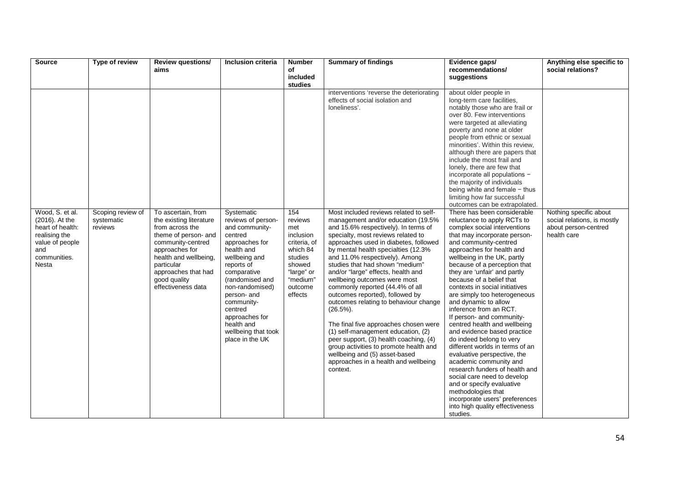| <b>Source</b>                                                                                | Type of review                             | <b>Review questions/</b>                                                                                           | <b>Inclusion criteria</b>                                                                                                                                                                                        | <b>Number</b>                                                                 | <b>Summary of findings</b>                                                                                                                                                                                                                                                                                                                                                                                                                                                                                                                                            | Evidence gaps/                                                                                                                                                                                                                                                                                                                                                                                                                                                                                                                                                                                                                                                                                    | Anything else specific to                                                                    |
|----------------------------------------------------------------------------------------------|--------------------------------------------|--------------------------------------------------------------------------------------------------------------------|------------------------------------------------------------------------------------------------------------------------------------------------------------------------------------------------------------------|-------------------------------------------------------------------------------|-----------------------------------------------------------------------------------------------------------------------------------------------------------------------------------------------------------------------------------------------------------------------------------------------------------------------------------------------------------------------------------------------------------------------------------------------------------------------------------------------------------------------------------------------------------------------|---------------------------------------------------------------------------------------------------------------------------------------------------------------------------------------------------------------------------------------------------------------------------------------------------------------------------------------------------------------------------------------------------------------------------------------------------------------------------------------------------------------------------------------------------------------------------------------------------------------------------------------------------------------------------------------------------|----------------------------------------------------------------------------------------------|
|                                                                                              |                                            | aims                                                                                                               |                                                                                                                                                                                                                  | of                                                                            |                                                                                                                                                                                                                                                                                                                                                                                                                                                                                                                                                                       | recommendations/                                                                                                                                                                                                                                                                                                                                                                                                                                                                                                                                                                                                                                                                                  | social relations?                                                                            |
|                                                                                              |                                            |                                                                                                                    |                                                                                                                                                                                                                  | studies                                                                       |                                                                                                                                                                                                                                                                                                                                                                                                                                                                                                                                                                       |                                                                                                                                                                                                                                                                                                                                                                                                                                                                                                                                                                                                                                                                                                   |                                                                                              |
| Wood, S. et al.<br>$(2016)$ . At the<br>heart of health:<br>realising the<br>value of people | Scoping review of<br>systematic<br>reviews | To ascertain, from<br>the existing literature<br>from across the<br>theme of person- and<br>community-centred      | Systematic<br>reviews of person-<br>and community-<br>centred<br>approaches for                                                                                                                                  | included<br>154<br>reviews<br>met<br>inclusion<br>criteria, of                | interventions 'reverse the deteriorating<br>effects of social isolation and<br>loneliness'.<br>Most included reviews related to self-<br>management and/or education (19.5%<br>and 15.6% respectively). In terms of<br>specialty, most reviews related to<br>approaches used in diabetes, followed                                                                                                                                                                                                                                                                    | suggestions<br>about older people in<br>long-term care facilities,<br>notably those who are frail or<br>over 80. Few interventions<br>were targeted at alleviating<br>poverty and none at older<br>people from ethnic or sexual<br>minorities'. Within this review,<br>although there are papers that<br>include the most frail and<br>lonely, there are few that<br>incorporate all populations -<br>the majority of individuals<br>being white and female - thus<br>limiting how far successful<br>outcomes can be extrapolated.<br>There has been considerable<br>reluctance to apply RCTs to<br>complex social interventions<br>that may incorporate person-<br>and community-centred         | Nothing specific about<br>social relations, is mostly<br>about person-centred<br>health care |
| and<br>communities.<br>Nesta                                                                 |                                            | approaches for<br>health and wellbeing,<br>particular<br>approaches that had<br>good quality<br>effectiveness data | health and<br>wellbeing and<br>reports of<br>comparative<br>(randomised and<br>non-randomised)<br>person- and<br>community-<br>centred<br>approaches for<br>health and<br>wellbeing that took<br>place in the UK | which 84<br>studies<br>showed<br>"large" or<br>"medium"<br>outcome<br>effects | by mental health specialties (12.3%<br>and 11.0% respectively). Among<br>studies that had shown "medium"<br>and/or "large" effects, health and<br>wellbeing outcomes were most<br>commonly reported (44.4% of all<br>outcomes reported), followed by<br>outcomes relating to behaviour change<br>$(26.5\%)$ .<br>The final five approaches chosen were<br>(1) self-management education, (2)<br>peer support, (3) health coaching, (4)<br>group activities to promote health and<br>wellbeing and (5) asset-based<br>approaches in a health and wellbeing<br>context. | approaches for health and<br>wellbeing in the UK, partly<br>because of a perception that<br>they are 'unfair' and partly<br>because of a belief that<br>contexts in social initiatives<br>are simply too heterogeneous<br>and dynamic to allow<br>inference from an RCT.<br>If person- and community-<br>centred health and wellbeing<br>and evidence based practice<br>do indeed belong to very<br>different worlds in terms of an<br>evaluative perspective, the<br>academic community and<br>research funders of health and<br>social care need to develop<br>and or specify evaluative<br>methodologies that<br>incorporate users' preferences<br>into high quality effectiveness<br>studies. |                                                                                              |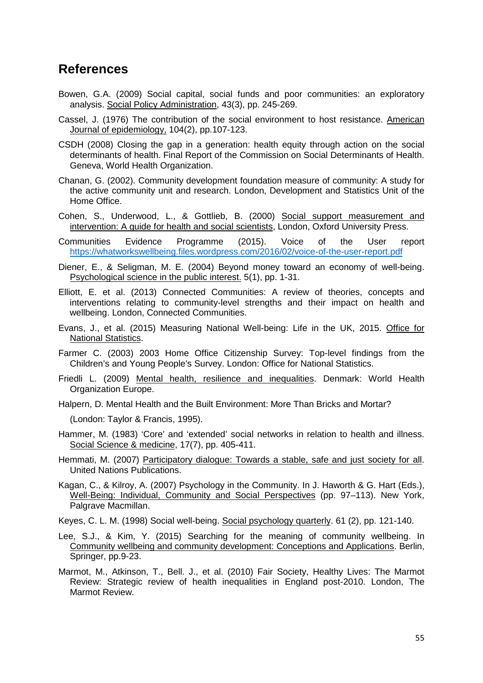## <span id="page-55-0"></span>**References**

- Bowen, G.A. (2009) Social capital, social funds and poor communities: an exploratory analysis. Social Policy Administration, 43(3), pp. 245-269.
- Cassel, J. (1976) The contribution of the social environment to host resistance. American Journal of epidemiology, 104(2), pp.107-123.
- CSDH (2008) Closing the gap in a generation: health equity through action on the social determinants of health. Final Report of the Commission on Social Determinants of Health. Geneva, World Health Organization.
- Chanan, G. (2002). Community development foundation measure of community: A study for the active community unit and research. London, Development and Statistics Unit of the Home Office.
- Cohen, S., Underwood, L., & Gottlieb, B. (2000) Social support measurement and intervention: A guide for health and social scientists, London, Oxford University Press.
- Communities Evidence Programme (2015). Voice of the User report <https://whatworkswellbeing.files.wordpress.com/2016/02/voice-of-the-user-report.pdf>
- Diener, E., & Seligman, M. E. (2004) Beyond money toward an economy of well-being. Psychological science in the public interest. 5(1), pp. 1-31.
- Elliott, E. et al. (2013) Connected Communities: A review of theories, concepts and interventions relating to community-level strengths and their impact on health and wellbeing. London, Connected Communities.
- Evans, J., et al. (2015) Measuring National Well-being: Life in the UK, 2015. Office for National Statistics.
- Farmer C. (2003) 2003 Home Office Citizenship Survey: Top-level findings from the Children's and Young People's Survey. London: Office for National Statistics.
- Friedli L. (2009) Mental health, resilience and inequalities. Denmark: World Health Organization Europe.

Halpern, D. Mental Health and the Built Environment: More Than Bricks and Mortar?

(London: Taylor & Francis, 1995).

- Hammer, M. (1983) 'Core' and 'extended' social networks in relation to health and illness. Social Science & medicine, 17(7), pp. 405-411.
- Hemmati, M. (2007) Participatory dialogue: Towards a stable, safe and just society for all. United Nations Publications.
- Kagan, C., & Kilroy, A. (2007) Psychology in the Community. In J. Haworth & G. Hart (Eds.), Well-Being: Individual, Community and Social Perspectives (pp. 97–113). New York, Palgrave Macmillan.
- Keyes, C. L. M. (1998) Social well-being. Social psychology quarterly. 61 (2), pp. 121-140.
- Lee, S.J., & Kim, Y. (2015) Searching for the meaning of community wellbeing. In Community wellbeing and community development: Conceptions and Applications. Berlin, Springer, pp.9-23.
- Marmot, M., Atkinson, T., Bell. J., et al. (2010) Fair Society, Healthy Lives: The Marmot Review: Strategic review of health inequalities in England post-2010. London, The Marmot Review.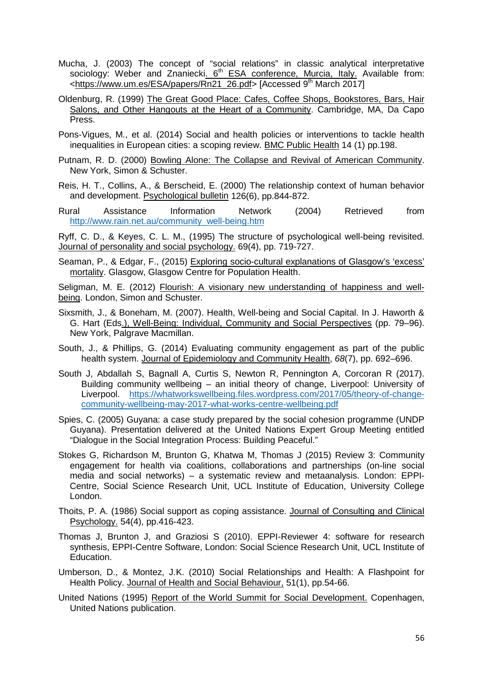- Mucha, J. (2003) The concept of "social relations" in classic analytical interpretative sociology: Weber and Znaniecki. 6<sup>th</sup> ESA conference, Murcia, Italy. Available from: [<https://www.um.es/ESA/papers/Rn21\\_26.pdf>](https://www.um.es/ESA/papers/Rn21_26.pdf) [Accessed 9<sup>th</sup> March 2017]
- Oldenburg, R. (1999) The Great Good Place: Cafes, Coffee Shops, Bookstores, Bars, Hair Salons, and Other Hangouts at the Heart of a Community. Cambridge, MA, Da Capo Press.
- Pons-Vigues, M., et al. (2014) Social and health policies or interventions to tackle health inequalities in European cities: a scoping review. BMC Public Health 14 (1) pp.198.
- Putnam, R. D. (2000) Bowling Alone: The Collapse and Revival of American Community. New York, Simon & Schuster.
- Reis, H. T., Collins, A., & Berscheid, E. (2000) The relationship context of human behavior and development. Psychological bulletin 126(6), pp.844-872.
- Rural Assistance Information Network (2004) Retrieved from [http://www.rain.net.au/community\\_well-being.htm](http://www.rain.net.au/community_well-being.htm)

Ryff, C. D., & Keyes, C. L. M., (1995) The structure of psychological well-being revisited. Journal of personality and social psychology. 69(4), pp. 719-727.

- Seaman, P., & Edgar, F., (2015) Exploring socio-cultural explanations of Glasgow's 'excess' mortality. Glasgow, Glasgow Centre for Population Health.
- Seligman, M. E. (2012) Flourish: A visionary new understanding of happiness and wellbeing. London, Simon and Schuster.
- Sixsmith, J., & Boneham, M. (2007). Health, Well-being and Social Capital. In J. Haworth & G. Hart (Eds.), Well-Being: Individual, Community and Social Perspectives (pp. 79–96). New York, Palgrave Macmillan.
- South, J., & Phillips, G. (2014) Evaluating community engagement as part of the public health system. Journal of Epidemiology and Community Health, *68*(7), pp. 692–696.
- South J, Abdallah S, Bagnall A, Curtis S, Newton R, Pennington A, Corcoran R (2017). Building community wellbeing – an initial theory of change, Liverpool: University of Liverpool. [https://whatworkswellbeing.files.wordpress.com/2017/05/theory-of-change](https://whatworkswellbeing.files.wordpress.com/2017/05/theory-of-change-community-wellbeing-may-2017-what-works-centre-wellbeing.pdf)[community-wellbeing-may-2017-what-works-centre-wellbeing.pdf](https://whatworkswellbeing.files.wordpress.com/2017/05/theory-of-change-community-wellbeing-may-2017-what-works-centre-wellbeing.pdf)
- Spies, C. (2005) Guyana: a case study prepared by the social cohesion programme (UNDP Guyana). Presentation delivered at the United Nations Expert Group Meeting entitled "Dialogue in the Social Integration Process: Building Peaceful."
- Stokes G, Richardson M, Brunton G, Khatwa M, Thomas J (2015) Review 3: Community engagement for health via coalitions, collaborations and partnerships (on-line social media and social networks) – a systematic review and metaanalysis. London: EPPI-Centre, Social Science Research Unit, UCL Institute of Education, University College London.
- Thoits, P. A. (1986) Social support as coping assistance. Journal of Consulting and Clinical Psychology. 54(4), pp.416-423.
- Thomas J, Brunton J, and Graziosi S (2010). EPPI-Reviewer 4: software for research synthesis, EPPI-Centre Software, London: Social Science Research Unit, UCL Institute of Education.
- Umberson, D., & Montez, J.K. (2010) Social Relationships and Health: A Flashpoint for Health Policy. Journal of Health and Social Behaviour, 51(1), pp.54-66.
- United Nations (1995) Report of the World Summit for Social Development. Copenhagen, United Nations publication.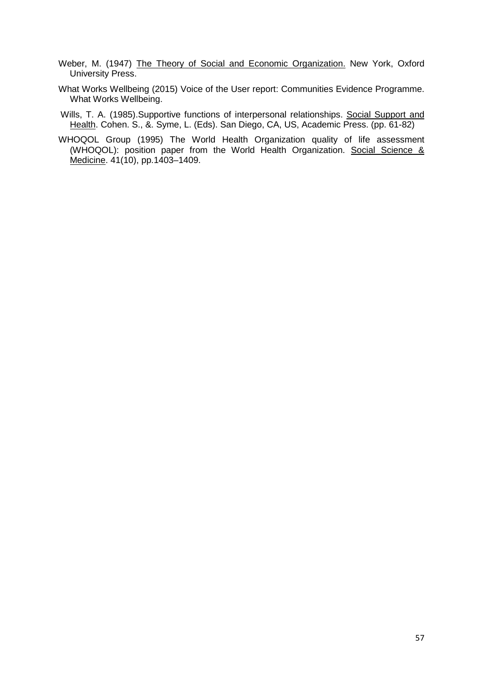- Weber, M. (1947) The Theory of Social and Economic Organization. New York, Oxford University Press.
- What Works Wellbeing (2015) Voice of the User report: Communities Evidence Programme. What Works Wellbeing.
- Wills, T. A. (1985). Supportive functions of interpersonal relationships. Social Support and Health. Cohen. S., &. Syme, L. (Eds). San Diego, CA, US, Academic Press. (pp. 61-82)
- WHOQOL Group (1995) The World Health Organization quality of life assessment (WHOQOL): position paper from the World Health Organization. Social Science & Medicine. 41(10), pp.1403–1409.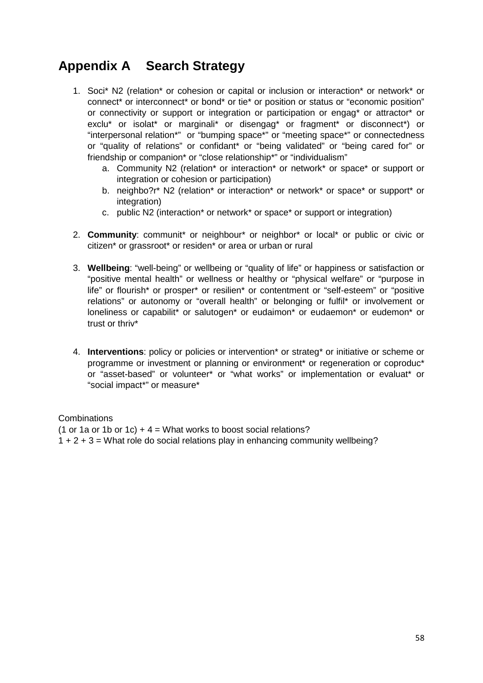# <span id="page-58-0"></span>**Appendix A Search Strategy**

- 1. Soci\* N2 (relation\* or cohesion or capital or inclusion or interaction\* or network\* or connect\* or interconnect\* or bond\* or tie\* or position or status or "economic position" or connectivity or support or integration or participation or engag\* or attractor\* or exclu\* or isolat\* or marginali\* or disengag\* or fragment\* or disconnect\*) or "interpersonal relation\*" or "bumping space\*" or "meeting space\*" or connectedness or "quality of relations" or confidant\* or "being validated" or "being cared for" or friendship or companion\* or "close relationship\*" or "individualism"
	- a. Community N2 (relation\* or interaction\* or network\* or space\* or support or integration or cohesion or participation)
	- b. neighbo?r\* N2 (relation\* or interaction\* or network\* or space\* or support\* or integration)
	- c. public N2 (interaction\* or network\* or space\* or support or integration)
- 2. **Community**: communit\* or neighbour\* or neighbor\* or local\* or public or civic or citizen\* or grassroot\* or residen\* or area or urban or rural
- 3. **Wellbeing**: "well-being" or wellbeing or "quality of life" or happiness or satisfaction or "positive mental health" or wellness or healthy or "physical welfare" or "purpose in life" or flourish\* or prosper\* or resilien\* or contentment or "self-esteem" or "positive relations" or autonomy or "overall health" or belonging or fulfil\* or involvement or loneliness or capabilit\* or salutogen\* or eudaimon\* or eudaemon\* or eudemon\* or trust or thriv\*
- 4. **Interventions**: policy or policies or intervention\* or strateg\* or initiative or scheme or programme or investment or planning or environment\* or regeneration or coproduc\* or "asset-based" or volunteer\* or "what works" or implementation or evaluat\* or "social impact\*" or measure\*

## Combinations

(1 or 1a or 1b or 1c)  $+ 4 =$  What works to boost social relations? 1 + 2 + 3 = What role do social relations play in enhancing community wellbeing?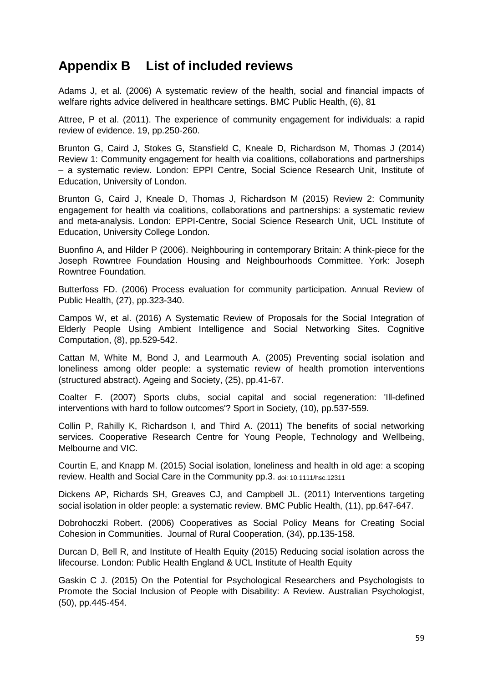# <span id="page-59-0"></span>**Appendix B List of included reviews**

Adams J, et al. (2006) A systematic review of the health, social and financial impacts of welfare rights advice delivered in healthcare settings. BMC Public Health, (6), 81

Attree, P et al. (2011). The experience of community engagement for individuals: a rapid review of evidence. 19, pp.250-260.

Brunton G, Caird J, Stokes G, Stansfield C, Kneale D, Richardson M, Thomas J (2014) Review 1: Community engagement for health via coalitions, collaborations and partnerships – a systematic review. London: EPPI Centre, Social Science Research Unit, Institute of Education, University of London.

Brunton G, Caird J, Kneale D, Thomas J, Richardson M (2015) Review 2: Community engagement for health via coalitions, collaborations and partnerships: a systematic review and meta-analysis. London: EPPI-Centre, Social Science Research Unit, UCL Institute of Education, University College London.

Buonfino A, and Hilder P (2006). Neighbouring in contemporary Britain: A think-piece for the Joseph Rowntree Foundation Housing and Neighbourhoods Committee. York: Joseph Rowntree Foundation.

Butterfoss FD. (2006) Process evaluation for community participation. Annual Review of Public Health, (27), pp.323-340.

Campos W, et al. (2016) A Systematic Review of Proposals for the Social Integration of Elderly People Using Ambient Intelligence and Social Networking Sites. Cognitive Computation, (8), pp.529-542.

Cattan M, White M, Bond J, and Learmouth A. (2005) Preventing social isolation and loneliness among older people: a systematic review of health promotion interventions (structured abstract). Ageing and Society, (25), pp.41-67.

Coalter F. (2007) Sports clubs, social capital and social regeneration: 'Ill-defined interventions with hard to follow outcomes'? Sport in Society, (10), pp.537-559.

Collin P, Rahilly K, Richardson I, and Third A. (2011) The benefits of social networking services. Cooperative Research Centre for Young People, Technology and Wellbeing, Melbourne and VIC.

Courtin E, and Knapp M. (2015) Social isolation, loneliness and health in old age: a scoping review. Health and Social Care in the Community pp.3. doi: 10.1111/hsc.12311

Dickens AP, Richards SH, Greaves CJ, and Campbell JL. (2011) Interventions targeting social isolation in older people: a systematic review. BMC Public Health, (11), pp.647-647.

Dobrohoczki Robert. (2006) Cooperatives as Social Policy Means for Creating Social Cohesion in Communities. Journal of Rural Cooperation, (34), pp.135-158.

Durcan D, Bell R, and Institute of Health Equity (2015) Reducing social isolation across the lifecourse. London: Public Health England & UCL Institute of Health Equity

Gaskin C J. (2015) On the Potential for Psychological Researchers and Psychologists to Promote the Social Inclusion of People with Disability: A Review. Australian Psychologist, (50), pp.445-454.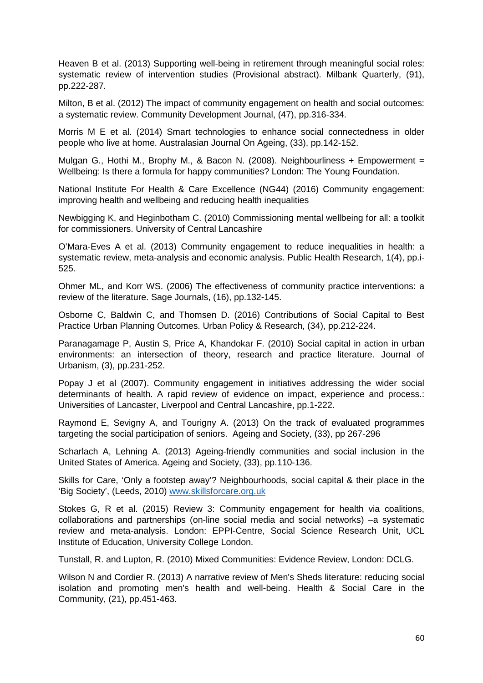Heaven B et al. (2013) Supporting well-being in retirement through meaningful social roles: systematic review of intervention studies (Provisional abstract). Milbank Quarterly, (91), pp.222-287.

Milton, B et al. (2012) The impact of community engagement on health and social outcomes: a systematic review. Community Development Journal, (47), pp.316-334.

Morris M E et al. (2014) Smart technologies to enhance social connectedness in older people who live at home. Australasian Journal On Ageing, (33), pp.142-152.

Mulgan G., Hothi M., Brophy M., & Bacon N. (2008). Neighbourliness + Empowerment = Wellbeing: Is there a formula for happy communities? London: The Young Foundation.

National Institute For Health & Care Excellence (NG44) (2016) Community engagement: improving health and wellbeing and reducing health inequalities

Newbigging K, and Heginbotham C. (2010) Commissioning mental wellbeing for all: a toolkit for commissioners. University of Central Lancashire

O'Mara-Eves A et al. (2013) Community engagement to reduce inequalities in health: a systematic review, meta-analysis and economic analysis. Public Health Research, 1(4), pp.i-525.

Ohmer ML, and Korr WS. (2006) The effectiveness of community practice interventions: a review of the literature. Sage Journals, (16), pp.132-145.

Osborne C, Baldwin C, and Thomsen D. (2016) Contributions of Social Capital to Best Practice Urban Planning Outcomes. Urban Policy & Research, (34), pp.212-224.

Paranagamage P, Austin S, Price A, Khandokar F. (2010) Social capital in action in urban environments: an intersection of theory, research and practice literature. Journal of Urbanism, (3), pp.231-252.

Popay J et al (2007). Community engagement in initiatives addressing the wider social determinants of health. A rapid review of evidence on impact, experience and process.: Universities of Lancaster, Liverpool and Central Lancashire, pp.1-222.

Raymond E, Sevigny A, and Tourigny A. (2013) On the track of evaluated programmes targeting the social participation of seniors. Ageing and Society, (33), pp 267-296

Scharlach A, Lehning A. (2013) Ageing-friendly communities and social inclusion in the United States of America. Ageing and Society, (33), pp.110-136.

Skills for Care, 'Only a footstep away'? Neighbourhoods, social capital & their place in the 'Big Society', (Leeds, 2010) [www.skillsforcare.org.uk](http://www.skillsforcare.org.uk/)

Stokes G, R et al. (2015) Review 3: Community engagement for health via coalitions, collaborations and partnerships (on-line social media and social networks) –a systematic review and meta-analysis. London: EPPI-Centre, Social Science Research Unit, UCL Institute of Education, University College London.

Tunstall, R. and Lupton, R. (2010) Mixed Communities: Evidence Review, London: DCLG.

Wilson N and Cordier R. (2013) A narrative review of Men's Sheds literature: reducing social isolation and promoting men's health and well-being. Health & Social Care in the Community, (21), pp.451-463.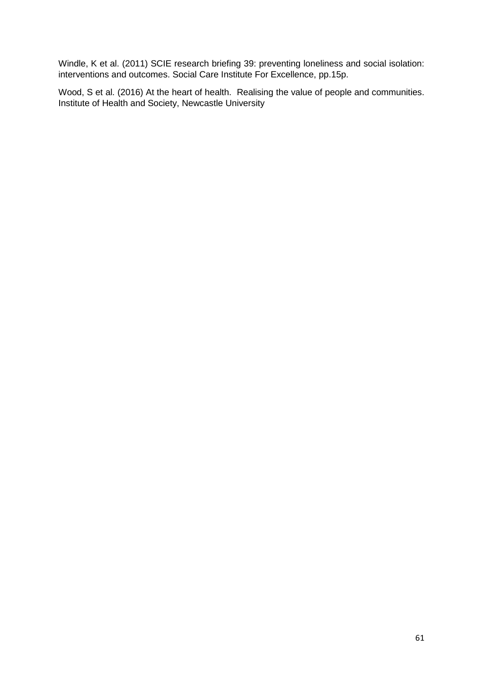Windle, K et al. (2011) SCIE research briefing 39: preventing loneliness and social isolation: interventions and outcomes. Social Care Institute For Excellence, pp.15p.

Wood, S et al. (2016) At the heart of health. Realising the value of people and communities. Institute of Health and Society, Newcastle University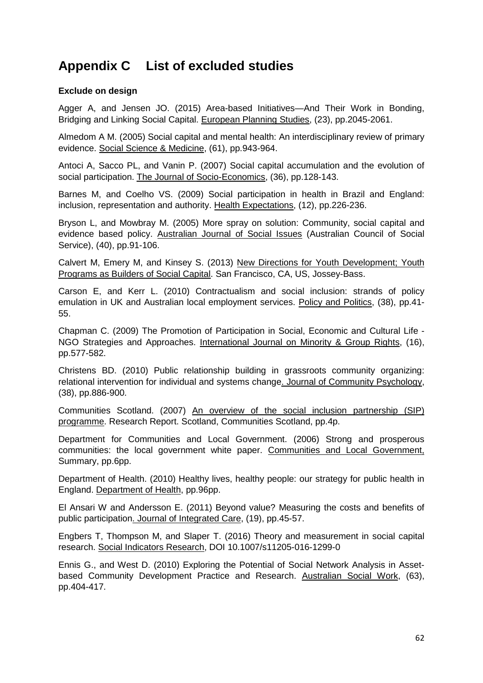# <span id="page-62-0"></span>**Appendix C List of excluded studies**

## **Exclude on design**

Agger A, and Jensen JO. (2015) Area-based Initiatives—And Their Work in Bonding, Bridging and Linking Social Capital. European Planning Studies, (23), pp.2045-2061.

Almedom A M. (2005) Social capital and mental health: An interdisciplinary review of primary evidence. Social Science & Medicine, (61), pp.943-964.

Antoci A, Sacco PL, and Vanin P. (2007) Social capital accumulation and the evolution of social participation. The Journal of Socio-Economics, (36), pp.128-143.

Barnes M, and Coelho VS. (2009) Social participation in health in Brazil and England: inclusion, representation and authority. Health Expectations, (12), pp.226-236.

Bryson L, and Mowbray M. (2005) More spray on solution: Community, social capital and evidence based policy. Australian Journal of Social Issues (Australian Council of Social Service), (40), pp.91-106.

Calvert M, Emery M, and Kinsey S. (2013) New Directions for Youth Development; Youth Programs as Builders of Social Capital. San Francisco, CA, US, Jossey-Bass.

Carson E, and Kerr L. (2010) Contractualism and social inclusion: strands of policy emulation in UK and Australian local employment services. Policy and Politics, (38), pp.41- 55.

Chapman C. (2009) The Promotion of Participation in Social, Economic and Cultural Life - NGO Strategies and Approaches. International Journal on Minority & Group Rights, (16), pp.577-582.

Christens BD. (2010) Public relationship building in grassroots community organizing: relational intervention for individual and systems change. Journal of Community Psychology, (38), pp.886-900.

Communities Scotland. (2007) An overview of the social inclusion partnership (SIP) programme. Research Report. Scotland, Communities Scotland, pp.4p.

Department for Communities and Local Government. (2006) Strong and prosperous communities: the local government white paper. Communities and Local Government, Summary, pp.6pp.

Department of Health. (2010) Healthy lives, healthy people: our strategy for public health in England. Department of Health, pp.96pp.

El Ansari W and Andersson E. (2011) Beyond value? Measuring the costs and benefits of public participation. Journal of Integrated Care, (19), pp.45-57.

Engbers T, Thompson M, and Slaper T. (2016) Theory and measurement in social capital research. Social Indicators Research, DOI 10.1007/s11205-016-1299-0

Ennis G., and West D. (2010) Exploring the Potential of Social Network Analysis in Assetbased Community Development Practice and Research. Australian Social Work, (63), pp.404-417.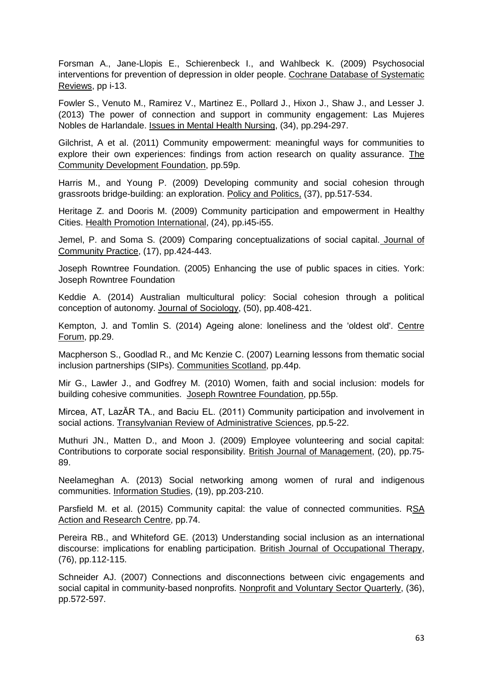Forsman A., Jane-Llopis E., Schierenbeck I., and Wahlbeck K. (2009) Psychosocial interventions for prevention of depression in older people. Cochrane Database of Systematic Reviews, pp i-13.

Fowler S., Venuto M., Ramirez V., Martinez E., Pollard J., Hixon J., Shaw J., and Lesser J. (2013) The power of connection and support in community engagement: Las Mujeres Nobles de Harlandale. Issues in Mental Health Nursing, (34), pp.294-297.

Gilchrist, A et al. (2011) Community empowerment: meaningful ways for communities to explore their own experiences: findings from action research on quality assurance. The Community Development Foundation, pp.59p.

Harris M., and Young P. (2009) Developing community and social cohesion through grassroots bridge-building: an exploration. Policy and Politics, (37), pp.517-534.

Heritage Z. and Dooris M. (2009) Community participation and empowerment in Healthy Cities. Health Promotion International, (24), pp.i45-i55.

Jemel, P. and Soma S. (2009) Comparing conceptualizations of social capital. Journal of Community Practice, (17), pp.424-443.

Joseph Rowntree Foundation. (2005) Enhancing the use of public spaces in cities. York: Joseph Rowntree Foundation

Keddie A. (2014) Australian multicultural policy: Social cohesion through a political conception of autonomy. Journal of Sociology, (50), pp.408-421.

Kempton, J. and Tomlin S. (2014) Ageing alone: loneliness and the 'oldest old'. Centre Forum, pp.29.

Macpherson S., Goodlad R., and Mc Kenzie C. (2007) Learning lessons from thematic social inclusion partnerships (SIPs). Communities Scotland, pp.44p.

Mir G., Lawler J., and Godfrey M. (2010) Women, faith and social inclusion: models for building cohesive communities. Joseph Rowntree Foundation, pp.55p.

Mircea, AT, LazĂR TA., and Baciu EL. (2011) Community participation and involvement in social actions. Transylvanian Review of Administrative Sciences, pp.5-22.

Muthuri JN., Matten D., and Moon J. (2009) Employee volunteering and social capital: Contributions to corporate social responsibility. British Journal of Management, (20), pp.75- 89.

Neelameghan A. (2013) Social networking among women of rural and indigenous communities. Information Studies, (19), pp.203-210.

Parsfield M. et al. (2015) Community capital: the value of connected communities. RSA Action and Research Centre, pp.74.

Pereira RB., and Whiteford GE. (2013) Understanding social inclusion as an international discourse: implications for enabling participation. British Journal of Occupational Therapy, (76), pp.112-115.

Schneider AJ. (2007) Connections and disconnections between civic engagements and social capital in community-based nonprofits. Nonprofit and Voluntary Sector Quarterly, (36), pp.572-597.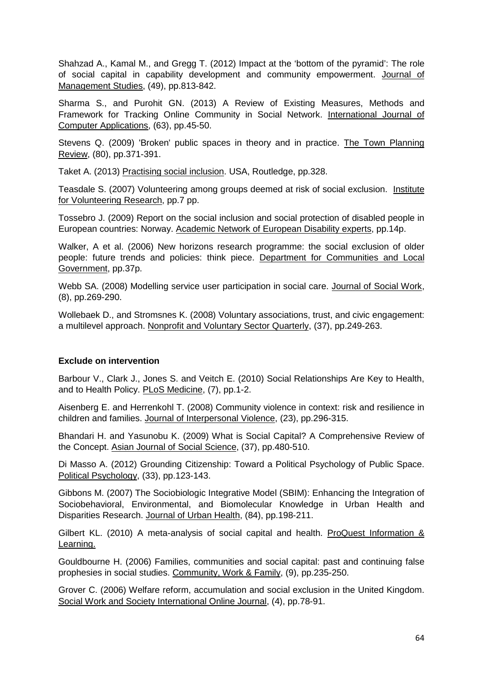Shahzad A., Kamal M., and Gregg T. (2012) Impact at the 'bottom of the pyramid': The role of social capital in capability development and community empowerment. Journal of Management Studies, (49), pp.813-842.

Sharma S., and Purohit GN. (2013) A Review of Existing Measures, Methods and Framework for Tracking Online Community in Social Network. International Journal of Computer Applications, (63), pp.45-50.

Stevens Q. (2009) 'Broken' public spaces in theory and in practice. The Town Planning Review, (80), pp.371-391.

Taket A. (2013) Practising social inclusion. USA, Routledge, pp.328.

Teasdale S. (2007) Volunteering among groups deemed at risk of social exclusion. Institute for Volunteering Research, pp.7 pp.

Tossebro J. (2009) Report on the social inclusion and social protection of disabled people in European countries: Norway. Academic Network of European Disability experts, pp.14p.

Walker, A et al. (2006) New horizons research programme: the social exclusion of older people: future trends and policies: think piece. Department for Communities and Local Government, pp.37p.

Webb SA. (2008) Modelling service user participation in social care. Journal of Social Work, (8), pp.269-290.

Wollebaek D., and Stromsnes K. (2008) Voluntary associations, trust, and civic engagement: a multilevel approach. Nonprofit and Voluntary Sector Quarterly, (37), pp.249-263.

## **Exclude on intervention**

Barbour V., Clark J., Jones S. and Veitch E. (2010) Social Relationships Are Key to Health, and to Health Policy. PLoS Medicine, (7), pp.1-2.

Aisenberg E. and Herrenkohl T. (2008) Community violence in context: risk and resilience in children and families. Journal of Interpersonal Violence, (23), pp.296-315.

Bhandari H. and Yasunobu K. (2009) What is Social Capital? A Comprehensive Review of the Concept. Asian Journal of Social Science, (37), pp.480-510.

Di Masso A. (2012) Grounding Citizenship: Toward a Political Psychology of Public Space. Political Psychology, (33), pp.123-143.

Gibbons M. (2007) The Sociobiologic Integrative Model (SBIM): Enhancing the Integration of Sociobehavioral, Environmental, and Biomolecular Knowledge in Urban Health and Disparities Research. Journal of Urban Health, (84), pp.198-211.

Gilbert KL. (2010) A meta-analysis of social capital and health. ProQuest Information & Learning.

Gouldbourne H. (2006) Families, communities and social capital: past and continuing false prophesies in social studies. Community, Work & Family, (9), pp.235-250.

Grover C. (2006) Welfare reform, accumulation and social exclusion in the United Kingdom. Social Work and Society International Online Journal, (4), pp.78-91.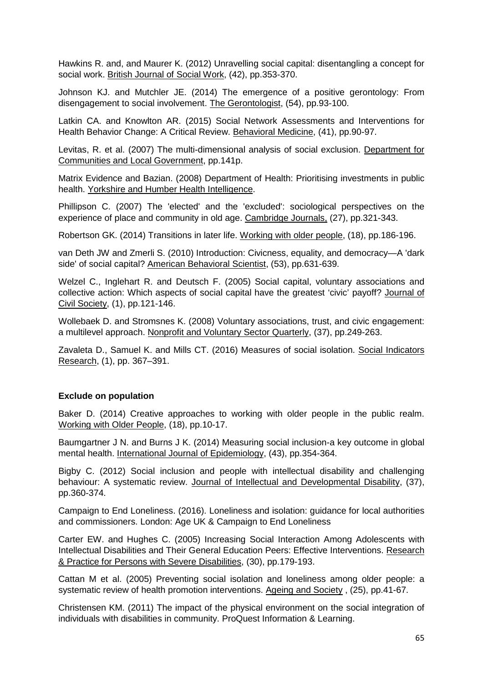Hawkins R. and, and Maurer K. (2012) Unravelling social capital: disentangling a concept for social work. British Journal of Social Work, (42), pp.353-370.

Johnson KJ. and Mutchler JE. (2014) The emergence of a positive gerontology: From disengagement to social involvement. The Gerontologist, (54), pp.93-100.

Latkin CA. and Knowlton AR. (2015) Social Network Assessments and Interventions for Health Behavior Change: A Critical Review. Behavioral Medicine, (41), pp.90-97.

Levitas, R. et al. (2007) The multi-dimensional analysis of social exclusion. Department for Communities and Local Government, pp.141p.

Matrix Evidence and Bazian. (2008) Department of Health: Prioritising investments in public health. Yorkshire and Humber Health Intelligence.

Phillipson C. (2007) The 'elected' and the 'excluded': sociological perspectives on the experience of place and community in old age. Cambridge Journals, (27), pp.321-343.

Robertson GK. (2014) Transitions in later life. Working with older people, (18), pp.186-196.

van Deth JW and Zmerli S. (2010) Introduction: Civicness, equality, and democracy—A 'dark side' of social capital? American Behavioral Scientist, (53), pp.631-639.

Welzel C., Inglehart R. and Deutsch F. (2005) Social capital, voluntary associations and collective action: Which aspects of social capital have the greatest 'civic' payoff? Journal of Civil Society, (1), pp.121-146.

Wollebaek D. and Stromsnes K. (2008) Voluntary associations, trust, and civic engagement: a multilevel approach. Nonprofit and Voluntary Sector Quarterly, (37), pp.249-263.

Zavaleta D., Samuel K. and Mills CT. (2016) Measures of social isolation. Social Indicators Research, (1), pp. 367–391.

## **Exclude on population**

Baker D. (2014) Creative approaches to working with older people in the public realm. Working with Older People, (18), pp.10-17.

Baumgartner J N. and Burns J K. (2014) Measuring social inclusion-a key outcome in global mental health. International Journal of Epidemiology, (43), pp.354-364.

Bigby C. (2012) Social inclusion and people with intellectual disability and challenging behaviour: A systematic review. Journal of Intellectual and Developmental Disability, (37), pp.360-374.

Campaign to End Loneliness. (2016). Loneliness and isolation: guidance for local authorities and commissioners. London: Age UK & Campaign to End Loneliness

Carter EW. and Hughes C. (2005) Increasing Social Interaction Among Adolescents with Intellectual Disabilities and Their General Education Peers: Effective Interventions. Research & Practice for Persons with Severe Disabilities, (30), pp.179-193.

Cattan M et al. (2005) Preventing social isolation and loneliness among older people: a systematic review of health promotion interventions. Ageing and Society , (25), pp.41-67.

Christensen KM. (2011) The impact of the physical environment on the social integration of individuals with disabilities in community. ProQuest Information & Learning.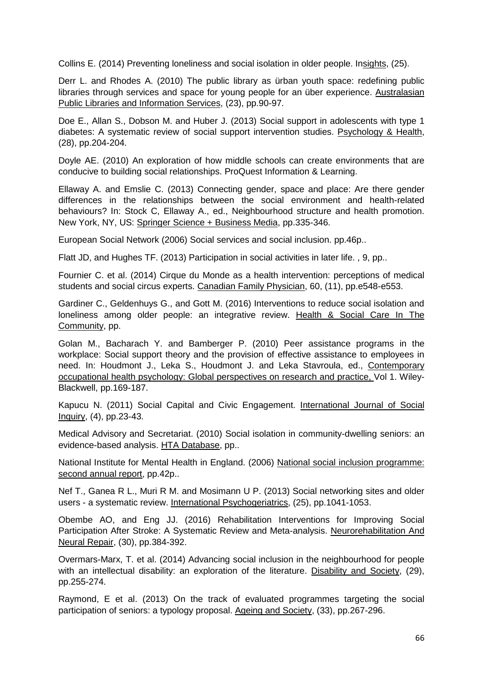Collins E. (2014) Preventing loneliness and social isolation in older people. Insights, (25).

Derr L. and Rhodes A. (2010) The public library as ürban youth space: redefining public libraries through services and space for young people for an über experience. Australasian Public Libraries and Information Services, (23), pp.90-97.

Doe E., Allan S., Dobson M. and Huber J. (2013) Social support in adolescents with type 1 diabetes: A systematic review of social support intervention studies. Psychology & Health, (28), pp.204-204.

Doyle AE. (2010) An exploration of how middle schools can create environments that are conducive to building social relationships. ProQuest Information & Learning.

Ellaway A. and Emslie C. (2013) Connecting gender, space and place: Are there gender differences in the relationships between the social environment and health-related behaviours? In: Stock C, Ellaway A., ed., Neighbourhood structure and health promotion. New York, NY, US: Springer Science + Business Media, pp.335-346.

European Social Network (2006) Social services and social inclusion. pp.46p..

Flatt JD, and Hughes TF. (2013) Participation in social activities in later life. , 9, pp..

Fournier C. et al. (2014) Cirque du Monde as a health intervention: perceptions of medical students and social circus experts. Canadian Family Physician, 60, (11), pp.e548-e553.

Gardiner C., Geldenhuys G., and Gott M. (2016) Interventions to reduce social isolation and loneliness among older people: an integrative review. Health & Social Care In The Community, pp.

Golan M., Bacharach Y. and Bamberger P. (2010) Peer assistance programs in the workplace: Social support theory and the provision of effective assistance to employees in need. In: Houdmont J., Leka S., Houdmont J. and Leka Stavroula, ed., Contemporary occupational health psychology: Global perspectives on research and practice, Vol 1. Wiley-Blackwell, pp.169-187.

Kapucu N. (2011) Social Capital and Civic Engagement. International Journal of Social Inquiry, (4), pp.23-43.

Medical Advisory and Secretariat. (2010) Social isolation in community-dwelling seniors: an evidence-based analysis. HTA Database, pp..

National Institute for Mental Health in England. (2006) National social inclusion programme: second annual report, pp.42p..

Nef T., Ganea R L., Muri R M. and Mosimann U P. (2013) Social networking sites and older users - a systematic review. International Psychogeriatrics, (25), pp.1041-1053.

Obembe AO, and Eng JJ. (2016) Rehabilitation Interventions for Improving Social Participation After Stroke: A Systematic Review and Meta-analysis. Neurorehabilitation And Neural Repair, (30), pp.384-392.

Overmars-Marx, T. et al. (2014) Advancing social inclusion in the neighbourhood for people with an intellectual disability: an exploration of the literature. Disability and Society, (29), pp.255-274.

Raymond, E et al. (2013) On the track of evaluated programmes targeting the social participation of seniors: a typology proposal. Ageing and Society, (33), pp.267-296.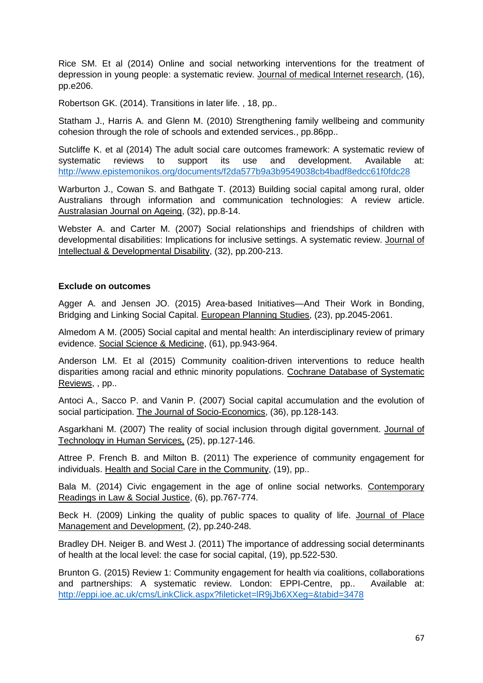Rice SM. Et al (2014) Online and social networking interventions for the treatment of depression in young people: a systematic review. Journal of medical Internet research, (16), pp.e206.

Robertson GK. (2014). Transitions in later life. , 18, pp..

Statham J., Harris A. and Glenn M. (2010) Strengthening family wellbeing and community cohesion through the role of schools and extended services., pp.86pp..

Sutcliffe K. et al (2014) The adult social care outcomes framework: A systematic review of systematic reviews to support its use and development. Available at: <http://www.epistemonikos.org/documents/f2da577b9a3b9549038cb4badf8edcc61f0fdc28>

Warburton J., Cowan S. and Bathgate T. (2013) Building social capital among rural, older Australians through information and communication technologies: A review article. Australasian Journal on Ageing, (32), pp.8-14.

Webster A. and Carter M. (2007) Social relationships and friendships of children with developmental disabilities: Implications for inclusive settings. A systematic review. Journal of Intellectual & Developmental Disability, (32), pp.200-213.

## **Exclude on outcomes**

Agger A. and Jensen JO. (2015) Area-based Initiatives—And Their Work in Bonding, Bridging and Linking Social Capital. European Planning Studies, (23), pp.2045-2061.

Almedom A M. (2005) Social capital and mental health: An interdisciplinary review of primary evidence. Social Science & Medicine, (61), pp.943-964.

Anderson LM. Et al (2015) Community coalition-driven interventions to reduce health disparities among racial and ethnic minority populations. Cochrane Database of Systematic Reviews, , pp..

Antoci A., Sacco P. and Vanin P. (2007) Social capital accumulation and the evolution of social participation. The Journal of Socio-Economics, (36), pp.128-143.

Asgarkhani M. (2007) The reality of social inclusion through digital government. Journal of Technology in Human Services, (25), pp.127-146.

Attree P. French B. and Milton B. (2011) The experience of community engagement for individuals. Health and Social Care in the Community, (19), pp..

Bala M. (2014) Civic engagement in the age of online social networks. Contemporary Readings in Law & Social Justice, (6), pp.767-774.

Beck H. (2009) Linking the quality of public spaces to quality of life. Journal of Place Management and Development, (2), pp.240-248.

Bradley DH. Neiger B. and West J. (2011) The importance of addressing social determinants of health at the local level: the case for social capital, (19), pp.522-530.

Brunton G. (2015) Review 1: Community engagement for health via coalitions, collaborations and partnerships: A systematic review. London: EPPI-Centre, pp.. Available at: <http://eppi.ioe.ac.uk/cms/LinkClick.aspx?fileticket=lR9jJb6XXeg=&tabid=3478>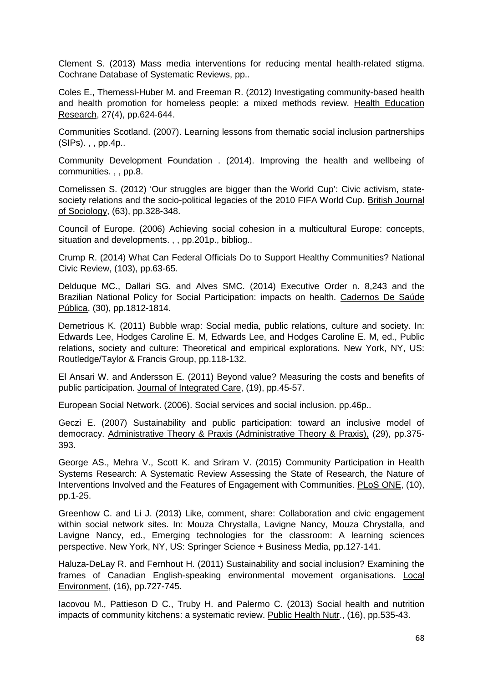Clement S. (2013) Mass media interventions for reducing mental health-related stigma. Cochrane Database of Systematic Reviews, pp..

Coles E., Themessl-Huber M. and Freeman R. (2012) Investigating community-based health and health promotion for homeless people: a mixed methods review. Health Education Research, 27(4), pp.624-644.

Communities Scotland. (2007). Learning lessons from thematic social inclusion partnerships (SIPs). , , pp.4p..

Community Development Foundation . (2014). Improving the health and wellbeing of communities. , , pp.8.

Cornelissen S. (2012) 'Our struggles are bigger than the World Cup': Civic activism, statesociety relations and the socio-political legacies of the 2010 FIFA World Cup. British Journal of Sociology, (63), pp.328-348.

Council of Europe. (2006) Achieving social cohesion in a multicultural Europe: concepts, situation and developments.,, pp.201p., bibliog..

Crump R. (2014) What Can Federal Officials Do to Support Healthy Communities? National Civic Review, (103), pp.63-65.

Delduque MC., Dallari SG. and Alves SMC. (2014) Executive Order n. 8,243 and the Brazilian National Policy for Social Participation: impacts on health. Cadernos De Saúde Pública, (30), pp.1812-1814.

Demetrious K. (2011) Bubble wrap: Social media, public relations, culture and society. In: Edwards Lee, Hodges Caroline E. M, Edwards Lee, and Hodges Caroline E. M, ed., Public relations, society and culture: Theoretical and empirical explorations. New York, NY, US: Routledge/Taylor & Francis Group, pp.118-132.

El Ansari W. and Andersson E. (2011) Beyond value? Measuring the costs and benefits of public participation. Journal of Integrated Care, (19), pp.45-57.

European Social Network. (2006). Social services and social inclusion. pp.46p..

Geczi E. (2007) Sustainability and public participation: toward an inclusive model of democracy. Administrative Theory & Praxis (Administrative Theory & Praxis), (29), pp.375- 393.

George AS., Mehra V., Scott K. and Sriram V. (2015) Community Participation in Health Systems Research: A Systematic Review Assessing the State of Research, the Nature of Interventions Involved and the Features of Engagement with Communities. PLoS ONE, (10), pp.1-25.

Greenhow C. and Li J. (2013) Like, comment, share: Collaboration and civic engagement within social network sites. In: Mouza Chrystalla, Lavigne Nancy, Mouza Chrystalla, and Lavigne Nancy, ed., Emerging technologies for the classroom: A learning sciences perspective. New York, NY, US: Springer Science + Business Media, pp.127-141.

Haluza-DeLay R. and Fernhout H. (2011) Sustainability and social inclusion? Examining the frames of Canadian English-speaking environmental movement organisations. Local Environment, (16), pp.727-745.

Iacovou M., Pattieson D C., Truby H. and Palermo C. (2013) Social health and nutrition impacts of community kitchens: a systematic review. Public Health Nutr., (16), pp.535-43.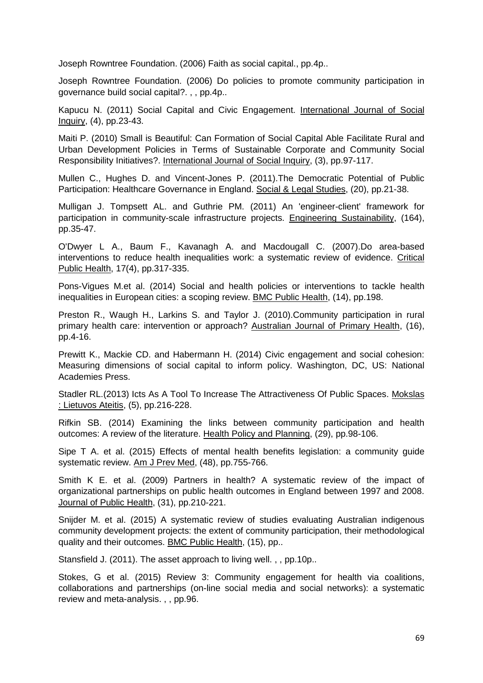Joseph Rowntree Foundation. (2006) Faith as social capital., pp.4p..

Joseph Rowntree Foundation. (2006) Do policies to promote community participation in governance build social capital?. , , pp.4p..

Kapucu N. (2011) Social Capital and Civic Engagement. International Journal of Social Inquiry, (4), pp.23-43.

Maiti P. (2010) Small is Beautiful: Can Formation of Social Capital Able Facilitate Rural and Urban Development Policies in Terms of Sustainable Corporate and Community Social Responsibility Initiatives?. International Journal of Social Inquiry, (3), pp.97-117.

Mullen C., Hughes D. and Vincent-Jones P. (2011).The Democratic Potential of Public Participation: Healthcare Governance in England. Social & Legal Studies, (20), pp.21-38.

Mulligan J. Tompsett AL. and Guthrie PM. (2011) An 'engineer-client' framework for participation in community-scale infrastructure projects. Engineering Sustainability, (164), pp.35-47.

O'Dwyer L A., Baum F., Kavanagh A. and Macdougall C. (2007).Do area-based interventions to reduce health inequalities work: a systematic review of evidence. Critical Public Health, 17(4), pp.317-335.

Pons-Vigues M.et al. (2014) Social and health policies or interventions to tackle health inequalities in European cities: a scoping review. BMC Public Health, (14), pp.198.

Preston R., Waugh H., Larkins S. and Taylor J. (2010).Community participation in rural primary health care: intervention or approach? Australian Journal of Primary Health, (16), pp.4-16.

Prewitt K., Mackie CD. and Habermann H. (2014) Civic engagement and social cohesion: Measuring dimensions of social capital to inform policy. Washington, DC, US: National Academies Press.

Stadler RL.(2013) Icts As A Tool To Increase The Attractiveness Of Public Spaces. Mokslas : Lietuvos Ateitis, (5), pp.216-228.

Rifkin SB. (2014) Examining the links between community participation and health outcomes: A review of the literature. Health Policy and Planning, (29), pp.98-106.

Sipe T A. et al. (2015) Effects of mental health benefits legislation: a community guide systematic review. Am J Prev Med, (48), pp.755-766.

Smith K E. et al. (2009) Partners in health? A systematic review of the impact of organizational partnerships on public health outcomes in England between 1997 and 2008. Journal of Public Health, (31), pp.210-221.

Snijder M. et al. (2015) A systematic review of studies evaluating Australian indigenous community development projects: the extent of community participation, their methodological quality and their outcomes. BMC Public Health, (15), pp..

Stansfield J. (2011). The asset approach to living well. , , pp.10p..

Stokes, G et al. (2015) Review 3: Community engagement for health via coalitions, collaborations and partnerships (on-line social media and social networks): a systematic review and meta-analysis. , , pp.96.